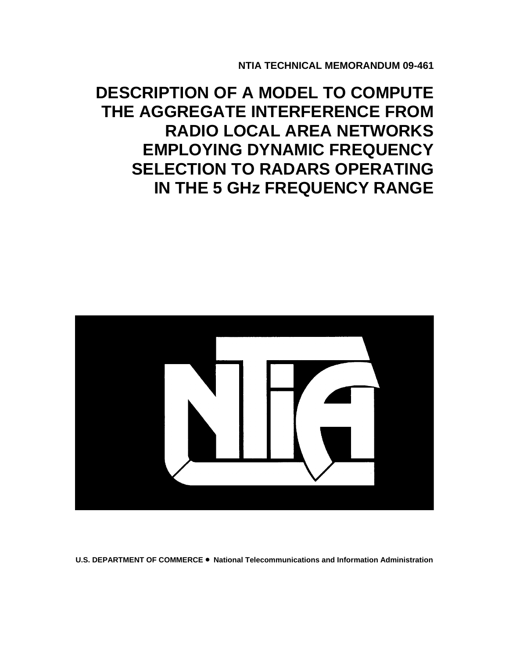**NTIA TECHNICAL MEMORANDUM 09-461** 

# **DESCRIPTION OF A MODEL TO COMPUTE THE AGGREGATE INTERFERENCE FROM RADIO LOCAL AREA NETWORKS EMPLOYING DYNAMIC FREQUENCY SELECTION TO RADARS OPERATING IN THE 5 GHz FREQUENCY RANGE**



**U.S. DEPARTMENT OF COMMERCE** • **National Telecommunications and Information Administration**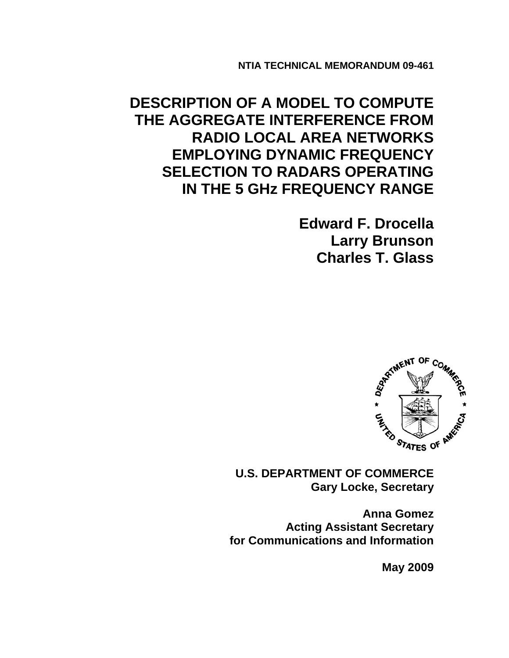**NTIA TECHNICAL MEMORANDUM 09-461**

**DESCRIPTION OF A MODEL TO COMPUTE THE AGGREGATE INTERFERENCE FROM RADIO LOCAL AREA NETWORKS EMPLOYING DYNAMIC FREQUENCY SELECTION TO RADARS OPERATING IN THE 5 GHz FREQUENCY RANGE** 

> **Edward F. Drocella Larry Brunson Charles T. Glass**



**U.S. DEPARTMENT OF COMMERCE Gary Locke, Secretary** 

**Anna Gomez Acting Assistant Secretary for Communications and Information** 

 **May 2009**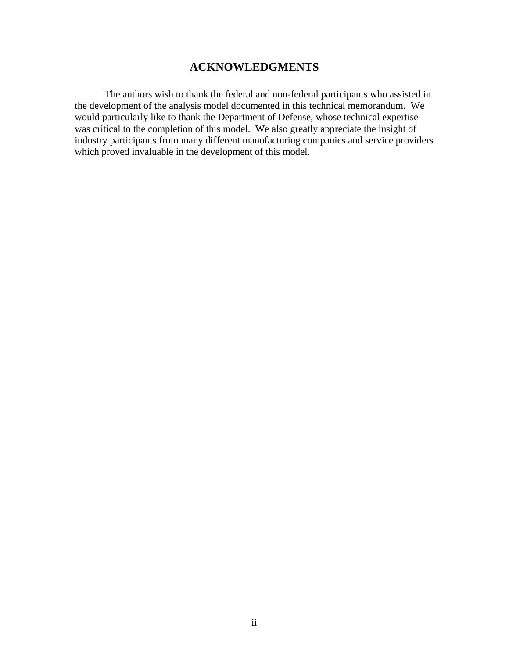## **ACKNOWLEDGMENTS**

The authors wish to thank the federal and non-federal participants who assisted in the development of the analysis model documented in this technical memorandum. We would particularly like to thank the Department of Defense, whose technical expertise was critical to the completion of this model. We also greatly appreciate the insight of industry participants from many different manufacturing companies and service providers which proved invaluable in the development of this model.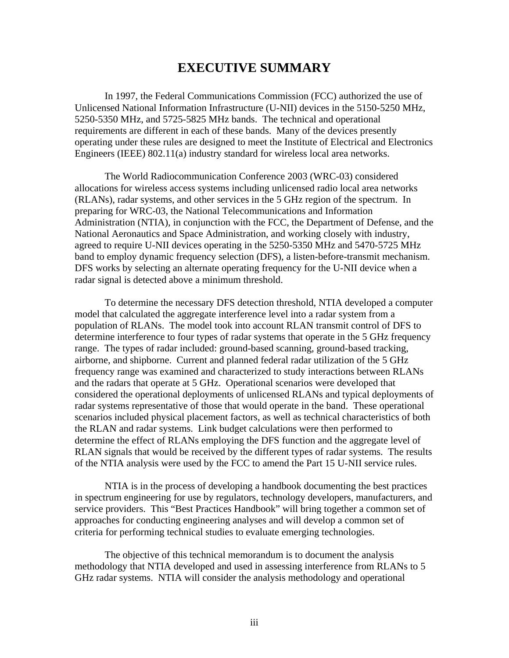## **EXECUTIVE SUMMARY**

 In 1997, the Federal Communications Commission (FCC) authorized the use of Unlicensed National Information Infrastructure (U-NII) devices in the 5150-5250 MHz, 5250-5350 MHz, and 5725-5825 MHz bands. The technical and operational requirements are different in each of these bands. Many of the devices presently operating under these rules are designed to meet the Institute of Electrical and Electronics Engineers (IEEE) 802.11(a) industry standard for wireless local area networks.

 The World Radiocommunication Conference 2003 (WRC-03) considered allocations for wireless access systems including unlicensed radio local area networks (RLANs), radar systems, and other services in the 5 GHz region of the spectrum. In preparing for WRC-03, the National Telecommunications and Information Administration (NTIA), in conjunction with the FCC, the Department of Defense, and the National Aeronautics and Space Administration, and working closely with industry, agreed to require U-NII devices operating in the 5250-5350 MHz and 5470-5725 MHz band to employ dynamic frequency selection (DFS), a listen-before-transmit mechanism. DFS works by selecting an alternate operating frequency for the U-NII device when a radar signal is detected above a minimum threshold.

 To determine the necessary DFS detection threshold, NTIA developed a computer model that calculated the aggregate interference level into a radar system from a population of RLANs. The model took into account RLAN transmit control of DFS to determine interference to four types of radar systems that operate in the 5 GHz frequency range. The types of radar included: ground-based scanning, ground-based tracking, airborne, and shipborne. Current and planned federal radar utilization of the 5 GHz frequency range was examined and characterized to study interactions between RLANs and the radars that operate at 5 GHz. Operational scenarios were developed that considered the operational deployments of unlicensed RLANs and typical deployments of radar systems representative of those that would operate in the band. These operational scenarios included physical placement factors, as well as technical characteristics of both the RLAN and radar systems. Link budget calculations were then performed to determine the effect of RLANs employing the DFS function and the aggregate level of RLAN signals that would be received by the different types of radar systems. The results of the NTIA analysis were used by the FCC to amend the Part 15 U-NII service rules.

 NTIA is in the process of developing a handbook documenting the best practices in spectrum engineering for use by regulators, technology developers, manufacturers, and service providers. This "Best Practices Handbook" will bring together a common set of approaches for conducting engineering analyses and will develop a common set of criteria for performing technical studies to evaluate emerging technologies.

The objective of this technical memorandum is to document the analysis methodology that NTIA developed and used in assessing interference from RLANs to 5 GHz radar systems. NTIA will consider the analysis methodology and operational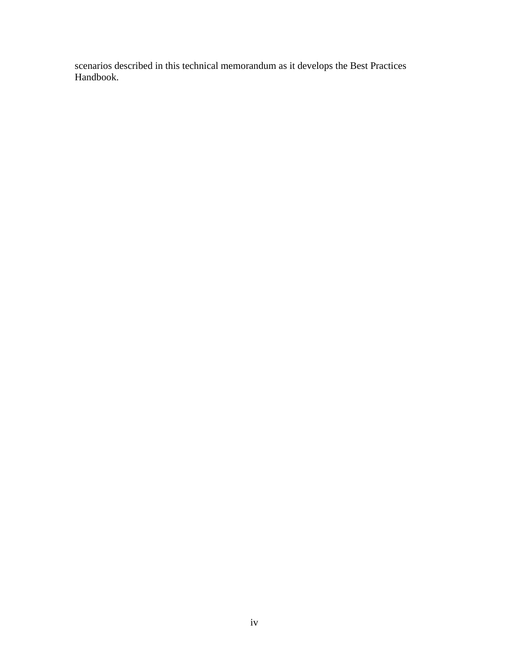scenarios described in this technical memorandum as it develops the Best Practices Handbook.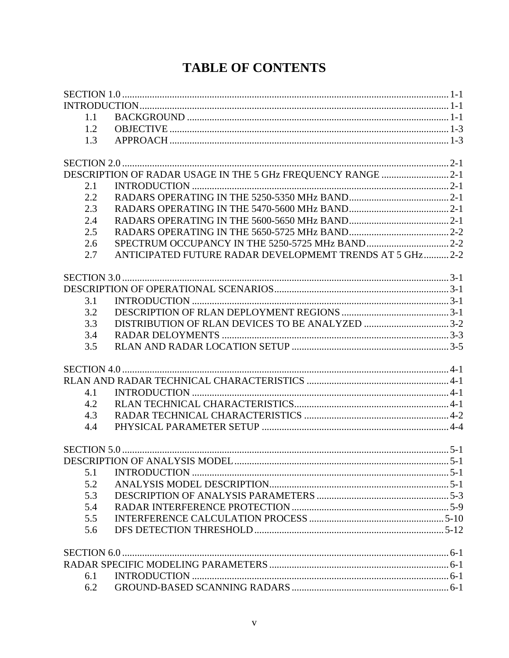# **TABLE OF CONTENTS**

| 1.1 |                                                             |  |
|-----|-------------------------------------------------------------|--|
| 1.2 |                                                             |  |
| 1.3 |                                                             |  |
|     |                                                             |  |
|     | DESCRIPTION OF RADAR USAGE IN THE 5 GHz FREQUENCY RANGE 2-1 |  |
|     |                                                             |  |
| 2.1 |                                                             |  |
| 2.2 |                                                             |  |
| 2.3 |                                                             |  |
| 2.4 |                                                             |  |
| 2.5 |                                                             |  |
| 2.6 |                                                             |  |
| 2.7 | ANTICIPATED FUTURE RADAR DEVELOPMEMT TRENDS AT 5 GHz 2-2    |  |
|     |                                                             |  |
|     |                                                             |  |
| 3.1 |                                                             |  |
| 3.2 |                                                             |  |
| 3.3 | DISTRIBUTION OF RLAN DEVICES TO BE ANALYZED 3-2             |  |
| 3.4 |                                                             |  |
| 3.5 |                                                             |  |
|     |                                                             |  |
|     |                                                             |  |
|     |                                                             |  |
| 4.1 |                                                             |  |
| 4.2 |                                                             |  |
| 4.3 |                                                             |  |
| 4.4 |                                                             |  |
|     |                                                             |  |
|     |                                                             |  |
| 5.1 |                                                             |  |
| 5.2 |                                                             |  |
| 5.3 |                                                             |  |
| 5.4 |                                                             |  |
| 5.5 |                                                             |  |
| 5.6 |                                                             |  |
|     |                                                             |  |
|     |                                                             |  |
|     |                                                             |  |
| 6.1 |                                                             |  |
| 6.2 |                                                             |  |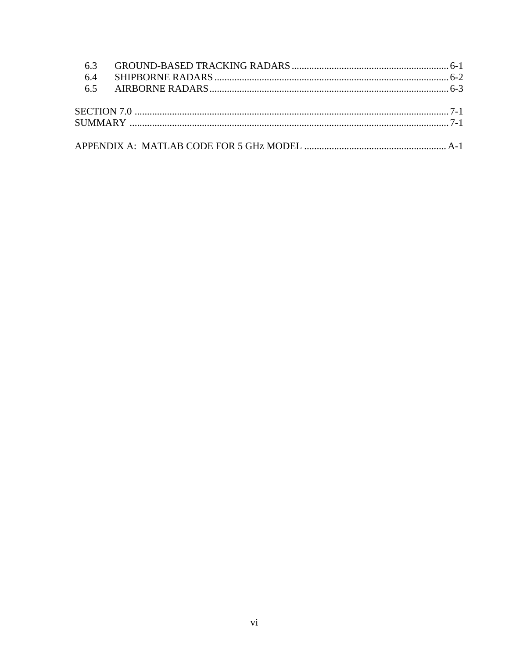| 6.4 |  |
|-----|--|
|     |  |
|     |  |
|     |  |
|     |  |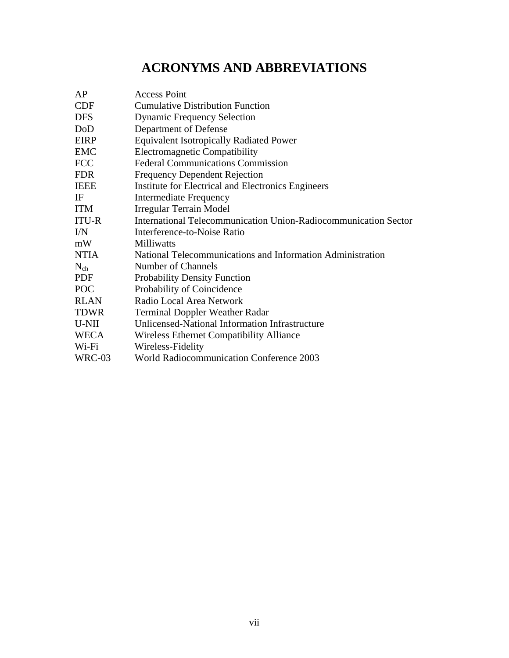# **ACRONYMS AND ABBREVIATIONS**

| AP           | <b>Access Point</b>                                             |
|--------------|-----------------------------------------------------------------|
| <b>CDF</b>   | <b>Cumulative Distribution Function</b>                         |
| <b>DFS</b>   | <b>Dynamic Frequency Selection</b>                              |
| DoD          | Department of Defense                                           |
| <b>EIRP</b>  | <b>Equivalent Isotropically Radiated Power</b>                  |
| <b>EMC</b>   | <b>Electromagnetic Compatibility</b>                            |
| <b>FCC</b>   | <b>Federal Communications Commission</b>                        |
| <b>FDR</b>   | <b>Frequency Dependent Rejection</b>                            |
| <b>IEEE</b>  | Institute for Electrical and Electronics Engineers              |
| IF           | <b>Intermediate Frequency</b>                                   |
| <b>ITM</b>   | Irregular Terrain Model                                         |
| <b>ITU-R</b> | International Telecommunication Union-Radiocommunication Sector |
| I/N          | Interference-to-Noise Ratio                                     |
| mW           | Milliwatts                                                      |
| <b>NTIA</b>  | National Telecommunications and Information Administration      |
| $N_{ch}$     | Number of Channels                                              |
| <b>PDF</b>   | <b>Probability Density Function</b>                             |
| <b>POC</b>   | Probability of Coincidence                                      |
| <b>RLAN</b>  | Radio Local Area Network                                        |
| <b>TDWR</b>  | <b>Terminal Doppler Weather Radar</b>                           |
| U-NII        | Unlicensed-National Information Infrastructure                  |
| <b>WECA</b>  | <b>Wireless Ethernet Compatibility Alliance</b>                 |
| Wi-Fi        | Wireless-Fidelity                                               |
| WRC-03       | <b>World Radiocommunication Conference 2003</b>                 |
|              |                                                                 |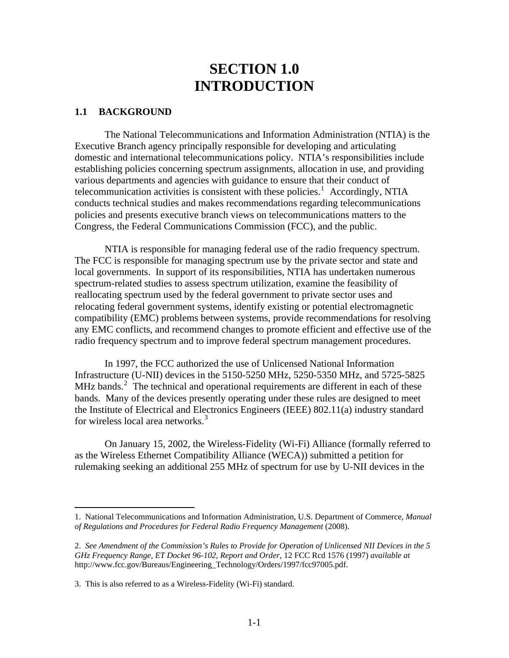## **SECTION 1.0 INTRODUCTION**

#### <span id="page-8-0"></span>**1.1 BACKGROUND**

The National Telecommunications and Information Administration (NTIA) is the Executive Branch agency principally responsible for developing and articulating domestic and international telecommunications policy. NTIA's responsibilities include establishing policies concerning spectrum assignments, allocation in use, and providing various departments and agencies with guidance to ensure that their conduct of telecommunication activities is consistent with these policies.<sup>[1](#page-8-1)</sup> Accordingly, NTIA conducts technical studies and makes recommendations regarding telecommunications policies and presents executive branch views on telecommunications matters to the Congress, the Federal Communications Commission (FCC), and the public.

 NTIA is responsible for managing federal use of the radio frequency spectrum. The FCC is responsible for managing spectrum use by the private sector and state and local governments. In support of its responsibilities, NTIA has undertaken numerous spectrum-related studies to assess spectrum utilization, examine the feasibility of reallocating spectrum used by the federal government to private sector uses and relocating federal government systems, identify existing or potential electromagnetic compatibility (EMC) problems between systems, provide recommendations for resolving any EMC conflicts, and recommend changes to promote efficient and effective use of the radio frequency spectrum and to improve federal spectrum management procedures.

 In 1997, the FCC authorized the use of Unlicensed National Information Infrastructure (U-NII) devices in the 5150-5250 MHz, 5250-5350 MHz, and 5725-5825 MHz bands. $2$  The technical and operational requirements are different in each of these bands. Many of the devices presently operating under these rules are designed to meet the Institute of Electrical and Electronics Engineers (IEEE) 802.11(a) industry standard for wireless local area networks. $3$ 

 On January 15, 2002, the Wireless-Fidelity (Wi-Fi) Alliance (formally referred to as the Wireless Ethernet Compatibility Alliance (WECA)) submitted a petition for rulemaking seeking an additional 255 MHz of spectrum for use by U-NII devices in the

 $\overline{a}$ 

<span id="page-8-1"></span><sup>1.</sup> National Telecommunications and Information Administration, U.S. Department of Commerce, *Manual of Regulations and Procedures for Federal Radio Frequency Management* (2008).

<span id="page-8-2"></span><sup>2.</sup> *See Amendment of the Commission's Rules to Provide for Operation of Unlicensed NII Devices in the 5 GHz Frequency Range, ET Docket 96-102*, *Report and Order*, 12 FCC Rcd 1576 (1997) *available at* http://www.fcc.gov/Bureaus/Engineering\_Technology/Orders/1997/fcc97005.pdf.

<span id="page-8-3"></span><sup>3.</sup> This is also referred to as a Wireless-Fidelity (Wi-Fi) standard.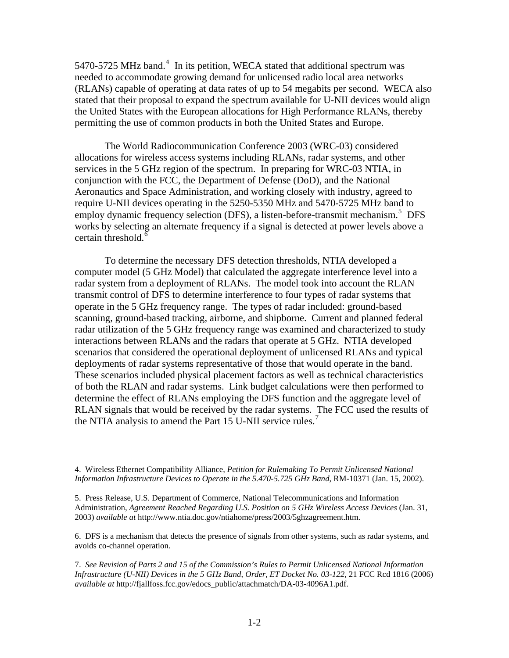5[4](#page-9-0)70-5725 MHz band.<sup>4</sup> In its petition, WECA stated that additional spectrum was needed to accommodate growing demand for unlicensed radio local area networks (RLANs) capable of operating at data rates of up to 54 megabits per second. WECA also stated that their proposal to expand the spectrum available for U-NII devices would align the United States with the European allocations for High Performance RLANs, thereby permitting the use of common products in both the United States and Europe.

 The World Radiocommunication Conference 2003 (WRC-03) considered allocations for wireless access systems including RLANs, radar systems, and other services in the 5 GHz region of the spectrum. In preparing for WRC-03 NTIA, in conjunction with the FCC, the Department of Defense (DoD), and the National Aeronautics and Space Administration, and working closely with industry, agreed to require U-NII devices operating in the 5250-5350 MHz and 5470-5725 MHz band to employ dynamic frequency selection (DFS), a listen-before-transmit mechanism.<sup>[5](#page-9-1)</sup> DFS works by selecting an alternate frequency if a signal is detected at power levels above a certain threshold.<sup>[6](#page-9-2)</sup>

 To determine the necessary DFS detection thresholds, NTIA developed a computer model (5 GHz Model) that calculated the aggregate interference level into a radar system from a deployment of RLANs. The model took into account the RLAN transmit control of DFS to determine interference to four types of radar systems that operate in the 5 GHz frequency range. The types of radar included: ground-based scanning, ground-based tracking, airborne, and shipborne. Current and planned federal radar utilization of the 5 GHz frequency range was examined and characterized to study interactions between RLANs and the radars that operate at 5 GHz. NTIA developed scenarios that considered the operational deployment of unlicensed RLANs and typical deployments of radar systems representative of those that would operate in the band. These scenarios included physical placement factors as well as technical characteristics of both the RLAN and radar systems. Link budget calculations were then performed to determine the effect of RLANs employing the DFS function and the aggregate level of RLAN signals that would be received by the radar systems. The FCC used the results of the NTIA analysis to amend the Part 15 U-NII service rules.<sup>[7](#page-9-3)</sup>

 $\overline{a}$ 

<span id="page-9-0"></span><sup>4.</sup> Wireless Ethernet Compatibility Alliance, *Petition for Rulemaking To Permit Unlicensed National Information Infrastructure Devices to Operate in the 5.470-5.725 GHz Band*, RM-10371 (Jan. 15, 2002).

<span id="page-9-1"></span><sup>5.</sup> Press Release, U.S. Department of Commerce, National Telecommunications and Information Administration, *Agreement Reached Regarding U.S. Position on 5 GHz Wireless Access Devices* (Jan. 31, 2003) *available at* http://www.ntia.doc.gov/ntiahome/press/2003/5ghzagreement.htm.

<span id="page-9-2"></span><sup>6.</sup> DFS is a mechanism that detects the presence of signals from other systems, such as radar systems, and avoids co-channel operation.

<span id="page-9-3"></span><sup>7.</sup> *See Revision of Parts 2 and 15 of the Commission's Rules to Permit Unlicensed National Information Infrastructure (U-NII) Devices in the 5 GHz Band*, *Order, ET Docket No. 03-122*, 21 FCC Rcd 1816 (2006) *available at* http://fjallfoss.fcc.gov/edocs\_public/attachmatch/DA-03-4096A1.pdf.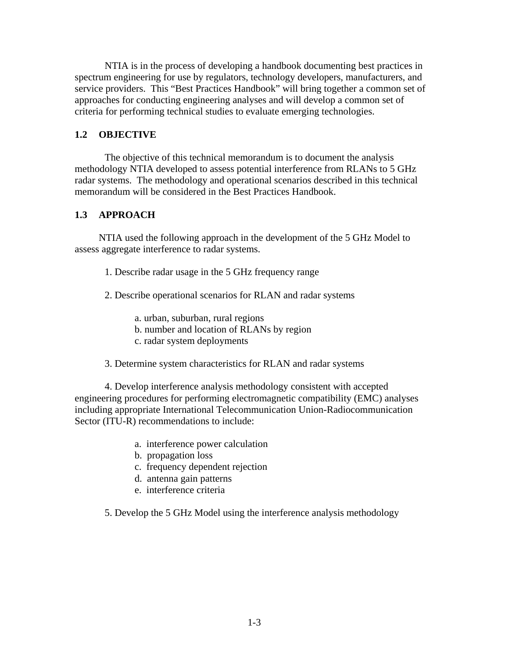<span id="page-10-0"></span> NTIA is in the process of developing a handbook documenting best practices in spectrum engineering for use by regulators, technology developers, manufacturers, and service providers. This "Best Practices Handbook" will bring together a common set of approaches for conducting engineering analyses and will develop a common set of criteria for performing technical studies to evaluate emerging technologies.

## **1.2 OBJECTIVE**

The objective of this technical memorandum is to document the analysis methodology NTIA developed to assess potential interference from RLANs to 5 GHz radar systems. The methodology and operational scenarios described in this technical memorandum will be considered in the Best Practices Handbook.

## **1.3 APPROACH**

NTIA used the following approach in the development of the 5 GHz Model to assess aggregate interference to radar systems.

- 1. Describe radar usage in the 5 GHz frequency range
- 2. Describe operational scenarios for RLAN and radar systems
	- a. urban, suburban, rural regions
	- b. number and location of RLANs by region
	- c. radar system deployments
- 3. Determine system characteristics for RLAN and radar systems

4. Develop interference analysis methodology consistent with accepted engineering procedures for performing electromagnetic compatibility (EMC) analyses including appropriate International Telecommunication Union-Radiocommunication Sector (ITU-R) recommendations to include:

- a. interference power calculation
- b. propagation loss
- c. frequency dependent rejection
- d. antenna gain patterns
- e. interference criteria

5. Develop the 5 GHz Model using the interference analysis methodology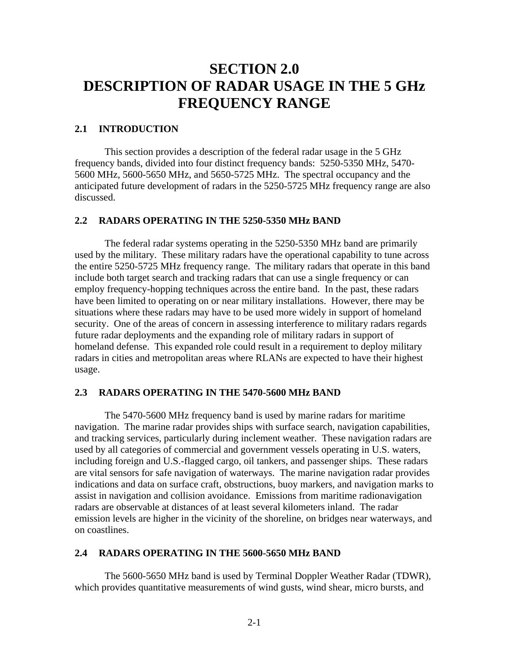# <span id="page-11-0"></span>**SECTION 2.0 DESCRIPTION OF RADAR USAGE IN THE 5 GHz FREQUENCY RANGE**

## **2.1 INTRODUCTION**

 This section provides a description of the federal radar usage in the 5 GHz frequency bands, divided into four distinct frequency bands: 5250-5350 MHz, 5470- 5600 MHz, 5600-5650 MHz, and 5650-5725 MHz. The spectral occupancy and the anticipated future development of radars in the 5250-5725 MHz frequency range are also discussed.

## **2.2 RADARS OPERATING IN THE 5250-5350 MHz BAND**

The federal radar systems operating in the 5250-5350 MHz band are primarily used by the military. These military radars have the operational capability to tune across the entire 5250-5725 MHz frequency range. The military radars that operate in this band include both target search and tracking radars that can use a single frequency or can employ frequency-hopping techniques across the entire band. In the past, these radars have been limited to operating on or near military installations. However, there may be situations where these radars may have to be used more widely in support of homeland security. One of the areas of concern in assessing interference to military radars regards future radar deployments and the expanding role of military radars in support of homeland defense. This expanded role could result in a requirement to deploy military radars in cities and metropolitan areas where RLANs are expected to have their highest usage.

#### **2.3 RADARS OPERATING IN THE 5470-5600 MHz BAND**

 The 5470-5600 MHz frequency band is used by marine radars for maritime navigation. The marine radar provides ships with surface search, navigation capabilities, and tracking services, particularly during inclement weather. These navigation radars are used by all categories of commercial and government vessels operating in U.S. waters, including foreign and U.S.-flagged cargo, oil tankers, and passenger ships. These radars are vital sensors for safe navigation of waterways. The marine navigation radar provides indications and data on surface craft, obstructions, buoy markers, and navigation marks to assist in navigation and collision avoidance. Emissions from maritime radionavigation radars are observable at distances of at least several kilometers inland. The radar emission levels are higher in the vicinity of the shoreline, on bridges near waterways, and on coastlines.

#### **2.4 RADARS OPERATING IN THE 5600-5650 MHz BAND**

 The 5600-5650 MHz band is used by Terminal Doppler Weather Radar (TDWR), which provides quantitative measurements of wind gusts, wind shear, micro bursts, and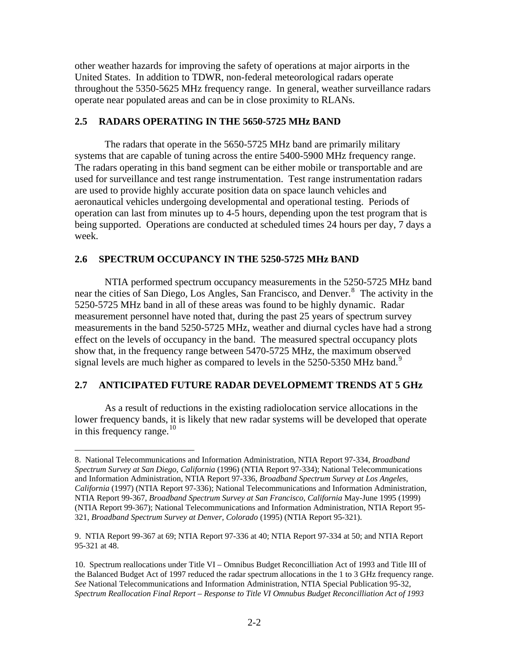<span id="page-12-0"></span>other weather hazards for improving the safety of operations at major airports in the United States. In addition to TDWR, non-federal meteorological radars operate throughout the 5350-5625 MHz frequency range. In general, weather surveillance radars operate near populated areas and can be in close proximity to RLANs.

#### **2.5 RADARS OPERATING IN THE 5650-5725 MHz BAND**

 The radars that operate in the 5650-5725 MHz band are primarily military systems that are capable of tuning across the entire 5400-5900 MHz frequency range. The radars operating in this band segment can be either mobile or transportable and are used for surveillance and test range instrumentation. Test range instrumentation radars are used to provide highly accurate position data on space launch vehicles and aeronautical vehicles undergoing developmental and operational testing. Periods of operation can last from minutes up to 4-5 hours, depending upon the test program that is being supported. Operations are conducted at scheduled times 24 hours per day, 7 days a week.

#### **2.6 SPECTRUM OCCUPANCY IN THE 5250-5725 MHz BAND**

 $\overline{a}$ 

NTIA performed spectrum occupancy measurements in the 5250-5725 MHz band near the cities of San Diego, Los Angles, San Francisco, and Denver.<sup>[8](#page-12-1)</sup> The activity in the 5250-5725 MHz band in all of these areas was found to be highly dynamic. Radar measurement personnel have noted that, during the past 25 years of spectrum survey measurements in the band 5250-5725 MHz, weather and diurnal cycles have had a strong effect on the levels of occupancy in the band. The measured spectral occupancy plots show that, in the frequency range between 5470-5725 MHz, the maximum observed signal levels are much higher as compared to levels in the  $5250-5350$  MHz band.<sup>[9](#page-12-2)</sup>

## **2.7 ANTICIPATED FUTURE RADAR DEVELOPMEMT TRENDS AT 5 GHz**

As a result of reductions in the existing radiolocation service allocations in the lower frequency bands, it is likely that new radar systems will be developed that operate in this frequency range. $^{10}$  $^{10}$  $^{10}$ 

<span id="page-12-1"></span><sup>8.</sup> National Telecommunications and Information Administration, NTIA Report 97-334, *Broadband Spectrum Survey at San Diego, California* (1996) (NTIA Report 97-334); National Telecommunications and Information Administration, NTIA Report 97-336, *Broadband Spectrum Survey at Los Angeles, California* (1997) (NTIA Report 97-336); National Telecommunications and Information Administration, NTIA Report 99-367, *Broadband Spectrum Survey at San Francisco, California* May-June 1995 (1999) (NTIA Report 99-367); National Telecommunications and Information Administration, NTIA Report 95- 321, *Broadband Spectrum Survey at Denver, Colorado* (1995) (NTIA Report 95-321).

<span id="page-12-2"></span><sup>9.</sup> NTIA Report 99-367 at 69; NTIA Report 97-336 at 40; NTIA Report 97-334 at 50; and NTIA Report 95-321 at 48.

<span id="page-12-3"></span><sup>10.</sup> Spectrum reallocations under Title VI – Omnibus Budget Reconcilliation Act of 1993 and Title III of the Balanced Budget Act of 1997 reduced the radar spectrum allocations in the 1 to 3 GHz frequency range. *See* National Telecommunications and Information Administration, NTIA Special Publication 95-32, *Spectrum Reallocation Final Report – Response to Title VI Omnubus Budget Reconcilliation Act of 1993*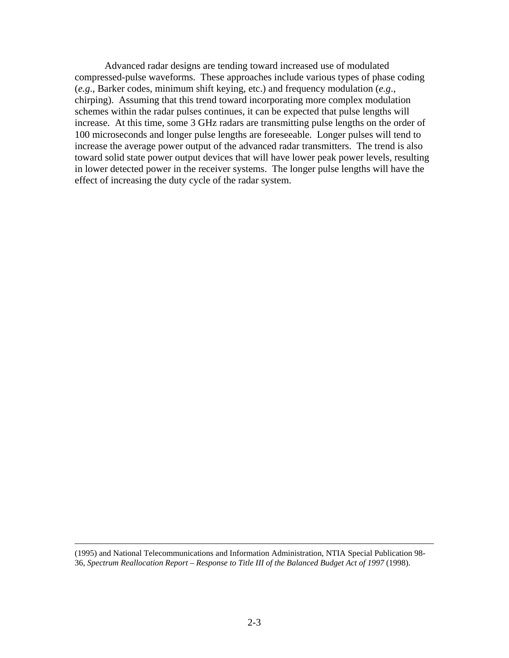Advanced radar designs are tending toward increased use of modulated compressed-pulse waveforms. These approaches include various types of phase coding (*e.g*., Barker codes, minimum shift keying, etc.) and frequency modulation (*e.g*., chirping). Assuming that this trend toward incorporating more complex modulation schemes within the radar pulses continues, it can be expected that pulse lengths will increase. At this time, some 3 GHz radars are transmitting pulse lengths on the order of 100 microseconds and longer pulse lengths are foreseeable. Longer pulses will tend to increase the average power output of the advanced radar transmitters. The trend is also toward solid state power output devices that will have lower peak power levels, resulting in lower detected power in the receiver systems. The longer pulse lengths will have the effect of increasing the duty cycle of the radar system.

 (1995) and National Telecommunications and Information Administration, NTIA Special Publication 98- 36, *Spectrum Reallocation Report – Response to Title III of the Balanced Budget Act of 1997* (1998).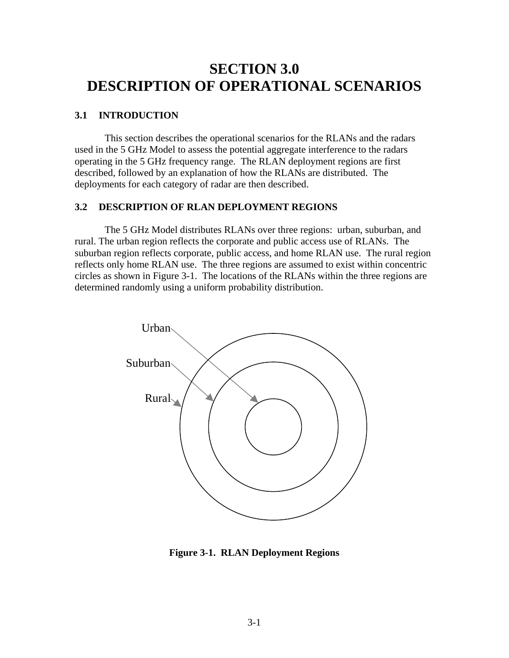## <span id="page-14-0"></span>**SECTION 3.0 DESCRIPTION OF OPERATIONAL SCENARIOS**

#### **3.1 INTRODUCTION**

This section describes the operational scenarios for the RLANs and the radars used in the 5 GHz Model to assess the potential aggregate interference to the radars operating in the 5 GHz frequency range. The RLAN deployment regions are first described, followed by an explanation of how the RLANs are distributed. The deployments for each category of radar are then described.

### **3.2 DESCRIPTION OF RLAN DEPLOYMENT REGIONS**

The 5 GHz Model distributes RLANs over three regions: urban, suburban, and rural. The urban region reflects the corporate and public access use of RLANs. The suburban region reflects corporate, public access, and home RLAN use. The rural region reflects only home RLAN use. The three regions are assumed to exist within concentric circles as shown in Figure 3-1. The locations of the RLANs within the three regions are determined randomly using a uniform probability distribution.



**Figure 3-1. RLAN Deployment Regions**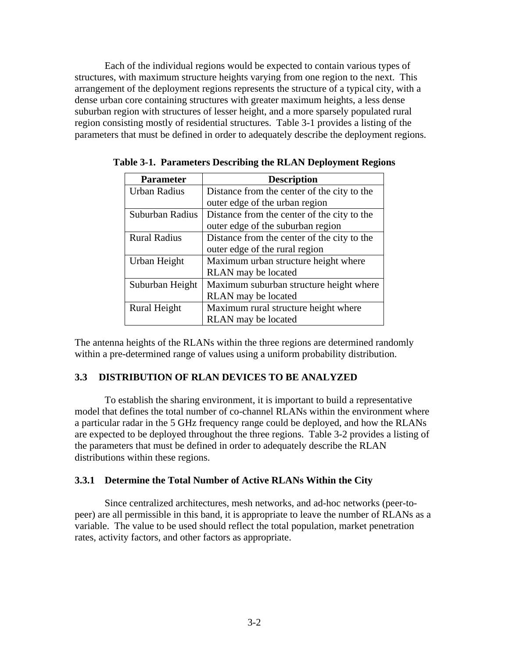<span id="page-15-0"></span> Each of the individual regions would be expected to contain various types of structures, with maximum structure heights varying from one region to the next. This arrangement of the deployment regions represents the structure of a typical city, with a dense urban core containing structures with greater maximum heights, a less dense suburban region with structures of lesser height, and a more sparsely populated rural region consisting mostly of residential structures. Table 3-1 provides a listing of the parameters that must be defined in order to adequately describe the deployment regions.

| <b>Parameter</b>    | <b>Description</b>                          |  |
|---------------------|---------------------------------------------|--|
| <b>Urban Radius</b> | Distance from the center of the city to the |  |
|                     | outer edge of the urban region              |  |
| Suburban Radius     | Distance from the center of the city to the |  |
|                     | outer edge of the suburban region           |  |
| <b>Rural Radius</b> | Distance from the center of the city to the |  |
|                     | outer edge of the rural region              |  |
| Urban Height        | Maximum urban structure height where        |  |
|                     | RLAN may be located                         |  |
| Suburban Height     | Maximum suburban structure height where     |  |
|                     | RLAN may be located                         |  |
| Rural Height        | Maximum rural structure height where        |  |
|                     | RLAN may be located                         |  |

**Table 3-1. Parameters Describing the RLAN Deployment Regions** 

The antenna heights of the RLANs within the three regions are determined randomly within a pre-determined range of values using a uniform probability distribution.

## **3.3 DISTRIBUTION OF RLAN DEVICES TO BE ANALYZED**

 To establish the sharing environment, it is important to build a representative model that defines the total number of co-channel RLANs within the environment where a particular radar in the 5 GHz frequency range could be deployed, and how the RLANs are expected to be deployed throughout the three regions. Table 3-2 provides a listing of the parameters that must be defined in order to adequately describe the RLAN distributions within these regions.

## **3.3.1 Determine the Total Number of Active RLANs Within the City**

 Since centralized architectures, mesh networks, and ad-hoc networks (peer-topeer) are all permissible in this band, it is appropriate to leave the number of RLANs as a variable. The value to be used should reflect the total population, market penetration rates, activity factors, and other factors as appropriate.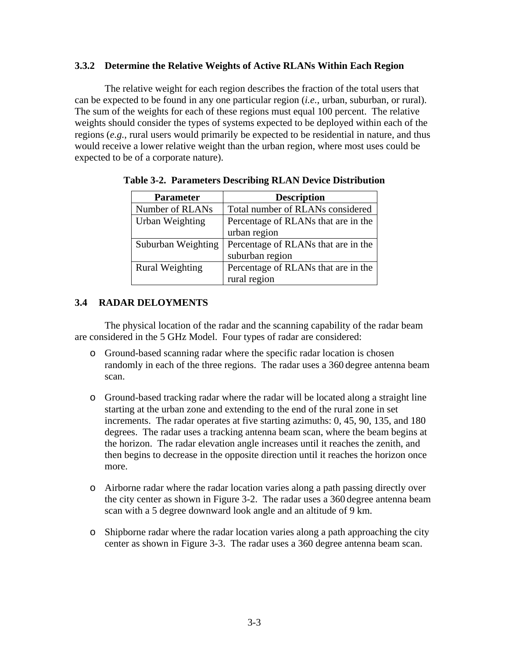## <span id="page-16-0"></span>**3.3.2 Determine the Relative Weights of Active RLANs Within Each Region**

 The relative weight for each region describes the fraction of the total users that can be expected to be found in any one particular region (*i.e.*, urban, suburban, or rural). The sum of the weights for each of these regions must equal 100 percent. The relative weights should consider the types of systems expected to be deployed within each of the regions (*e.g.*, rural users would primarily be expected to be residential in nature, and thus would receive a lower relative weight than the urban region, where most uses could be expected to be of a corporate nature).

| <b>Parameter</b>       | <b>Description</b>                  |
|------------------------|-------------------------------------|
| Number of RLANs        | Total number of RLANs considered    |
| Urban Weighting        | Percentage of RLANs that are in the |
|                        | urban region                        |
| Suburban Weighting     | Percentage of RLANs that are in the |
|                        | suburban region                     |
| <b>Rural Weighting</b> | Percentage of RLANs that are in the |
|                        | rural region                        |

**Table 3-2. Parameters Describing RLAN Device Distribution** 

## **3.4 RADAR DELOYMENTS**

The physical location of the radar and the scanning capability of the radar beam are considered in the 5 GHz Model. Four types of radar are considered:

- o Ground-based scanning radar where the specific radar location is chosen randomly in each of the three regions. The radar uses a 360 degree antenna beam scan.
- o Ground-based tracking radar where the radar will be located along a straight line starting at the urban zone and extending to the end of the rural zone in set increments. The radar operates at five starting azimuths: 0, 45, 90, 135, and 180 degrees. The radar uses a tracking antenna beam scan, where the beam begins at the horizon. The radar elevation angle increases until it reaches the zenith, and then begins to decrease in the opposite direction until it reaches the horizon once more.
- o Airborne radar where the radar location varies along a path passing directly over the city center as shown in Figure 3-2. The radar uses a 360 degree antenna beam scan with a 5 degree downward look angle and an altitude of 9 km.
- o Shipborne radar where the radar location varies along a path approaching the city center as shown in Figure 3-3. The radar uses a 360 degree antenna beam scan.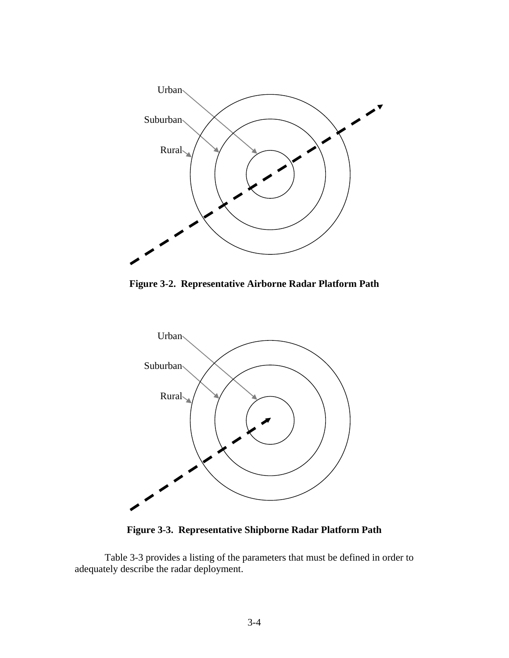

**Figure 3-2. Representative Airborne Radar Platform Path** 



**Figure 3-3. Representative Shipborne Radar Platform Path** 

Table 3-3 provides a listing of the parameters that must be defined in order to adequately describe the radar deployment.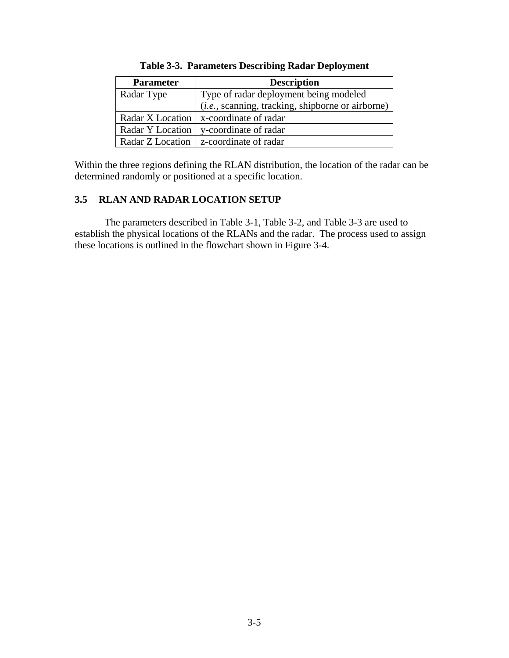<span id="page-18-0"></span>

| <b>Parameter</b> | <b>Description</b>                                         |
|------------------|------------------------------------------------------------|
| Radar Type       | Type of radar deployment being modeled                     |
|                  | ( <i>i.e.</i> , scanning, tracking, shipborne or airborne) |
|                  | Radar X Location   x-coordinate of radar                   |
| Radar Y Location | y-coordinate of radar                                      |
| Radar Z Location | z-coordinate of radar                                      |

| <b>Table 3-3. Parameters Describing Radar Deployment</b> |
|----------------------------------------------------------|
|----------------------------------------------------------|

Within the three regions defining the RLAN distribution, the location of the radar can be determined randomly or positioned at a specific location.

## **3.5 RLAN AND RADAR LOCATION SETUP**

The parameters described in Table 3-1, Table 3-2, and Table 3-3 are used to establish the physical locations of the RLANs and the radar. The process used to assign these locations is outlined in the flowchart shown in Figure 3-4.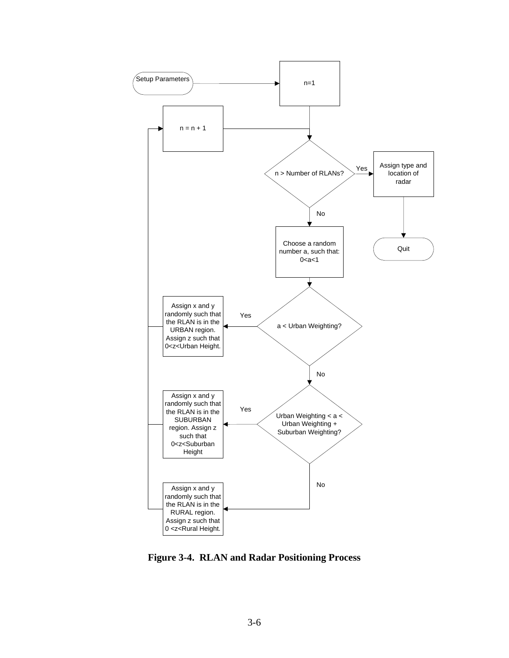

**Figure 3-4. RLAN and Radar Positioning Process**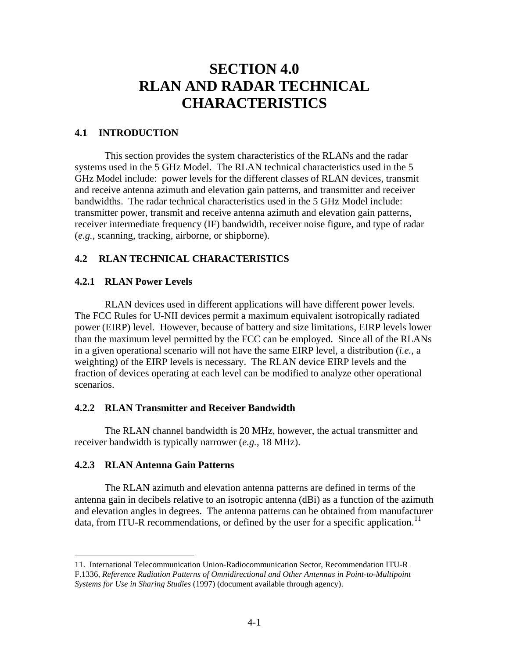# **SECTION 4.0 RLAN AND RADAR TECHNICAL CHARACTERISTICS**

## <span id="page-20-0"></span>**4.1 INTRODUCTION**

 This section provides the system characteristics of the RLANs and the radar systems used in the 5 GHz Model. The RLAN technical characteristics used in the 5 GHz Model include: power levels for the different classes of RLAN devices, transmit and receive antenna azimuth and elevation gain patterns, and transmitter and receiver bandwidths. The radar technical characteristics used in the 5 GHz Model include: transmitter power, transmit and receive antenna azimuth and elevation gain patterns, receiver intermediate frequency (IF) bandwidth, receiver noise figure, and type of radar (*e.g.*, scanning, tracking, airborne, or shipborne).

## **4.2 RLAN TECHNICAL CHARACTERISTICS**

## **4.2.1 RLAN Power Levels**

 RLAN devices used in different applications will have different power levels. The FCC Rules for U-NII devices permit a maximum equivalent isotropically radiated power (EIRP) level. However, because of battery and size limitations, EIRP levels lower than the maximum level permitted by the FCC can be employed. Since all of the RLANs in a given operational scenario will not have the same EIRP level, a distribution (*i.e.*, a weighting) of the EIRP levels is necessary. The RLAN device EIRP levels and the fraction of devices operating at each level can be modified to analyze other operational scenarios.

## **4.2.2 RLAN Transmitter and Receiver Bandwidth**

 The RLAN channel bandwidth is 20 MHz, however, the actual transmitter and receiver bandwidth is typically narrower (*e.g.*, 18 MHz).

## **4.2.3 RLAN Antenna Gain Patterns**

<u>.</u>

 The RLAN azimuth and elevation antenna patterns are defined in terms of the antenna gain in decibels relative to an isotropic antenna (dBi) as a function of the azimuth and elevation angles in degrees. The antenna patterns can be obtained from manufacturer data, from ITU-R recommendations, or defined by the user for a specific application.<sup>[11](#page-20-1)</sup>

<span id="page-20-1"></span><sup>11.</sup> International Telecommunication Union-Radiocommunication Sector, Recommendation ITU-R F.1336, *Reference Radiation Patterns of Omnidirectional and Other Antennas in Point-to-Multipoint Systems for Use in Sharing Studies* (1997) (document available through agency).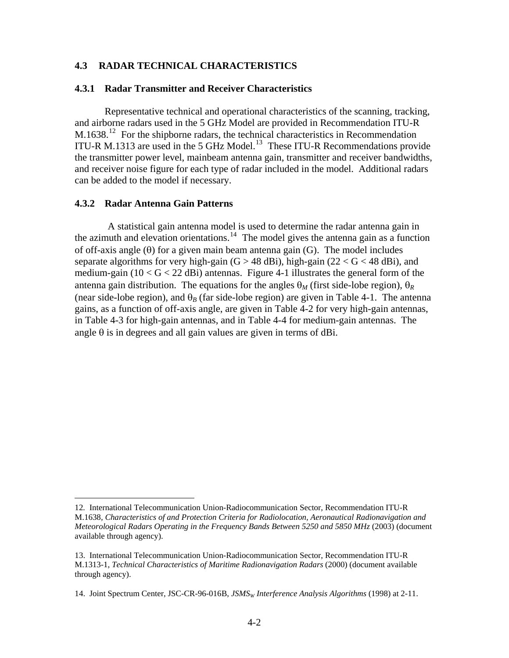## <span id="page-21-0"></span>**4.3 RADAR TECHNICAL CHARACTERISTICS**

### **4.3.1 Radar Transmitter and Receiver Characteristics**

Representative technical and operational characteristics of the scanning, tracking, and airborne radars used in the 5 GHz Model are provided in Recommendation ITU-R M.1638.<sup>[12](#page-21-1)</sup> For the shipborne radars, the technical characteristics in Recommendation ITU-R M.[13](#page-21-2)13 are used in the 5 GHz Model.<sup>13</sup> These ITU-R Recommendations provide the transmitter power level, mainbeam antenna gain, transmitter and receiver bandwidths, and receiver noise figure for each type of radar included in the model. Additional radars can be added to the model if necessary.

#### **4.3.2 Radar Antenna Gain Patterns**

 $\overline{a}$ 

 A statistical gain antenna model is used to determine the radar antenna gain in the azimuth and elevation orientations.<sup>[14](#page-21-3)</sup> The model gives the antenna gain as a function of off-axis angle  $(\theta)$  for a given main beam antenna gain  $(G)$ . The model includes separate algorithms for very high-gain  $(G > 48$  dBi), high-gain  $(22 < G < 48$  dBi), and medium-gain ( $10 < G < 22$  dBi) antennas. Figure 4-1 illustrates the general form of the antenna gain distribution. The equations for the angles  $\theta_M$  (first side-lobe region),  $\theta_R$ (near side-lobe region), and  $\theta_B$  (far side-lobe region) are given in Table 4-1. The antenna gains, as a function of off-axis angle, are given in Table 4-2 for very high-gain antennas, in Table 4-3 for high-gain antennas, and in Table 4-4 for medium-gain antennas. The angle  $\theta$  is in degrees and all gain values are given in terms of dBi.

<sup>12</sup>*.* International Telecommunication Union-Radiocommunication Sector, Recommendation ITU-R

<span id="page-21-1"></span>M.1638*, Characteristics of and Protection Criteria for Radiolocation, Aeronautical Radionavigation and Meteorological Radars Operating in the Frequency Bands Between 5250 and 5850 MHz* (2003) (document available through agency).

<span id="page-21-2"></span><sup>13.</sup> International Telecommunication Union-Radiocommunication Sector, Recommendation ITU-R M.1313-1, *Technical Characteristics of Maritime Radionavigation Radars* (2000) (document available through agency).

<span id="page-21-3"></span><sup>14.</sup> Joint Spectrum Center, JSC-CR-96-016B, *JSMSW Interference Analysis Algorithms* (1998) at 2-11.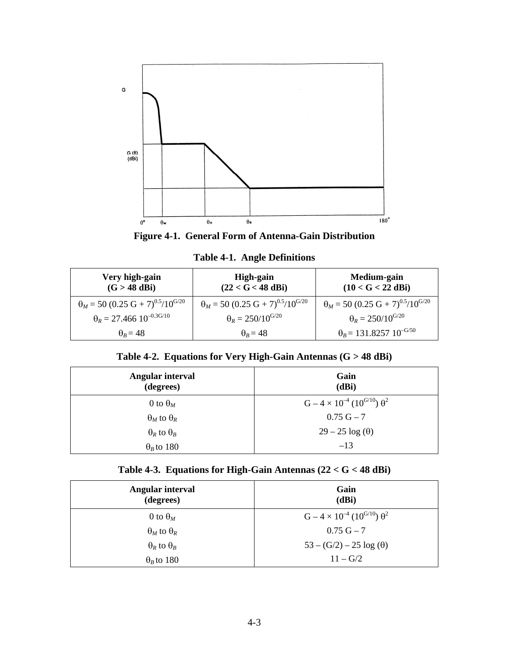



**Table 4-1. Angle Definitions** 

| Very high-gain<br>$(G > 48$ dBi)                                | High-gain<br>$(22 < G < 48$ dBi)                                | Medium-gain<br>$(10 < G < 22$ dBi)                              |
|-----------------------------------------------------------------|-----------------------------------------------------------------|-----------------------------------------------------------------|
| $\theta_M$ = 50 (0.25 G + 7) <sup>0.5</sup> /10 <sup>G/20</sup> | $\theta_M$ = 50 (0.25 G + 7) <sup>0.5</sup> /10 <sup>G/20</sup> | $\theta_M$ = 50 (0.25 G + 7) <sup>0.5</sup> /10 <sup>G/20</sup> |
| $\theta_R = 27.466 10^{-0.3 \text{G}/10}$                       | $\theta_R = 250/10^{G/20}$                                      | $\theta_R = 250/10^{G/20}$                                      |
| $\theta_R = 48$                                                 | $\theta_R = 48$                                                 | $\theta_B$ = 131.8257 10 <sup>-G/50</sup>                       |

## **Table 4-2. Equations for Very High-Gain Antennas (G > 48 dBi)**

| Angular interval<br>(degrees) | Gain<br>(dBi)                                           |
|-------------------------------|---------------------------------------------------------|
| 0 to $\theta_M$               | $G - 4 \times 10^{-4}$ (10 <sup>G/10</sup> ) $\theta^2$ |
| $\Theta_M$ to $\Theta_R$      | $0.75 G - 7$                                            |
| $\theta_R$ to $\theta_B$      | $29-25 \log(\theta)$                                    |
| $\theta_R$ to 180             | $-13$                                                   |

|  |  | Table 4-3. Equations for High-Gain Antennas $(22 < G < 48$ dBi) |  |  |
|--|--|-----------------------------------------------------------------|--|--|
|--|--|-----------------------------------------------------------------|--|--|

| Angular interval<br>(degrees) | Gain<br>(dBi)                                           |
|-------------------------------|---------------------------------------------------------|
| 0 to $\theta_M$               | $G - 4 \times 10^{-4}$ (10 <sup>G/10</sup> ) $\theta^2$ |
| $\theta_M$ to $\theta_R$      | $0.75$ G $-7$                                           |
| $\theta_R$ to $\theta_B$      | $53 - (G/2) - 25 \log(\theta)$                          |
| $\theta_B$ to 180             | $11 - G/2$                                              |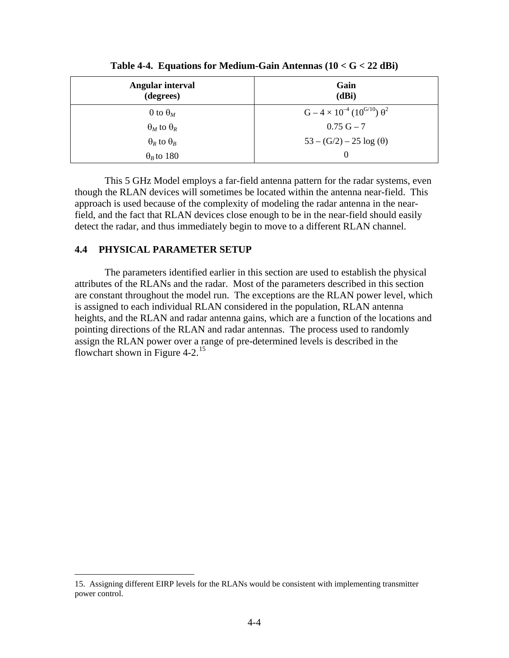<span id="page-23-0"></span>

| Angular interval<br>(degrees) | Gain<br>(dBi)                                           |
|-------------------------------|---------------------------------------------------------|
| 0 to $\theta_M$               | $G - 4 \times 10^{-4}$ (10 <sup>G/10</sup> ) $\theta^2$ |
| $\Theta_M$ to $\Theta_R$      | $0.75$ G $-7$                                           |
| $\theta_R$ to $\theta_B$      | $53 - (G/2) - 25 \log(\theta)$                          |
| $\theta_B$ to 180             | $\theta$                                                |

**Table 4-4. Equations for Medium-Gain Antennas (10 < G < 22 dBi)** 

This 5 GHz Model employs a far-field antenna pattern for the radar systems, even though the RLAN devices will sometimes be located within the antenna near-field. This approach is used because of the complexity of modeling the radar antenna in the nearfield, and the fact that RLAN devices close enough to be in the near-field should easily detect the radar, and thus immediately begin to move to a different RLAN channel.

## **4.4 PHYSICAL PARAMETER SETUP**

 $\overline{a}$ 

The parameters identified earlier in this section are used to establish the physical attributes of the RLANs and the radar. Most of the parameters described in this section are constant throughout the model run. The exceptions are the RLAN power level, which is assigned to each individual RLAN considered in the population, RLAN antenna heights, and the RLAN and radar antenna gains, which are a function of the locations and pointing directions of the RLAN and radar antennas. The process used to randomly assign the RLAN power over a range of pre-determined levels is described in the flowchart shown in Figure 4-2.<sup>[15](#page-23-1)</sup>

<span id="page-23-1"></span><sup>15.</sup> Assigning different EIRP levels for the RLANs would be consistent with implementing transmitter power control.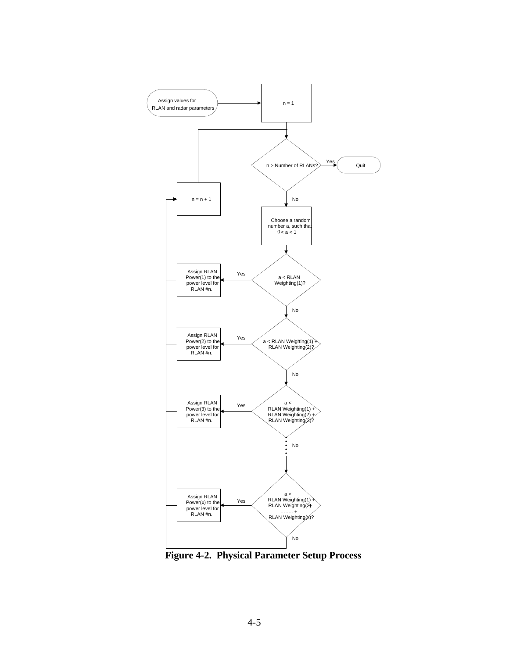

**Figure 4-2. Physical Parameter Setup Process**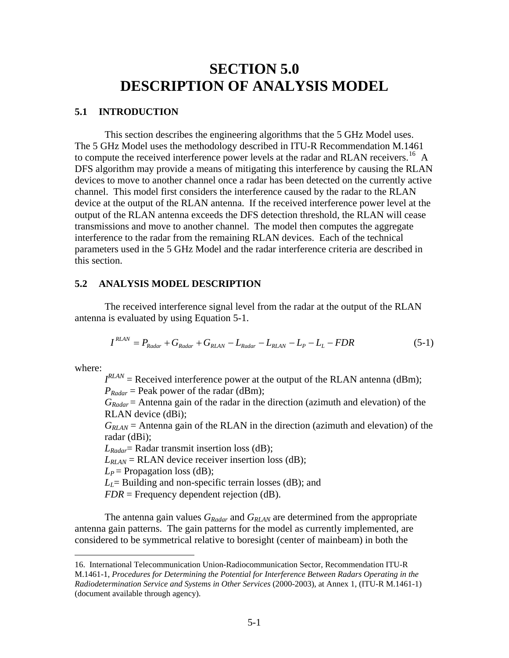## **SECTION 5.0 DESCRIPTION OF ANALYSIS MODEL**

#### <span id="page-25-0"></span>**5.1 INTRODUCTION**

 This section describes the engineering algorithms that the 5 GHz Model uses. The 5 GHz Model uses the methodology described in ITU-R Recommendation M.1461 to compute the received interference power levels at the radar and RLAN receivers.<sup>[16](#page-25-1)</sup> A DFS algorithm may provide a means of mitigating this interference by causing the RLAN devices to move to another channel once a radar has been detected on the currently active channel. This model first considers the interference caused by the radar to the RLAN device at the output of the RLAN antenna. If the received interference power level at the output of the RLAN antenna exceeds the DFS detection threshold, the RLAN will cease transmissions and move to another channel. The model then computes the aggregate interference to the radar from the remaining RLAN devices. Each of the technical parameters used in the 5 GHz Model and the radar interference criteria are described in this section.

### **5.2 ANALYSIS MODEL DESCRIPTION**

The received interference signal level from the radar at the output of the RLAN antenna is evaluated by using Equation 5-1.

$$
I^{RLAN} = P_{Radar} + G_{Radar} + G_{RLAN} - L_{Radar} - L_{RLAN} - L_P - L_L - FDR
$$
\n
$$
(5-1)
$$

where:

 $\overline{a}$ 

 $I^{RLAN}$  = Received interference power at the output of the RLAN antenna (dBm);  $P_{Radar}$  = Peak power of the radar (dBm);

*GRadar* = Antenna gain of the radar in the direction (azimuth and elevation) of the RLAN device (dBi);

 $G_{RIAN}$  = Antenna gain of the RLAN in the direction (azimuth and elevation) of the radar (dBi);

*LRadar*= Radar transmit insertion loss (dB);

 $L_{RLAN}$  = RLAN device receiver insertion loss (dB);

 $L_P$  = Propagation loss (dB);

 $L_l$  = Building and non-specific terrain losses (dB); and

*FDR* = Frequency dependent rejection (dB).

The antenna gain values  $G_{Radar}$  and  $G_{RLAN}$  are determined from the appropriate antenna gain patterns. The gain patterns for the model as currently implemented, are considered to be symmetrical relative to boresight (center of mainbeam) in both the

<span id="page-25-1"></span><sup>16.</sup> International Telecommunication Union-Radiocommunication Sector, Recommendation ITU-R M.1461-1, *Procedures for Determining the Potential for Interference Between Radars Operating in the Radiodetermination Service and Systems in Other Services* (2000-2003), at Annex 1, (ITU-R M.1461-1) (document available through agency).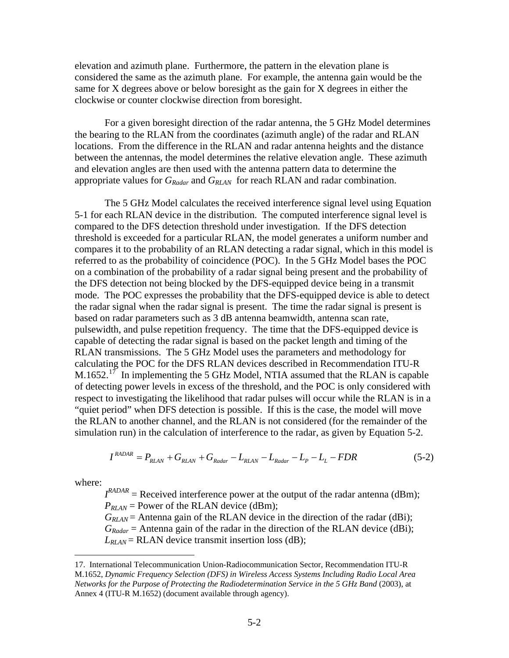elevation and azimuth plane. Furthermore, the pattern in the elevation plane is considered the same as the azimuth plane. For example, the antenna gain would be the same for X degrees above or below boresight as the gain for X degrees in either the clockwise or counter clockwise direction from boresight.

 For a given boresight direction of the radar antenna, the 5 GHz Model determines the bearing to the RLAN from the coordinates (azimuth angle) of the radar and RLAN locations. From the difference in the RLAN and radar antenna heights and the distance between the antennas, the model determines the relative elevation angle. These azimuth and elevation angles are then used with the antenna pattern data to determine the appropriate values for *GRadar* and *GRLAN* for reach RLAN and radar combination.

 The 5 GHz Model calculates the received interference signal level using Equation 5-1 for each RLAN device in the distribution. The computed interference signal level is compared to the DFS detection threshold under investigation. If the DFS detection threshold is exceeded for a particular RLAN, the model generates a uniform number and compares it to the probability of an RLAN detecting a radar signal, which in this model is referred to as the probability of coincidence (POC). In the 5 GHz Model bases the POC on a combination of the probability of a radar signal being present and the probability of the DFS detection not being blocked by the DFS-equipped device being in a transmit mode. The POC expresses the probability that the DFS-equipped device is able to detect the radar signal when the radar signal is present. The time the radar signal is present is based on radar parameters such as 3 dB antenna beamwidth, antenna scan rate, pulsewidth, and pulse repetition frequency. The time that the DFS-equipped device is capable of detecting the radar signal is based on the packet length and timing of the RLAN transmissions. The 5 GHz Model uses the parameters and methodology for calculating the POC for the DFS RLAN devices described in Recommendation ITU-R  $M.1652.<sup>17</sup>$  $M.1652.<sup>17</sup>$  $M.1652.<sup>17</sup>$  In implementing the 5 GHz Model, NTIA assumed that the RLAN is capable of detecting power levels in excess of the threshold, and the POC is only considered with respect to investigating the likelihood that radar pulses will occur while the RLAN is in a "quiet period" when DFS detection is possible. If this is the case, the model will move the RLAN to another channel, and the RLAN is not considered (for the remainder of the simulation run) in the calculation of interference to the radar, as given by Equation 5-2.

$$
I^{RADAR} = P_{RLAN} + G_{RLAN} + G_{Radar} - L_{RLAN} - L_{Radar} - L_P - L_L - FDR
$$
\n
$$
(5-2)
$$

where:

 $\overline{a}$ 

 $I^{RADAR}$  = Received interference power at the output of the radar antenna (dBm);  $P_{RLAN}$  = Power of the RLAN device (dBm);

*G<sub>RLAN</sub>* = Antenna gain of the RLAN device in the direction of the radar (dBi);  $G_{Radar}$  = Antenna gain of the radar in the direction of the RLAN device (dBi);  $L_{RLAN}$  = RLAN device transmit insertion loss (dB);

<span id="page-26-0"></span><sup>17.</sup> International Telecommunication Union-Radiocommunication Sector, Recommendation ITU-R M.1652, *Dynamic Frequency Selection (DFS) in Wireless Access Systems Including Radio Local Area Networks for the Purpose of Protecting the Radiodetermination Service in the 5 GHz Band* (2003), at Annex 4 (ITU-R M.1652) (document available through agency).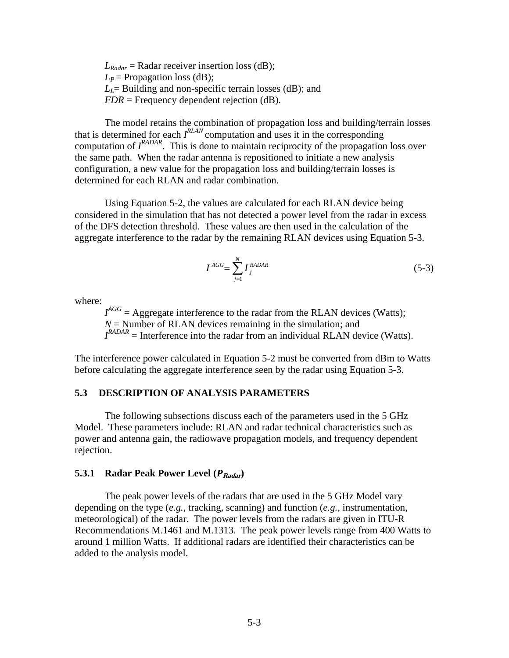<span id="page-27-0"></span> $L_{Radar}$  = Radar receiver insertion loss (dB);  $L_P$  = Propagation loss (dB);  $L_l$ = Building and non-specific terrain losses (dB); and *FDR* = Frequency dependent rejection (dB).

 The model retains the combination of propagation loss and building/terrain losses that is determined for each *I RLAN* computation and uses it in the corresponding computation of  $I^{RADAR}$ . This is done to maintain reciprocity of the propagation loss over the same path. When the radar antenna is repositioned to initiate a new analysis configuration, a new value for the propagation loss and building/terrain losses is determined for each RLAN and radar combination.

 Using Equation 5-2, the values are calculated for each RLAN device being considered in the simulation that has not detected a power level from the radar in excess of the DFS detection threshold. These values are then used in the calculation of the aggregate interference to the radar by the remaining RLAN devices using Equation 5-3.

$$
I^{AGG} = \sum_{j=1}^{N} I_j^{RADAR}
$$
 (5-3)

where:

 $I^{AGG}$  = Aggregate interference to the radar from the RLAN devices (Watts);  $N =$  Number of RLAN devices remaining in the simulation; and  $I^{RADAR}$  = Interference into the radar from an individual RLAN device (Watts).

The interference power calculated in Equation 5-2 must be converted from dBm to Watts before calculating the aggregate interference seen by the radar using Equation 5-3.

## **5.3 DESCRIPTION OF ANALYSIS PARAMETERS**

 The following subsections discuss each of the parameters used in the 5 GHz Model. These parameters include: RLAN and radar technical characteristics such as power and antenna gain, the radiowave propagation models, and frequency dependent rejection.

#### **5.3.1 Radar Peak Power Level** ( $P_{Radar}$ )

The peak power levels of the radars that are used in the 5 GHz Model vary depending on the type (*e.g.*, tracking, scanning) and function (*e.g.*, instrumentation, meteorological) of the radar. The power levels from the radars are given in ITU-R Recommendations M.1461 and M.1313. The peak power levels range from 400 Watts to around 1 million Watts. If additional radars are identified their characteristics can be added to the analysis model.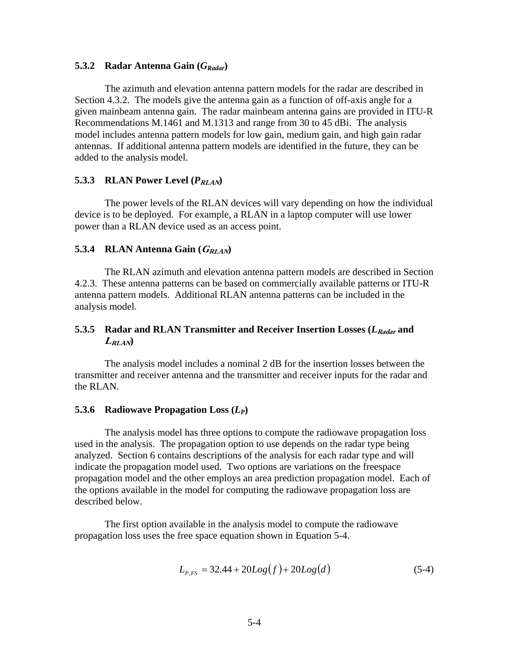#### **5.3.2 Radar Antenna Gain (***GRadar***)**

The azimuth and elevation antenna pattern models for the radar are described in Section 4.3.2. The models give the antenna gain as a function of off-axis angle for a given mainbeam antenna gain. The radar mainbeam antenna gains are provided in ITU-R Recommendations M.1461 and M.1313 and range from 30 to 45 dBi. The analysis model includes antenna pattern models for low gain, medium gain, and high gain radar antennas. If additional antenna pattern models are identified in the future, they can be added to the analysis model.

#### **5.3.3 RLAN Power Level**  $(P_{RLAN})$

The power levels of the RLAN devices will vary depending on how the individual device is to be deployed. For example, a RLAN in a laptop computer will use lower power than a RLAN device used as an access point.

#### 5.3.4 RLAN Antenna Gain ( $G_{RLAN}$ )

 The RLAN azimuth and elevation antenna pattern models are described in Section 4.2.3. These antenna patterns can be based on commercially available patterns or ITU-R antenna pattern models. Additional RLAN antenna patterns can be included in the analysis model.

## **5.3.5 Radar and RLAN Transmitter and Receiver Insertion Losses (***L***Radar and**   $L_{RLAN}$

The analysis model includes a nominal 2 dB for the insertion losses between the transmitter and receiver antenna and the transmitter and receiver inputs for the radar and the RLAN.

#### **5.3.6 Radiowave Propagation Loss (***LP***)**

The analysis model has three options to compute the radiowave propagation loss used in the analysis. The propagation option to use depends on the radar type being analyzed. Section 6 contains descriptions of the analysis for each radar type and will indicate the propagation model used. Two options are variations on the freespace propagation model and the other employs an area prediction propagation model. Each of the options available in the model for computing the radiowave propagation loss are described below.

The first option available in the analysis model to compute the radiowave propagation loss uses the free space equation shown in Equation 5-4.

$$
L_{P,FS} = 32.44 + 20Log(f) + 20Log(d)
$$
 (5-4)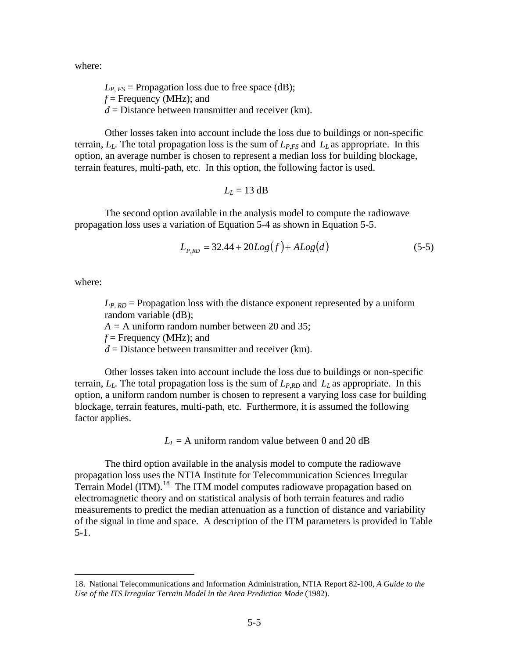where:

 $L_{P,FS}$  = Propagation loss due to free space (dB); *f* = Frequency (MHz); and  $d =$  Distance between transmitter and receiver (km).

 Other losses taken into account include the loss due to buildings or non-specific terrain,  $L_L$ . The total propagation loss is the sum of  $L_{P,FS}$  and  $L_L$  as appropriate. In this option, an average number is chosen to represent a median loss for building blockage, terrain features, multi-path, etc. In this option, the following factor is used.

$$
L_L = 13 \text{ dB}
$$

The second option available in the analysis model to compute the radiowave propagation loss uses a variation of Equation 5-4 as shown in Equation 5-5.

$$
L_{P,RD} = 32.44 + 20Log(f) + ALog(d)
$$
 (5-5)

where:

 $\overline{a}$ 

 $L_{P, RD}$  = Propagation loss with the distance exponent represented by a uniform random variable (dB);

*A =* A uniform random number between 20 and 35;

 $f =$  Frequency (MHz); and

*d* = Distance between transmitter and receiver (km).

 Other losses taken into account include the loss due to buildings or non-specific terrain,  $L_L$ . The total propagation loss is the sum of  $L_{P,RD}$  and  $L_L$  as appropriate. In this option, a uniform random number is chosen to represent a varying loss case for building blockage, terrain features, multi-path, etc. Furthermore, it is assumed the following factor applies.

 $L<sub>L</sub>$  = A uniform random value between 0 and 20 dB

The third option available in the analysis model to compute the radiowave propagation loss uses the NTIA Institute for Telecommunication Sciences Irregular  $T$ errain Model (ITM).<sup>[18](#page-29-0)</sup> The ITM model computes radiowave propagation based on electromagnetic theory and on statistical analysis of both terrain features and radio measurements to predict the median attenuation as a function of distance and variability of the signal in time and space. A description of the ITM parameters is provided in Table 5-1.

<span id="page-29-0"></span><sup>18.</sup> National Telecommunications and Information Administration, NTIA Report 82-100, *A Guide to the Use of the ITS Irregular Terrain Model in the Area Prediction Mode* (1982).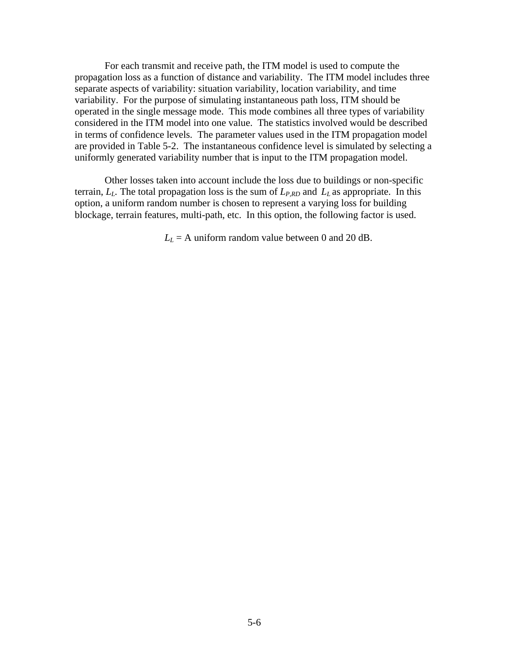For each transmit and receive path, the ITM model is used to compute the propagation loss as a function of distance and variability. The ITM model includes three separate aspects of variability: situation variability, location variability, and time variability. For the purpose of simulating instantaneous path loss, ITM should be operated in the single message mode. This mode combines all three types of variability considered in the ITM model into one value. The statistics involved would be described in terms of confidence levels. The parameter values used in the ITM propagation model are provided in Table 5-2. The instantaneous confidence level is simulated by selecting a uniformly generated variability number that is input to the ITM propagation model.

Other losses taken into account include the loss due to buildings or non-specific terrain,  $L_L$ . The total propagation loss is the sum of  $L_{P,RD}$  and  $L_L$  as appropriate. In this option, a uniform random number is chosen to represent a varying loss for building blockage, terrain features, multi-path, etc. In this option, the following factor is used.

 $L<sub>L</sub>$  = A uniform random value between 0 and 20 dB.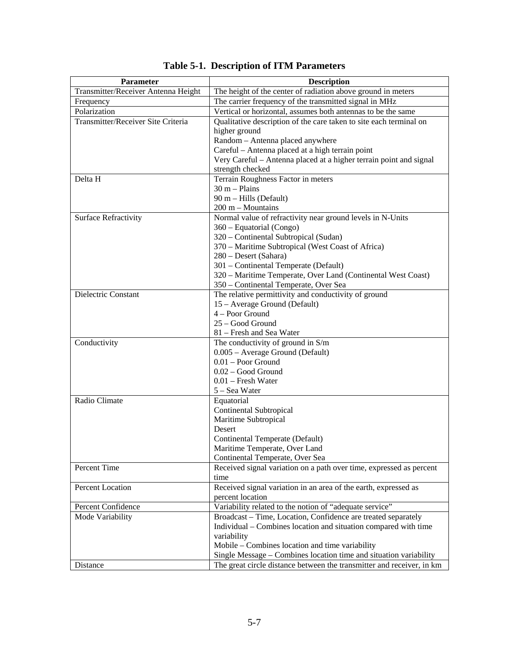| Parameter                           | <b>Description</b>                                                    |
|-------------------------------------|-----------------------------------------------------------------------|
| Transmitter/Receiver Antenna Height | The height of the center of radiation above ground in meters          |
| Frequency                           | The carrier frequency of the transmitted signal in MHz                |
| Polarization                        | Vertical or horizontal, assumes both antennas to be the same          |
| Transmitter/Receiver Site Criteria  | Qualitative description of the care taken to site each terminal on    |
|                                     | higher ground                                                         |
|                                     | Random - Antenna placed anywhere                                      |
|                                     | Careful – Antenna placed at a high terrain point                      |
|                                     | Very Careful - Antenna placed at a higher terrain point and signal    |
|                                     | strength checked                                                      |
| Delta H                             | Terrain Roughness Factor in meters                                    |
|                                     | $30 m - Plains$                                                       |
|                                     | 90 m - Hills (Default)                                                |
|                                     | 200 m - Mountains                                                     |
| <b>Surface Refractivity</b>         | Normal value of refractivity near ground levels in N-Units            |
|                                     | 360 - Equatorial (Congo)                                              |
|                                     | 320 - Continental Subtropical (Sudan)                                 |
|                                     | 370 – Maritime Subtropical (West Coast of Africa)                     |
|                                     | 280 - Desert (Sahara)                                                 |
|                                     | 301 - Continental Temperate (Default)                                 |
|                                     | 320 - Maritime Temperate, Over Land (Continental West Coast)          |
|                                     | 350 - Continental Temperate, Over Sea                                 |
| Dielectric Constant                 | The relative permittivity and conductivity of ground                  |
|                                     | 15 - Average Ground (Default)                                         |
|                                     | 4 - Poor Ground                                                       |
|                                     | 25 - Good Ground                                                      |
|                                     | 81 – Fresh and Sea Water                                              |
| Conductivity                        | The conductivity of ground in $S/m$                                   |
|                                     | 0.005 - Average Ground (Default)                                      |
|                                     | $0.01 -$ Poor Ground                                                  |
|                                     | 0.02 - Good Ground                                                    |
|                                     | $0.01$ – Fresh Water                                                  |
| Radio Climate                       | 5 - Sea Water                                                         |
|                                     | Equatorial                                                            |
|                                     | <b>Continental Subtropical</b>                                        |
|                                     | Maritime Subtropical<br>Desert                                        |
|                                     | Continental Temperate (Default)                                       |
|                                     | Maritime Temperate, Over Land                                         |
|                                     | Continental Temperate, Over Sea                                       |
| Percent Time                        | Received signal variation on a path over time, expressed as percent   |
|                                     | time                                                                  |
| Percent Location                    | Received signal variation in an area of the earth, expressed as       |
|                                     | percent location                                                      |
| Percent Confidence                  | Variability related to the notion of "adequate service"               |
| Mode Variability                    | Broadcast - Time, Location, Confidence are treated separately         |
|                                     | Individual – Combines location and situation compared with time       |
|                                     | variability                                                           |
|                                     | Mobile – Combines location and time variability                       |
|                                     | Single Message - Combines location time and situation variability     |
| Distance                            | The great circle distance between the transmitter and receiver, in km |

**Table 5-1. Description of ITM Parameters**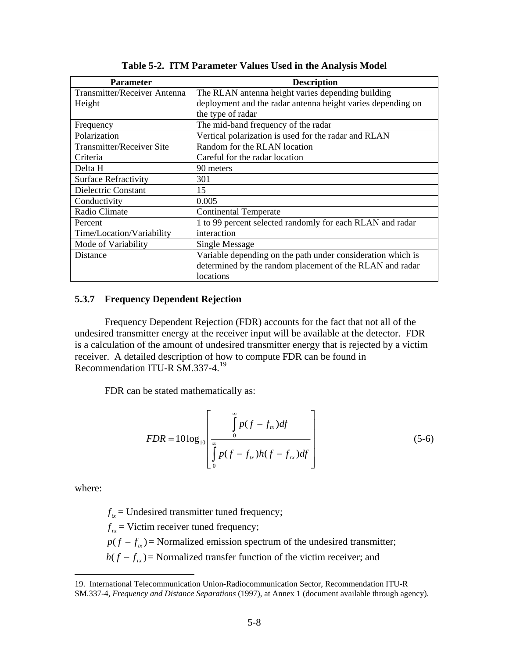| <b>Parameter</b>                 | <b>Description</b>                                          |
|----------------------------------|-------------------------------------------------------------|
| Transmitter/Receiver Antenna     | The RLAN antenna height varies depending building           |
| Height                           | deployment and the radar antenna height varies depending on |
|                                  | the type of radar                                           |
| Frequency                        | The mid-band frequency of the radar                         |
| Polarization                     | Vertical polarization is used for the radar and RLAN        |
| <b>Transmitter/Receiver Site</b> | Random for the RLAN location                                |
| Criteria                         | Careful for the radar location                              |
| Delta H                          | 90 meters                                                   |
| <b>Surface Refractivity</b>      | 301                                                         |
| Dielectric Constant              | 15                                                          |
| Conductivity                     | 0.005                                                       |
| Radio Climate                    | <b>Continental Temperate</b>                                |
| Percent                          | 1 to 99 percent selected randomly for each RLAN and radar   |
| Time/Location/Variability        | interaction                                                 |
| Mode of Variability              | <b>Single Message</b>                                       |
| <b>Distance</b>                  | Variable depending on the path under consideration which is |
|                                  | determined by the random placement of the RLAN and radar    |
|                                  | locations                                                   |

**Table 5-2. ITM Parameter Values Used in the Analysis Model** 

## **5.3.7 Frequency Dependent Rejection**

 Frequency Dependent Rejection (FDR) accounts for the fact that not all of the undesired transmitter energy at the receiver input will be available at the detector. FDR is a calculation of the amount of undesired transmitter energy that is rejected by a victim receiver. A detailed description of how to compute FDR can be found in Recommendation ITU-R SM.337-4.<sup>[19](#page-32-0)</sup>

FDR can be stated mathematically as:

$$
FDR = 10\log_{10}\left[\int_{0}^{\infty} p(f - f_{tx})df\right]
$$
  

$$
\int_{0}^{\infty} p(f - f_{tx})h(f - f_{rx})df\right]
$$
 (5-6)

where:

 $\overline{a}$ 

 $f_{tr}$  = Undesired transmitter tuned frequency;

 $f<sub>rr</sub>$  = Victim receiver tuned frequency;

 $p(f - f_{k})$  = Normalized emission spectrum of the undesired transmitter;

 $h(f - f<sub>rx</sub>)$  = Normalized transfer function of the victim receiver; and

<span id="page-32-0"></span><sup>19.</sup> International Telecommunication Union-Radiocommunication Sector, Recommendation ITU-R SM.337-4, *Frequency and Distance Separations* (1997), at Annex 1 (document available through agency).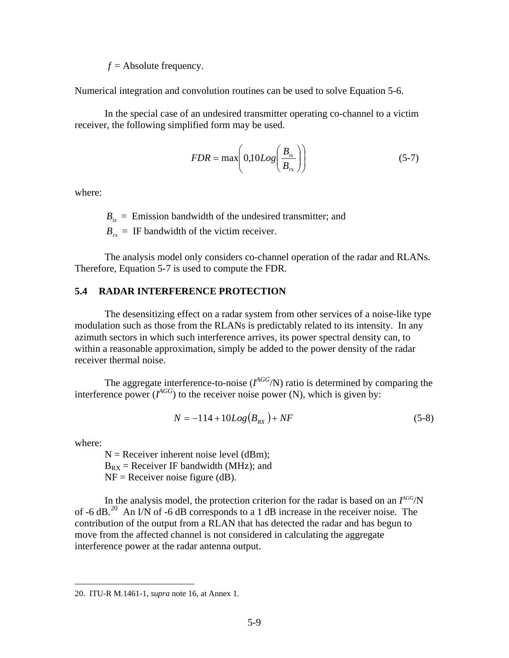$f =$ Absolute frequency.

<span id="page-33-0"></span>Numerical integration and convolution routines can be used to solve Equation 5-6.

 In the special case of an undesired transmitter operating co-channel to a victim receiver, the following simplified form may be used.

$$
FDR = \max\left(0,10Log\left(\frac{B_{tx}}{B_{rx}}\right)\right) \tag{5-7}
$$

where:

 $B_{tx}$  = Emission bandwidth of the undesired transmitter; and

 $B_{rr}$  = IF bandwidth of the victim receiver.

The analysis model only considers co-channel operation of the radar and RLANs. Therefore, Equation 5-7 is used to compute the FDR.

#### **5.4 RADAR INTERFERENCE PROTECTION**

 The desensitizing effect on a radar system from other services of a noise-like type modulation such as those from the RLANs is predictably related to its intensity. In any azimuth sectors in which such interference arrives, its power spectral density can, to within a reasonable approximation, simply be added to the power density of the radar receiver thermal noise.

The aggregate interference-to-noise  $(I^{AGG}/N)$  ratio is determined by comparing the interference power  $(I^{AGG})$  to the receiver noise power (N), which is given by:

$$
N = -114 + 10Log(B_{RX}) + NF
$$
\n(5-8)

where:

 $\overline{a}$ 

 $N =$  Receiver inherent noise level (dBm);  $B_{RX}$  = Receiver IF bandwidth (MHz); and  $NF = Receiver noise figure (dB)$ .

In the analysis model, the protection criterion for the radar is based on an  $I^{AGG}/N$ of  $-6$  dB.<sup>[20](#page-33-1)</sup> An I/N of  $-6$  dB corresponds to a 1 dB increase in the receiver noise. The contribution of the output from a RLAN that has detected the radar and has begun to move from the affected channel is not considered in calculating the aggregate interference power at the radar antenna output.

<span id="page-33-1"></span><sup>20.</sup> ITU-R M.1461-1, *supra* note 16, at Annex 1.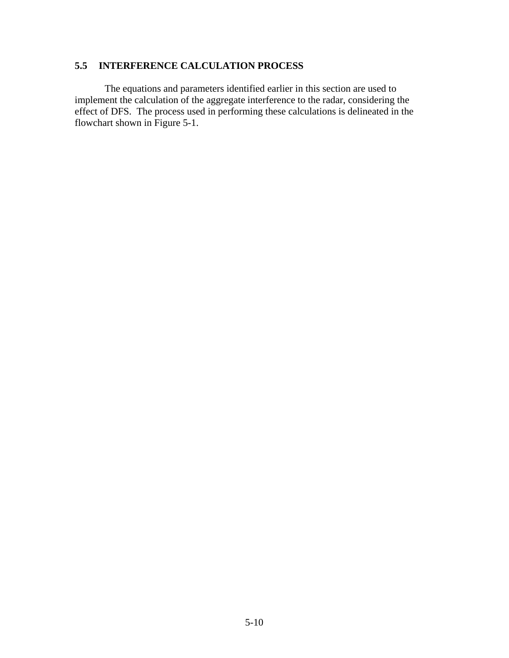## <span id="page-34-0"></span>**5.5 INTERFERENCE CALCULATION PROCESS**

 The equations and parameters identified earlier in this section are used to implement the calculation of the aggregate interference to the radar, considering the effect of DFS. The process used in performing these calculations is delineated in the flowchart shown in Figure 5-1.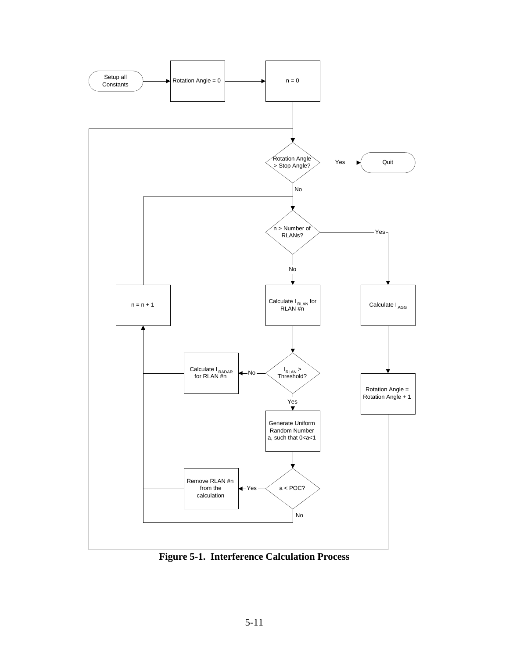

**Figure 5-1. Interference Calculation Process**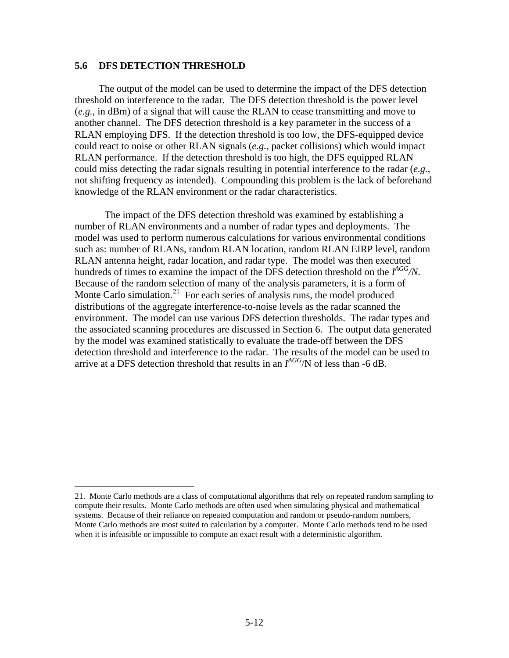## **5.6 DFS DETECTION THRESHOLD**

1

The output of the model can be used to determine the impact of the DFS detection threshold on interference to the radar. The DFS detection threshold is the power level (*e.g.*, in dBm) of a signal that will cause the RLAN to cease transmitting and move to another channel. The DFS detection threshold is a key parameter in the success of a RLAN employing DFS. If the detection threshold is too low, the DFS-equipped device could react to noise or other RLAN signals (*e.g.*, packet collisions) which would impact RLAN performance. If the detection threshold is too high, the DFS equipped RLAN could miss detecting the radar signals resulting in potential interference to the radar (*e.g.*, not shifting frequency as intended). Compounding this problem is the lack of beforehand knowledge of the RLAN environment or the radar characteristics.

The impact of the DFS detection threshold was examined by establishing a number of RLAN environments and a number of radar types and deployments. The model was used to perform numerous calculations for various environmental conditions such as: number of RLANs, random RLAN location, random RLAN EIRP level, random RLAN antenna height, radar location, and radar type. The model was then executed hundreds of times to examine the impact of the DFS detection threshold on the *I AGG/N*. Because of the random selection of many of the analysis parameters, it is a form of Monte Carlo simulation.<sup>[21](#page-36-0)</sup> For each series of analysis runs, the model produced distributions of the aggregate interference-to-noise levels as the radar scanned the environment. The model can use various DFS detection thresholds. The radar types and the associated scanning procedures are discussed in Section 6. The output data generated by the model was examined statistically to evaluate the trade-off between the DFS detection threshold and interference to the radar. The results of the model can be used to arrive at a DFS detection threshold that results in an *I AGG*/N of less than -6 dB.

<span id="page-36-0"></span><sup>21.</sup> Monte Carlo methods are a class of [computational](http://en.wikipedia.org/wiki/Computation) [algorithms](http://en.wikipedia.org/wiki/Algorithm) that rely on repeated [random](http://en.wikipedia.org/wiki/Random) sampling to compute their results. Monte Carlo methods are often used when [simulating](http://en.wikipedia.org/wiki/Computer_simulation) [physical](http://en.wikipedia.org/wiki/Physics) and [mathematical](http://en.wikipedia.org/wiki/Mathematics) systems. Because of their reliance on repeated computation and [random](http://en.wikipedia.org/wiki/Random_number) or [pseudo-random](http://en.wikipedia.org/wiki/Pseudorandomness) numbers, Monte Carlo methods are most suited to calculation by a [computer.](http://en.wikipedia.org/wiki/Computer) Monte Carlo methods tend to be used when it is infeasible or impossible to compute an exact result with a [deterministic algorithm.](http://en.wikipedia.org/wiki/Deterministic_algorithm)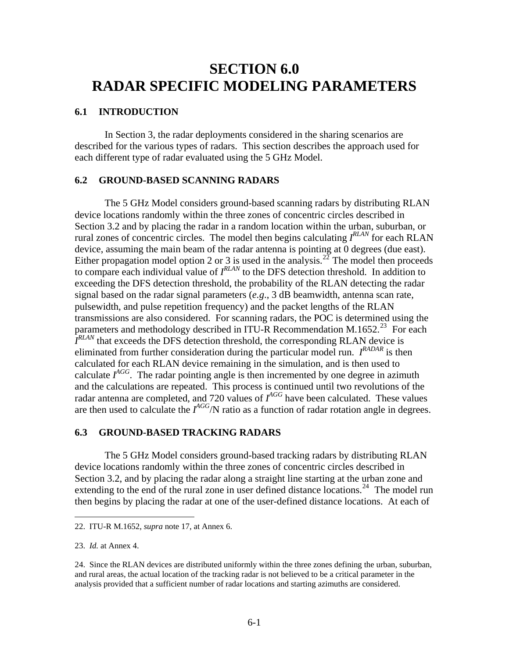## <span id="page-37-0"></span>**SECTION 6.0 RADAR SPECIFIC MODELING PARAMETERS**

## **6.1 INTRODUCTION**

 In Section 3, the radar deployments considered in the sharing scenarios are described for the various types of radars. This section describes the approach used for each different type of radar evaluated using the 5 GHz Model.

#### **6.2 GROUND-BASED SCANNING RADARS**

 The 5 GHz Model considers ground-based scanning radars by distributing RLAN device locations randomly within the three zones of concentric circles described in Section 3.2 and by placing the radar in a random location within the urban, suburban, or rural zones of concentric circles. The model then begins calculating *I RLAN* for each RLAN device, assuming the main beam of the radar antenna is pointing at 0 degrees (due east). Either propagation model option 2 or 3 is used in the analysis.<sup>[22](#page-37-1)</sup> The model then proceeds to compare each individual value of  $I^{RLAN}$  to the DFS detection threshold. In addition to exceeding the DFS detection threshold, the probability of the RLAN detecting the radar signal based on the radar signal parameters  $(e.g., 3 dB)$  beamwidth, antenna scan rate, pulsewidth, and pulse repetition frequency) and the packet lengths of the RLAN transmissions are also considered. For scanning radars, the POC is determined using the parameters and methodology described in ITU-R Recommendation M.1652.<sup>[23](#page-37-2)</sup> For each *I*<sup>RLAN</sup> that exceeds the DFS detection threshold, the corresponding RLAN device is eliminated from further consideration during the particular model run. *I RADAR* is then calculated for each RLAN device remaining in the simulation, and is then used to calculate  $I^{AGG}$ . The radar pointing angle is then incremented by one degree in azimuth and the calculations are repeated. This process is continued until two revolutions of the radar antenna are completed, and 720 values of  $I^{AGG}$  have been calculated. These values are then used to calculate the  $I^{AGG}/N$  ratio as a function of radar rotation angle in degrees.

#### **6.3 GROUND-BASED TRACKING RADARS**

 The 5 GHz Model considers ground-based tracking radars by distributing RLAN device locations randomly within the three zones of concentric circles described in Section 3.2, and by placing the radar along a straight line starting at the urban zone and extending to the end of the rural zone in user defined distance locations.<sup>[24](#page-37-3)</sup> The model run then begins by placing the radar at one of the user-defined distance locations. At each of

1

<span id="page-37-1"></span><sup>22.</sup> ITU-R M.1652, *supra* note 17, at Annex 6.

<span id="page-37-2"></span><sup>23.</sup> *Id.* at Annex 4.

<span id="page-37-3"></span><sup>24.</sup> Since the RLAN devices are distributed uniformly within the three zones defining the urban, suburban, and rural areas, the actual location of the tracking radar is not believed to be a critical parameter in the analysis provided that a sufficient number of radar locations and starting azimuths are considered.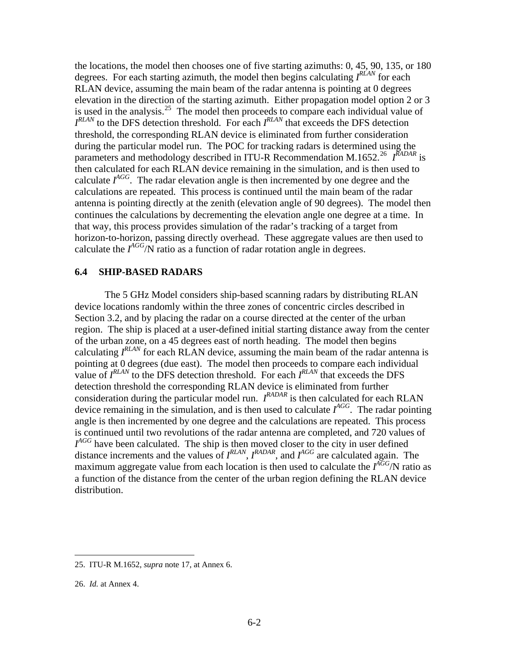<span id="page-38-0"></span>the locations, the model then chooses one of five starting azimuths: 0, 45, 90, 135, or 180 degrees. For each starting azimuth, the model then begins calculating *I RLAN* for each RLAN device, assuming the main beam of the radar antenna is pointing at 0 degrees elevation in the direction of the starting azimuth. Either propagation model option 2 or 3 is used in the analysis.<sup>[25](#page-38-1)</sup> The model then proceeds to compare each individual value of *I RLAN* to the DFS detection threshold. For each *I RLAN* that exceeds the DFS detection threshold, the corresponding RLAN device is eliminated from further consideration during the particular model run. The POC for tracking radars is determined using the parameters and methodology described in ITU-R Recommendation M.1652.<sup>[26](#page-38-2)</sup> I<sup>RADAR</sup> is then calculated for each RLAN device remaining in the simulation, and is then used to calculate  $I^{AGG}$ . The radar elevation angle is then incremented by one degree and the calculations are repeated. This process is continued until the main beam of the radar antenna is pointing directly at the zenith (elevation angle of 90 degrees). The model then continues the calculations by decrementing the elevation angle one degree at a time. In that way, this process provides simulation of the radar's tracking of a target from horizon-to-horizon, passing directly overhead. These aggregate values are then used to calculate the  $I^{AGG}/N$  ratio as a function of radar rotation angle in degrees.

#### **6.4 SHIP-BASED RADARS**

 The 5 GHz Model considers ship-based scanning radars by distributing RLAN device locations randomly within the three zones of concentric circles described in Section 3.2, and by placing the radar on a course directed at the center of the urban region. The ship is placed at a user-defined initial starting distance away from the center of the urban zone, on a 45 degrees east of north heading. The model then begins calculating  $I^{RLAN}$  for each RLAN device, assuming the main beam of the radar antenna is pointing at 0 degrees (due east). The model then proceeds to compare each individual value of  $I^{RLAN}$  to the DFS detection threshold. For each  $I^{RLAN}$  that exceeds the DFS detection threshold the corresponding RLAN device is eliminated from further consideration during the particular model run. *I RADAR* is then calculated for each RLAN device remaining in the simulation, and is then used to calculate *I AGG*. The radar pointing angle is then incremented by one degree and the calculations are repeated. This process is continued until two revolutions of the radar antenna are completed, and 720 values of  $I<sup>AGG</sup>$  have been calculated. The ship is then moved closer to the city in user defined distance increments and the values of *I RLAN*, *IRADAR*, and *IAGG* are calculated again. The maximum aggregate value from each location is then used to calculate the *I AGG*/N ratio as a function of the distance from the center of the urban region defining the RLAN device distribution.

<u>.</u>

<span id="page-38-1"></span><sup>25.</sup> ITU-R M.1652, *supra* note 17, at Annex 6.

<span id="page-38-2"></span><sup>26.</sup> *Id.* at Annex 4.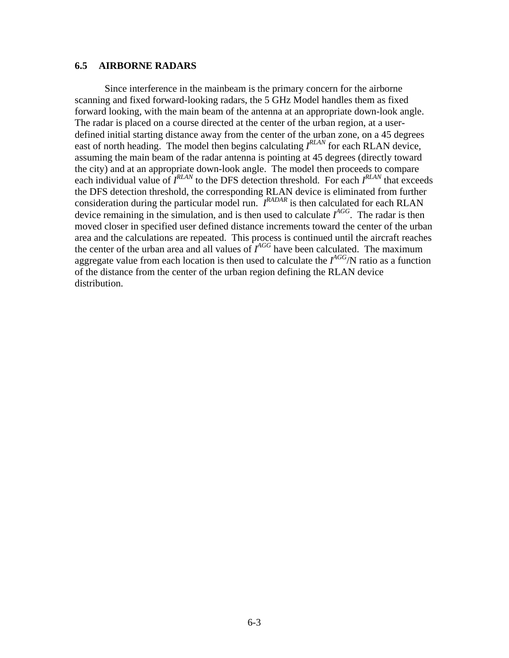#### <span id="page-39-0"></span>**6.5 AIRBORNE RADARS**

 Since interference in the mainbeam is the primary concern for the airborne scanning and fixed forward-looking radars, the 5 GHz Model handles them as fixed forward looking, with the main beam of the antenna at an appropriate down-look angle. The radar is placed on a course directed at the center of the urban region, at a userdefined initial starting distance away from the center of the urban zone, on a 45 degrees east of north heading. The model then begins calculating  $I^{RLAN}$  for each RLAN device, assuming the main beam of the radar antenna is pointing at 45 degrees (directly toward the city) and at an appropriate down-look angle. The model then proceeds to compare each individual value of  $I^{RLAN}$  to the DFS detection threshold. For each  $I^{RLAN}$  that exceeds the DFS detection threshold, the corresponding RLAN device is eliminated from further consideration during the particular model run. *I RADAR* is then calculated for each RLAN device remaining in the simulation, and is then used to calculate *I AGG*. The radar is then moved closer in specified user defined distance increments toward the center of the urban area and the calculations are repeated. This process is continued until the aircraft reaches the center of the urban area and all values of  $I^{AGG}$  have been calculated. The maximum aggregate value from each location is then used to calculate the *I AGG*/N ratio as a function of the distance from the center of the urban region defining the RLAN device distribution.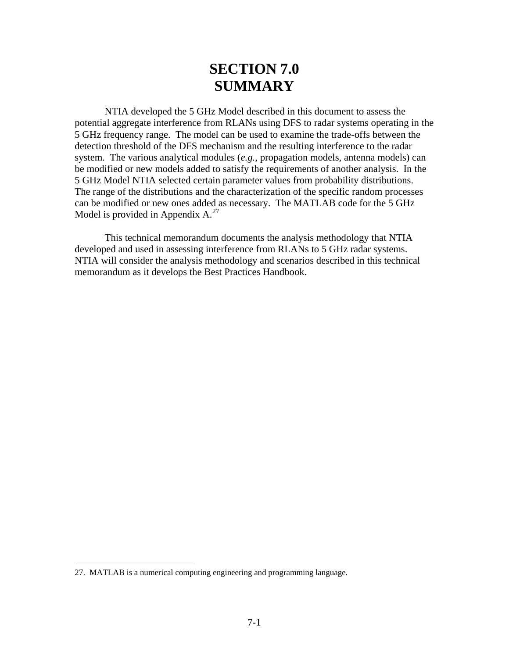# **SECTION 7.0 SUMMARY**

 NTIA developed the 5 GHz Model described in this document to assess the potential aggregate interference from RLANs using DFS to radar systems operating in the 5 GHz frequency range. The model can be used to examine the trade-offs between the detection threshold of the DFS mechanism and the resulting interference to the radar system. The various analytical modules (*e.g.*, propagation models, antenna models) can be modified or new models added to satisfy the requirements of another analysis. In the 5 GHz Model NTIA selected certain parameter values from probability distributions. The range of the distributions and the characterization of the specific random processes can be modified or new ones added as necessary. The MATLAB code for the 5 GHz Model is provided in Appendix  $A^{27}$  $A^{27}$  $A^{27}$ .

 This technical memorandum documents the analysis methodology that NTIA developed and used in assessing interference from RLANs to 5 GHz radar systems. NTIA will consider the analysis methodology and scenarios described in this technical memorandum as it develops the Best Practices Handbook.

1

<span id="page-40-0"></span><sup>27.</sup> MATLAB is a numerical computing engineering and programming language.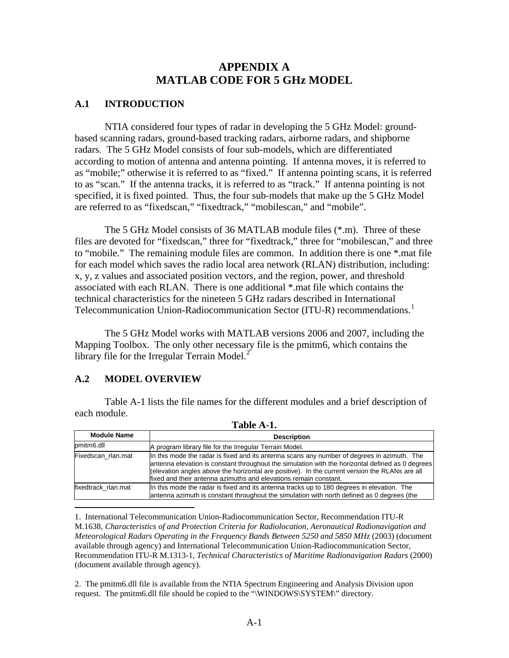## **APPENDIX A MATLAB CODE FOR 5 GHz MODEL**

## **A.1 INTRODUCTION**

 NTIA considered four types of radar in developing the 5 GHz Model: groundbased scanning radars, ground-based tracking radars, airborne radars, and shipborne radars. The 5 GHz Model consists of four sub-models, which are differentiated according to motion of antenna and antenna pointing. If antenna moves, it is referred to as "mobile;" otherwise it is referred to as "fixed." If antenna pointing scans, it is referred to as "scan." If the antenna tracks, it is referred to as "track." If antenna pointing is not specified, it is fixed pointed. Thus, the four sub-models that make up the 5 GHz Model are referred to as "fixedscan," "fixedtrack," "mobilescan," and "mobile".

 The 5 GHz Model consists of 36 MATLAB module files (\*.m). Three of these files are devoted for "fixedscan," three for "fixedtrack," three for "mobilescan," and three to "mobile." The remaining module files are common. In addition there is one \*.mat file for each model which saves the radio local area network (RLAN) distribution, including: x, y, z values and associated position vectors, and the region, power, and threshold associated with each RLAN. There is one additional \*.mat file which contains the technical characteristics for the nineteen 5 GHz radars described in International Telecommunication Union-Radiocommunication Sector (ITU-R) recommendations.<sup>[1](#page-41-0)</sup>

 The 5 GHz Model works with MATLAB versions 2006 and 2007, including the Mapping Toolbox. The only other necessary file is the pmitm6, which contains the library file for the Irregular Terrain Model. $<sup>2</sup>$  $<sup>2</sup>$  $<sup>2</sup>$ </sup>

## **A.2 MODEL OVERVIEW**

 $\overline{a}$ 

 Table A-1 lists the file names for the different modules and a brief description of each module. **Table A-1.** 

| 1 adie A-1.         |                                                                                                                                                                                                                                                                                                                                                                       |  |  |
|---------------------|-----------------------------------------------------------------------------------------------------------------------------------------------------------------------------------------------------------------------------------------------------------------------------------------------------------------------------------------------------------------------|--|--|
| <b>Module Name</b>  | <b>Description</b>                                                                                                                                                                                                                                                                                                                                                    |  |  |
| pmitm6.dll          | A program library file for the Irregular Terrain Model.                                                                                                                                                                                                                                                                                                               |  |  |
| Fixedscan rlan.mat  | In this mode the radar is fixed and its antenna scans any number of degrees in azimuth. The<br>antenna elevation is constant throughout the simulation with the horizontal defined as 0 degrees<br>(elevation angles above the horizontal are positive). In the current version the RLANs are all<br>fixed and their antenna azimuths and elevations remain constant. |  |  |
| fixedtrack rlan.mat | In this mode the radar is fixed and its antenna tracks up to 180 degrees in elevation. The<br>antenna azimuth is constant throughout the simulation with north defined as 0 degrees (the                                                                                                                                                                              |  |  |

<span id="page-41-0"></span><sup>1.</sup> International Telecommunication Union-Radiocommunication Sector, Recommendation ITU-R M.1638*, Characteristics of and Protection Criteria for Radiolocation, Aeronautical Radionavigation and Meteorological Radars Operating in the Frequency Bands Between 5250 and 5850 MHz* (2003) (document available through agency) and International Telecommunication Union-Radiocommunication Sector, Recommendation ITU-R M.1313-1, *Technical Characteristics of Maritime Radionavigation Radars* (2000) (document available through agency).

<span id="page-41-1"></span>2. The pmitm6.dll file is available from the NTIA Spectrum Engineering and Analysis Division upon request. The pmitm6.dll file should be copied to the "\WINDOWS\SYSTEM\" directory.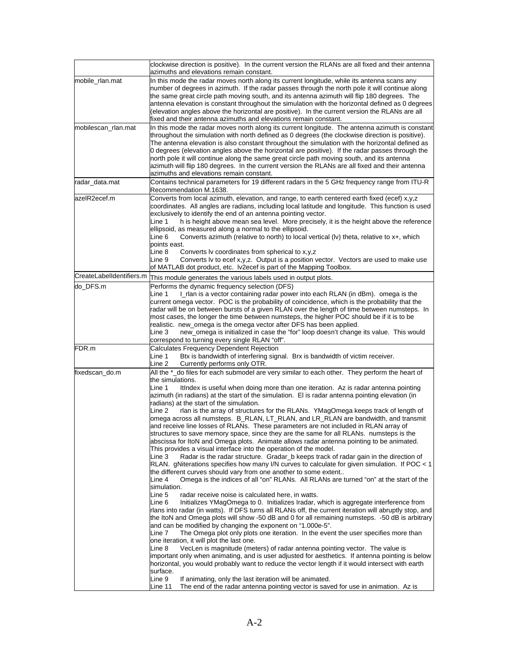|                     | clockwise direction is positive). In the current version the RLANs are all fixed and their antenna<br>azimuths and elevations remain constant.                                                                                                                                                                                                                                                                                                                                                                                                                                                                                                                                                                                                                                                                                                                                                                                                                                                                                                                                                                                                                                                                                                                                                                                                                                                                                                                                                                                                                                                                                                                                                                                                                                                                                                                                                                                                                                                                                                                                                                                                                                                               |  |  |
|---------------------|--------------------------------------------------------------------------------------------------------------------------------------------------------------------------------------------------------------------------------------------------------------------------------------------------------------------------------------------------------------------------------------------------------------------------------------------------------------------------------------------------------------------------------------------------------------------------------------------------------------------------------------------------------------------------------------------------------------------------------------------------------------------------------------------------------------------------------------------------------------------------------------------------------------------------------------------------------------------------------------------------------------------------------------------------------------------------------------------------------------------------------------------------------------------------------------------------------------------------------------------------------------------------------------------------------------------------------------------------------------------------------------------------------------------------------------------------------------------------------------------------------------------------------------------------------------------------------------------------------------------------------------------------------------------------------------------------------------------------------------------------------------------------------------------------------------------------------------------------------------------------------------------------------------------------------------------------------------------------------------------------------------------------------------------------------------------------------------------------------------------------------------------------------------------------------------------------------------|--|--|
| mobile_rlan.mat     | In this mode the radar moves north along its current longitude, while its antenna scans any<br>number of degrees in azimuth. If the radar passes through the north pole it will continue along<br>the same great circle path moving south, and its antenna azimuth will flip 180 degrees. The<br>antenna elevation is constant throughout the simulation with the horizontal defined as 0 degrees<br>(elevation angles above the horizontal are positive). In the current version the RLANs are all<br>fixed and their antenna azimuths and elevations remain constant.                                                                                                                                                                                                                                                                                                                                                                                                                                                                                                                                                                                                                                                                                                                                                                                                                                                                                                                                                                                                                                                                                                                                                                                                                                                                                                                                                                                                                                                                                                                                                                                                                                      |  |  |
| mobilescan_rlan.mat | In this mode the radar moves north along its current longitude. The antenna azimuth is constant<br>throughout the simulation with north defined as 0 degrees (the clockwise direction is positive).<br>The antenna elevation is also constant throughout the simulation with the horizontal defined as<br>0 degrees (elevation angles above the horizontal are positive). If the radar passes through the<br>north pole it will continue along the same great circle path moving south, and its antenna<br>azimuth will flip 180 degrees. In the current version the RLANs are all fixed and their antenna<br>azimuths and elevations remain constant.                                                                                                                                                                                                                                                                                                                                                                                                                                                                                                                                                                                                                                                                                                                                                                                                                                                                                                                                                                                                                                                                                                                                                                                                                                                                                                                                                                                                                                                                                                                                                       |  |  |
| radar_data.mat      | Contains technical parameters for 19 different radars in the 5 GHz frequency range from ITU-R<br>Recommendation M.1638.                                                                                                                                                                                                                                                                                                                                                                                                                                                                                                                                                                                                                                                                                                                                                                                                                                                                                                                                                                                                                                                                                                                                                                                                                                                                                                                                                                                                                                                                                                                                                                                                                                                                                                                                                                                                                                                                                                                                                                                                                                                                                      |  |  |
| azelR2ecef.m        | Converts from local azimuth, elevation, and range, to earth centered earth fixed (ecef) x,y,z<br>coordinates. All angles are radians, including local latitude and longitude. This function is used<br>exclusively to identify the end of an antenna pointing vector.<br>h is height above mean sea level. More precisely, it is the height above the reference<br>Line 1<br>ellipsoid, as measured along a normal to the ellipsoid.<br>Converts azimuth (relative to north) to local vertical (Iv) theta, relative to x+, which<br>Line 6<br>points east.<br>Line 8<br>Converts Iv coordinates from spherical to x,y,z<br>Converts Iv to ecef $x, y, z$ . Output is a position vector. Vectors are used to make use<br>Line 9<br>of MATLAB dot product, etc. Iv2ecef is part of the Mapping Toolbox.                                                                                                                                                                                                                                                                                                                                                                                                                                                                                                                                                                                                                                                                                                                                                                                                                                                                                                                                                                                                                                                                                                                                                                                                                                                                                                                                                                                                        |  |  |
|                     | CreateLabelIdentifiers.m This module generates the various labels used in output plots.                                                                                                                                                                                                                                                                                                                                                                                                                                                                                                                                                                                                                                                                                                                                                                                                                                                                                                                                                                                                                                                                                                                                                                                                                                                                                                                                                                                                                                                                                                                                                                                                                                                                                                                                                                                                                                                                                                                                                                                                                                                                                                                      |  |  |
| do_DFS.m            | Performs the dynamic frequency selection (DFS)<br>I_rlan is a vector containing radar power into each RLAN (in dBm). omega is the<br>Line 1<br>current omega vector. POC is the probability of coincidence, which is the probability that the<br>radar will be on between bursts of a given RLAN over the length of time between numsteps. In<br>most cases, the longer the time between numsteps, the higher POC should be if it is to be<br>realistic. new_omega is the omega vector after DFS has been applied.<br>Line 3<br>new_omega is initialized in case the "for" loop doesn't change its value. This would                                                                                                                                                                                                                                                                                                                                                                                                                                                                                                                                                                                                                                                                                                                                                                                                                                                                                                                                                                                                                                                                                                                                                                                                                                                                                                                                                                                                                                                                                                                                                                                         |  |  |
| FDR.m               | correspond to turning every single RLAN "off".<br><b>Calculates Frequency Dependent Rejection</b><br>Btx is bandwidth of interfering signal. Brx is bandwidth of victim receiver.<br>Line 1<br>Currently performs only OTR.<br>Line 2                                                                                                                                                                                                                                                                                                                                                                                                                                                                                                                                                                                                                                                                                                                                                                                                                                                                                                                                                                                                                                                                                                                                                                                                                                                                                                                                                                                                                                                                                                                                                                                                                                                                                                                                                                                                                                                                                                                                                                        |  |  |
| fixedscan_do.m      | All the *_do files for each submodel are very similar to each other. They perform the heart of<br>the simulations.<br>Line 1<br>ItIndex is useful when doing more than one iteration. Az is radar antenna pointing<br>azimuth (in radians) at the start of the simulation. El is radar antenna pointing elevation (in<br>radians) at the start of the simulation.<br>Line 2<br>rlan is the array of structures for the RLANs. YMagOmega keeps track of length of<br>omega across all numsteps. B_RLAN, LT_RLAN, and LR_RLAN are bandwidth, and transmit<br>and receive line losses of RLANs. These parameters are not included in RLAN array of<br>structures to save memory space, since they are the same for all RLANs. numsteps is the<br>abscissa for ItoN and Omega plots. Animate allows radar antenna pointing to be animated.<br>This provides a visual interface into the operation of the model.<br>Line 3<br>Radar is the radar structure. Gradar b keeps track of radar gain in the direction of<br>RLAN. gNiterations specifies how many I/N curves to calculate for given simulation. If POC < 1<br>the different curves should vary from one another to some extent<br>Omega is the indices of all "on" RLANs. All RLANs are turned "on" at the start of the<br>Line 4<br>simulation.<br>Line 5<br>radar receive noise is calculated here, in watts.<br>Line 6<br>Initializes YMagOmega to 0. Initializes Iradar, which is aggregate interference from<br>rlans into radar (in watts). If DFS turns all RLANs off, the current iteration will abruptly stop, and<br>the ItoN and Omega plots will show -50 dB and 0 for all remaining numsteps. -50 dB is arbitrary<br>and can be modified by changing the exponent on "1.000e-5".<br>The Omega plot only plots one iteration. In the event the user specifies more than<br>Line 7<br>one iteration, it will plot the last one.<br>Line 8<br>VecLen is magnitude (meters) of radar antenna pointing vector. The value is<br>important only when animating, and is user adjusted for aesthetics. If antenna pointing is below<br>horizontal, you would probably want to reduce the vector length if it would intersect with earth<br>surface. |  |  |
|                     | Line 9<br>If animating, only the last iteration will be animated.<br>The end of the radar antenna pointing vector is saved for use in animation. Az is<br>Line 11                                                                                                                                                                                                                                                                                                                                                                                                                                                                                                                                                                                                                                                                                                                                                                                                                                                                                                                                                                                                                                                                                                                                                                                                                                                                                                                                                                                                                                                                                                                                                                                                                                                                                                                                                                                                                                                                                                                                                                                                                                            |  |  |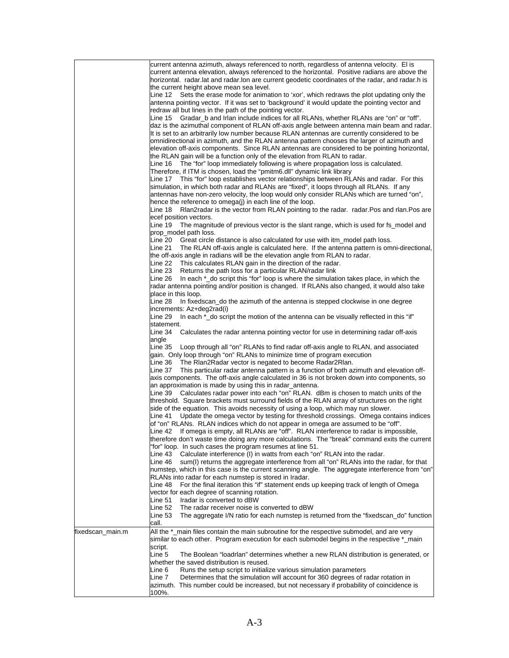| horizontal. radar.lat and radar.lon are current geodetic coordinates of the radar, and radar.h is<br>the current height above mean sea level.<br>antenna pointing vector. If it was set to 'background' it would update the pointing vector and<br>redraw all but lines in the path of the pointing vector.<br>Line 15 Gradar_b and Irlan include indices for all RLANs, whether RLANs are "on" or "off".<br>daz is the azimuthal component of RLAN off-axis angle between antenna main beam and radar.<br>It is set to an arbitrarily low number because RLAN antennas are currently considered to be<br>omnidirectional in azimuth, and the RLAN antenna pattern chooses the larger of azimuth and<br>the RLAN gain will be a function only of the elevation from RLAN to radar.<br>Line 16 The "for" loop immediately following is where propagation loss is calculated.<br>Therefore, if ITM is chosen, load the "pmitm6.dll" dynamic link library<br>Line 17 This "for" loop establishes vector relationships between RLANs and radar. For this<br>simulation, in which both radar and RLANs are "fixed", it loops through all RLANs. If any<br>antennas have non-zero velocity, the loop would only consider RLANs which are turned "on",<br>hence the reference to omega(j) in each line of the loop.<br>Line 18 Rlan2radar is the vector from RLAN pointing to the radar. radar.Pos and rlan.Pos are<br>ecef position vectors.<br>prop_model path loss.<br>Line 20 Great circle distance is also calculated for use with itm_model path loss.<br>Line 21<br>The RLAN off-axis angle is calculated here. If the antenna pattern is omni-directional,<br>the off-axis angle in radians will be the elevation angle from RLAN to radar.<br>Line 22 This calculates RLAN gain in the direction of the radar.<br>Returns the path loss for a particular RLAN/radar link<br>Line 23<br>In each *_do script this "for" loop is where the simulation takes place, in which the<br>Line 26<br>radar antenna pointing and/or position is changed. If RLANs also changed, it would also take<br>place in this loop.<br>Line 28<br>In fixedscan_do the azimuth of the antenna is stepped clockwise in one degree<br>increments: Az+deg2rad(i)<br>In each *_do script the motion of the antenna can be visually reflected in this "if"<br>Line 29<br>statement.<br>Line 34<br>Calculates the radar antenna pointing vector for use in determining radar off-axis<br>angle<br>Line 35 Loop through all "on" RLANs to find radar off-axis angle to RLAN, and associated<br>gain. Only loop through "on" RLANs to minimize time of program execution<br>The RIan2Radar vector is negated to become Radar2RIan.<br>Line 36<br>Line 37<br>an approximation is made by using this in radar_antenna.<br>Line 39 Calculates radar power into each "on" RLAN. dBm is chosen to match units of the<br>threshold. Square brackets must surround fields of the RLAN array of structures on the right<br>side of the equation. This avoids necessity of using a loop, which may run slower.<br>Line 41 Update the omega vector by testing for threshold crossings. Omega contains indices<br>of "on" RLANs. RLAN indices which do not appear in omega are assumed to be "off".<br>Line 42 If omega is empty, all RLANs are "off". RLAN interference to radar is impossible,<br>"for" loop. In such cases the program resumes at line 51.<br>Calculate interference (I) in watts from each "on" RLAN into the radar.<br>Line 43<br>sum(I) returns the aggregate interference from all "on" RLANs into the radar, for that<br>Line 46<br>numstep, which in this case is the current scanning angle. The aggregate interference from "on"<br>RLANs into radar for each numstep is stored in Iradar.<br>For the final iteration this "if" statement ends up keeping track of length of Omega<br>Line 48<br>vector for each degree of scanning rotation.<br>Iradar is converted to dBW<br>Line 51<br>The radar receiver noise is converted to dBW<br>Line 52<br>Line 53<br>call.<br>All the *_main files contain the main subroutine for the respective submodel, and are very<br>similar to each other. Program execution for each submodel begins in the respective *_main<br>script.<br>The Boolean "loadrlan" determines whether a new RLAN distribution is generated, or<br>Line 5<br>whether the saved distribution is reused.<br>Runs the setup script to initialize various simulation parameters<br>Line 6<br>Determines that the simulation will account for 360 degrees of radar rotation in<br>Line 7<br>azimuth. This number could be increased, but not necessary if probability of coincidence is<br>100%. |                  | current antenna azimuth, always referenced to north, regardless of antenna velocity. El is<br>current antenna elevation, always referenced to the horizontal. Positive radians are above the |
|----------------------------------------------------------------------------------------------------------------------------------------------------------------------------------------------------------------------------------------------------------------------------------------------------------------------------------------------------------------------------------------------------------------------------------------------------------------------------------------------------------------------------------------------------------------------------------------------------------------------------------------------------------------------------------------------------------------------------------------------------------------------------------------------------------------------------------------------------------------------------------------------------------------------------------------------------------------------------------------------------------------------------------------------------------------------------------------------------------------------------------------------------------------------------------------------------------------------------------------------------------------------------------------------------------------------------------------------------------------------------------------------------------------------------------------------------------------------------------------------------------------------------------------------------------------------------------------------------------------------------------------------------------------------------------------------------------------------------------------------------------------------------------------------------------------------------------------------------------------------------------------------------------------------------------------------------------------------------------------------------------------------------------------------------------------------------------------------------------------------------------------------------------------------------------------------------------------------------------------------------------------------------------------------------------------------------------------------------------------------------------------------------------------------------------------------------------------------------------------------------------------------------------------------------------------------------------------------------------------------------------------------------------------------------------------------------------------------------------------------------------------------------------------------------------------------------------------------------------------------------------------------------------------------------------------------------------------------------------------------------------------------------------------------------------------------------------------------------------------------------------------------------------------------------------------------------------------------------------------------------------------------------------------------------------------------------------------------------------------------------------------------------------------------------------------------------------------------------------------------------------------------------------------------------------------------------------------------------------------------------------------------------------------------------------------------------------------------------------------------------------------------------------------------------------------------------------------------------------------------------------------------------------------------------------------------------------------------------------------------------------------------------------------------------------------------------------------------------------------------------------------------------------------------------------------------------------------------------------------------------------------------------------------------------------------------------------------------------------------------------------------------------------------------------------------------------------------------------------------------------------------------------------------------------------------------------------------------------------------------------------------------------------------------------------------------------|------------------|----------------------------------------------------------------------------------------------------------------------------------------------------------------------------------------------|
|                                                                                                                                                                                                                                                                                                                                                                                                                                                                                                                                                                                                                                                                                                                                                                                                                                                                                                                                                                                                                                                                                                                                                                                                                                                                                                                                                                                                                                                                                                                                                                                                                                                                                                                                                                                                                                                                                                                                                                                                                                                                                                                                                                                                                                                                                                                                                                                                                                                                                                                                                                                                                                                                                                                                                                                                                                                                                                                                                                                                                                                                                                                                                                                                                                                                                                                                                                                                                                                                                                                                                                                                                                                                                                                                                                                                                                                                                                                                                                                                                                                                                                                                                                                                                                                                                                                                                                                                                                                                                                                                                                                                                                                                                                    |                  |                                                                                                                                                                                              |
|                                                                                                                                                                                                                                                                                                                                                                                                                                                                                                                                                                                                                                                                                                                                                                                                                                                                                                                                                                                                                                                                                                                                                                                                                                                                                                                                                                                                                                                                                                                                                                                                                                                                                                                                                                                                                                                                                                                                                                                                                                                                                                                                                                                                                                                                                                                                                                                                                                                                                                                                                                                                                                                                                                                                                                                                                                                                                                                                                                                                                                                                                                                                                                                                                                                                                                                                                                                                                                                                                                                                                                                                                                                                                                                                                                                                                                                                                                                                                                                                                                                                                                                                                                                                                                                                                                                                                                                                                                                                                                                                                                                                                                                                                                    |                  |                                                                                                                                                                                              |
|                                                                                                                                                                                                                                                                                                                                                                                                                                                                                                                                                                                                                                                                                                                                                                                                                                                                                                                                                                                                                                                                                                                                                                                                                                                                                                                                                                                                                                                                                                                                                                                                                                                                                                                                                                                                                                                                                                                                                                                                                                                                                                                                                                                                                                                                                                                                                                                                                                                                                                                                                                                                                                                                                                                                                                                                                                                                                                                                                                                                                                                                                                                                                                                                                                                                                                                                                                                                                                                                                                                                                                                                                                                                                                                                                                                                                                                                                                                                                                                                                                                                                                                                                                                                                                                                                                                                                                                                                                                                                                                                                                                                                                                                                                    |                  | Line 12 Sets the erase mode for animation to 'xor', which redraws the plot updating only the                                                                                                 |
|                                                                                                                                                                                                                                                                                                                                                                                                                                                                                                                                                                                                                                                                                                                                                                                                                                                                                                                                                                                                                                                                                                                                                                                                                                                                                                                                                                                                                                                                                                                                                                                                                                                                                                                                                                                                                                                                                                                                                                                                                                                                                                                                                                                                                                                                                                                                                                                                                                                                                                                                                                                                                                                                                                                                                                                                                                                                                                                                                                                                                                                                                                                                                                                                                                                                                                                                                                                                                                                                                                                                                                                                                                                                                                                                                                                                                                                                                                                                                                                                                                                                                                                                                                                                                                                                                                                                                                                                                                                                                                                                                                                                                                                                                                    |                  |                                                                                                                                                                                              |
|                                                                                                                                                                                                                                                                                                                                                                                                                                                                                                                                                                                                                                                                                                                                                                                                                                                                                                                                                                                                                                                                                                                                                                                                                                                                                                                                                                                                                                                                                                                                                                                                                                                                                                                                                                                                                                                                                                                                                                                                                                                                                                                                                                                                                                                                                                                                                                                                                                                                                                                                                                                                                                                                                                                                                                                                                                                                                                                                                                                                                                                                                                                                                                                                                                                                                                                                                                                                                                                                                                                                                                                                                                                                                                                                                                                                                                                                                                                                                                                                                                                                                                                                                                                                                                                                                                                                                                                                                                                                                                                                                                                                                                                                                                    |                  |                                                                                                                                                                                              |
|                                                                                                                                                                                                                                                                                                                                                                                                                                                                                                                                                                                                                                                                                                                                                                                                                                                                                                                                                                                                                                                                                                                                                                                                                                                                                                                                                                                                                                                                                                                                                                                                                                                                                                                                                                                                                                                                                                                                                                                                                                                                                                                                                                                                                                                                                                                                                                                                                                                                                                                                                                                                                                                                                                                                                                                                                                                                                                                                                                                                                                                                                                                                                                                                                                                                                                                                                                                                                                                                                                                                                                                                                                                                                                                                                                                                                                                                                                                                                                                                                                                                                                                                                                                                                                                                                                                                                                                                                                                                                                                                                                                                                                                                                                    |                  |                                                                                                                                                                                              |
|                                                                                                                                                                                                                                                                                                                                                                                                                                                                                                                                                                                                                                                                                                                                                                                                                                                                                                                                                                                                                                                                                                                                                                                                                                                                                                                                                                                                                                                                                                                                                                                                                                                                                                                                                                                                                                                                                                                                                                                                                                                                                                                                                                                                                                                                                                                                                                                                                                                                                                                                                                                                                                                                                                                                                                                                                                                                                                                                                                                                                                                                                                                                                                                                                                                                                                                                                                                                                                                                                                                                                                                                                                                                                                                                                                                                                                                                                                                                                                                                                                                                                                                                                                                                                                                                                                                                                                                                                                                                                                                                                                                                                                                                                                    |                  |                                                                                                                                                                                              |
|                                                                                                                                                                                                                                                                                                                                                                                                                                                                                                                                                                                                                                                                                                                                                                                                                                                                                                                                                                                                                                                                                                                                                                                                                                                                                                                                                                                                                                                                                                                                                                                                                                                                                                                                                                                                                                                                                                                                                                                                                                                                                                                                                                                                                                                                                                                                                                                                                                                                                                                                                                                                                                                                                                                                                                                                                                                                                                                                                                                                                                                                                                                                                                                                                                                                                                                                                                                                                                                                                                                                                                                                                                                                                                                                                                                                                                                                                                                                                                                                                                                                                                                                                                                                                                                                                                                                                                                                                                                                                                                                                                                                                                                                                                    |                  |                                                                                                                                                                                              |
|                                                                                                                                                                                                                                                                                                                                                                                                                                                                                                                                                                                                                                                                                                                                                                                                                                                                                                                                                                                                                                                                                                                                                                                                                                                                                                                                                                                                                                                                                                                                                                                                                                                                                                                                                                                                                                                                                                                                                                                                                                                                                                                                                                                                                                                                                                                                                                                                                                                                                                                                                                                                                                                                                                                                                                                                                                                                                                                                                                                                                                                                                                                                                                                                                                                                                                                                                                                                                                                                                                                                                                                                                                                                                                                                                                                                                                                                                                                                                                                                                                                                                                                                                                                                                                                                                                                                                                                                                                                                                                                                                                                                                                                                                                    |                  | elevation off-axis components. Since RLAN antennas are considered to be pointing horizontal,                                                                                                 |
|                                                                                                                                                                                                                                                                                                                                                                                                                                                                                                                                                                                                                                                                                                                                                                                                                                                                                                                                                                                                                                                                                                                                                                                                                                                                                                                                                                                                                                                                                                                                                                                                                                                                                                                                                                                                                                                                                                                                                                                                                                                                                                                                                                                                                                                                                                                                                                                                                                                                                                                                                                                                                                                                                                                                                                                                                                                                                                                                                                                                                                                                                                                                                                                                                                                                                                                                                                                                                                                                                                                                                                                                                                                                                                                                                                                                                                                                                                                                                                                                                                                                                                                                                                                                                                                                                                                                                                                                                                                                                                                                                                                                                                                                                                    |                  |                                                                                                                                                                                              |
|                                                                                                                                                                                                                                                                                                                                                                                                                                                                                                                                                                                                                                                                                                                                                                                                                                                                                                                                                                                                                                                                                                                                                                                                                                                                                                                                                                                                                                                                                                                                                                                                                                                                                                                                                                                                                                                                                                                                                                                                                                                                                                                                                                                                                                                                                                                                                                                                                                                                                                                                                                                                                                                                                                                                                                                                                                                                                                                                                                                                                                                                                                                                                                                                                                                                                                                                                                                                                                                                                                                                                                                                                                                                                                                                                                                                                                                                                                                                                                                                                                                                                                                                                                                                                                                                                                                                                                                                                                                                                                                                                                                                                                                                                                    |                  |                                                                                                                                                                                              |
|                                                                                                                                                                                                                                                                                                                                                                                                                                                                                                                                                                                                                                                                                                                                                                                                                                                                                                                                                                                                                                                                                                                                                                                                                                                                                                                                                                                                                                                                                                                                                                                                                                                                                                                                                                                                                                                                                                                                                                                                                                                                                                                                                                                                                                                                                                                                                                                                                                                                                                                                                                                                                                                                                                                                                                                                                                                                                                                                                                                                                                                                                                                                                                                                                                                                                                                                                                                                                                                                                                                                                                                                                                                                                                                                                                                                                                                                                                                                                                                                                                                                                                                                                                                                                                                                                                                                                                                                                                                                                                                                                                                                                                                                                                    |                  |                                                                                                                                                                                              |
|                                                                                                                                                                                                                                                                                                                                                                                                                                                                                                                                                                                                                                                                                                                                                                                                                                                                                                                                                                                                                                                                                                                                                                                                                                                                                                                                                                                                                                                                                                                                                                                                                                                                                                                                                                                                                                                                                                                                                                                                                                                                                                                                                                                                                                                                                                                                                                                                                                                                                                                                                                                                                                                                                                                                                                                                                                                                                                                                                                                                                                                                                                                                                                                                                                                                                                                                                                                                                                                                                                                                                                                                                                                                                                                                                                                                                                                                                                                                                                                                                                                                                                                                                                                                                                                                                                                                                                                                                                                                                                                                                                                                                                                                                                    |                  |                                                                                                                                                                                              |
|                                                                                                                                                                                                                                                                                                                                                                                                                                                                                                                                                                                                                                                                                                                                                                                                                                                                                                                                                                                                                                                                                                                                                                                                                                                                                                                                                                                                                                                                                                                                                                                                                                                                                                                                                                                                                                                                                                                                                                                                                                                                                                                                                                                                                                                                                                                                                                                                                                                                                                                                                                                                                                                                                                                                                                                                                                                                                                                                                                                                                                                                                                                                                                                                                                                                                                                                                                                                                                                                                                                                                                                                                                                                                                                                                                                                                                                                                                                                                                                                                                                                                                                                                                                                                                                                                                                                                                                                                                                                                                                                                                                                                                                                                                    |                  |                                                                                                                                                                                              |
|                                                                                                                                                                                                                                                                                                                                                                                                                                                                                                                                                                                                                                                                                                                                                                                                                                                                                                                                                                                                                                                                                                                                                                                                                                                                                                                                                                                                                                                                                                                                                                                                                                                                                                                                                                                                                                                                                                                                                                                                                                                                                                                                                                                                                                                                                                                                                                                                                                                                                                                                                                                                                                                                                                                                                                                                                                                                                                                                                                                                                                                                                                                                                                                                                                                                                                                                                                                                                                                                                                                                                                                                                                                                                                                                                                                                                                                                                                                                                                                                                                                                                                                                                                                                                                                                                                                                                                                                                                                                                                                                                                                                                                                                                                    |                  |                                                                                                                                                                                              |
|                                                                                                                                                                                                                                                                                                                                                                                                                                                                                                                                                                                                                                                                                                                                                                                                                                                                                                                                                                                                                                                                                                                                                                                                                                                                                                                                                                                                                                                                                                                                                                                                                                                                                                                                                                                                                                                                                                                                                                                                                                                                                                                                                                                                                                                                                                                                                                                                                                                                                                                                                                                                                                                                                                                                                                                                                                                                                                                                                                                                                                                                                                                                                                                                                                                                                                                                                                                                                                                                                                                                                                                                                                                                                                                                                                                                                                                                                                                                                                                                                                                                                                                                                                                                                                                                                                                                                                                                                                                                                                                                                                                                                                                                                                    |                  |                                                                                                                                                                                              |
|                                                                                                                                                                                                                                                                                                                                                                                                                                                                                                                                                                                                                                                                                                                                                                                                                                                                                                                                                                                                                                                                                                                                                                                                                                                                                                                                                                                                                                                                                                                                                                                                                                                                                                                                                                                                                                                                                                                                                                                                                                                                                                                                                                                                                                                                                                                                                                                                                                                                                                                                                                                                                                                                                                                                                                                                                                                                                                                                                                                                                                                                                                                                                                                                                                                                                                                                                                                                                                                                                                                                                                                                                                                                                                                                                                                                                                                                                                                                                                                                                                                                                                                                                                                                                                                                                                                                                                                                                                                                                                                                                                                                                                                                                                    |                  |                                                                                                                                                                                              |
|                                                                                                                                                                                                                                                                                                                                                                                                                                                                                                                                                                                                                                                                                                                                                                                                                                                                                                                                                                                                                                                                                                                                                                                                                                                                                                                                                                                                                                                                                                                                                                                                                                                                                                                                                                                                                                                                                                                                                                                                                                                                                                                                                                                                                                                                                                                                                                                                                                                                                                                                                                                                                                                                                                                                                                                                                                                                                                                                                                                                                                                                                                                                                                                                                                                                                                                                                                                                                                                                                                                                                                                                                                                                                                                                                                                                                                                                                                                                                                                                                                                                                                                                                                                                                                                                                                                                                                                                                                                                                                                                                                                                                                                                                                    |                  | Line 19 The magnitude of previous vector is the slant range, which is used for fs_model and                                                                                                  |
|                                                                                                                                                                                                                                                                                                                                                                                                                                                                                                                                                                                                                                                                                                                                                                                                                                                                                                                                                                                                                                                                                                                                                                                                                                                                                                                                                                                                                                                                                                                                                                                                                                                                                                                                                                                                                                                                                                                                                                                                                                                                                                                                                                                                                                                                                                                                                                                                                                                                                                                                                                                                                                                                                                                                                                                                                                                                                                                                                                                                                                                                                                                                                                                                                                                                                                                                                                                                                                                                                                                                                                                                                                                                                                                                                                                                                                                                                                                                                                                                                                                                                                                                                                                                                                                                                                                                                                                                                                                                                                                                                                                                                                                                                                    |                  |                                                                                                                                                                                              |
|                                                                                                                                                                                                                                                                                                                                                                                                                                                                                                                                                                                                                                                                                                                                                                                                                                                                                                                                                                                                                                                                                                                                                                                                                                                                                                                                                                                                                                                                                                                                                                                                                                                                                                                                                                                                                                                                                                                                                                                                                                                                                                                                                                                                                                                                                                                                                                                                                                                                                                                                                                                                                                                                                                                                                                                                                                                                                                                                                                                                                                                                                                                                                                                                                                                                                                                                                                                                                                                                                                                                                                                                                                                                                                                                                                                                                                                                                                                                                                                                                                                                                                                                                                                                                                                                                                                                                                                                                                                                                                                                                                                                                                                                                                    |                  |                                                                                                                                                                                              |
|                                                                                                                                                                                                                                                                                                                                                                                                                                                                                                                                                                                                                                                                                                                                                                                                                                                                                                                                                                                                                                                                                                                                                                                                                                                                                                                                                                                                                                                                                                                                                                                                                                                                                                                                                                                                                                                                                                                                                                                                                                                                                                                                                                                                                                                                                                                                                                                                                                                                                                                                                                                                                                                                                                                                                                                                                                                                                                                                                                                                                                                                                                                                                                                                                                                                                                                                                                                                                                                                                                                                                                                                                                                                                                                                                                                                                                                                                                                                                                                                                                                                                                                                                                                                                                                                                                                                                                                                                                                                                                                                                                                                                                                                                                    |                  |                                                                                                                                                                                              |
|                                                                                                                                                                                                                                                                                                                                                                                                                                                                                                                                                                                                                                                                                                                                                                                                                                                                                                                                                                                                                                                                                                                                                                                                                                                                                                                                                                                                                                                                                                                                                                                                                                                                                                                                                                                                                                                                                                                                                                                                                                                                                                                                                                                                                                                                                                                                                                                                                                                                                                                                                                                                                                                                                                                                                                                                                                                                                                                                                                                                                                                                                                                                                                                                                                                                                                                                                                                                                                                                                                                                                                                                                                                                                                                                                                                                                                                                                                                                                                                                                                                                                                                                                                                                                                                                                                                                                                                                                                                                                                                                                                                                                                                                                                    |                  |                                                                                                                                                                                              |
|                                                                                                                                                                                                                                                                                                                                                                                                                                                                                                                                                                                                                                                                                                                                                                                                                                                                                                                                                                                                                                                                                                                                                                                                                                                                                                                                                                                                                                                                                                                                                                                                                                                                                                                                                                                                                                                                                                                                                                                                                                                                                                                                                                                                                                                                                                                                                                                                                                                                                                                                                                                                                                                                                                                                                                                                                                                                                                                                                                                                                                                                                                                                                                                                                                                                                                                                                                                                                                                                                                                                                                                                                                                                                                                                                                                                                                                                                                                                                                                                                                                                                                                                                                                                                                                                                                                                                                                                                                                                                                                                                                                                                                                                                                    |                  |                                                                                                                                                                                              |
|                                                                                                                                                                                                                                                                                                                                                                                                                                                                                                                                                                                                                                                                                                                                                                                                                                                                                                                                                                                                                                                                                                                                                                                                                                                                                                                                                                                                                                                                                                                                                                                                                                                                                                                                                                                                                                                                                                                                                                                                                                                                                                                                                                                                                                                                                                                                                                                                                                                                                                                                                                                                                                                                                                                                                                                                                                                                                                                                                                                                                                                                                                                                                                                                                                                                                                                                                                                                                                                                                                                                                                                                                                                                                                                                                                                                                                                                                                                                                                                                                                                                                                                                                                                                                                                                                                                                                                                                                                                                                                                                                                                                                                                                                                    |                  |                                                                                                                                                                                              |
|                                                                                                                                                                                                                                                                                                                                                                                                                                                                                                                                                                                                                                                                                                                                                                                                                                                                                                                                                                                                                                                                                                                                                                                                                                                                                                                                                                                                                                                                                                                                                                                                                                                                                                                                                                                                                                                                                                                                                                                                                                                                                                                                                                                                                                                                                                                                                                                                                                                                                                                                                                                                                                                                                                                                                                                                                                                                                                                                                                                                                                                                                                                                                                                                                                                                                                                                                                                                                                                                                                                                                                                                                                                                                                                                                                                                                                                                                                                                                                                                                                                                                                                                                                                                                                                                                                                                                                                                                                                                                                                                                                                                                                                                                                    |                  |                                                                                                                                                                                              |
|                                                                                                                                                                                                                                                                                                                                                                                                                                                                                                                                                                                                                                                                                                                                                                                                                                                                                                                                                                                                                                                                                                                                                                                                                                                                                                                                                                                                                                                                                                                                                                                                                                                                                                                                                                                                                                                                                                                                                                                                                                                                                                                                                                                                                                                                                                                                                                                                                                                                                                                                                                                                                                                                                                                                                                                                                                                                                                                                                                                                                                                                                                                                                                                                                                                                                                                                                                                                                                                                                                                                                                                                                                                                                                                                                                                                                                                                                                                                                                                                                                                                                                                                                                                                                                                                                                                                                                                                                                                                                                                                                                                                                                                                                                    |                  |                                                                                                                                                                                              |
|                                                                                                                                                                                                                                                                                                                                                                                                                                                                                                                                                                                                                                                                                                                                                                                                                                                                                                                                                                                                                                                                                                                                                                                                                                                                                                                                                                                                                                                                                                                                                                                                                                                                                                                                                                                                                                                                                                                                                                                                                                                                                                                                                                                                                                                                                                                                                                                                                                                                                                                                                                                                                                                                                                                                                                                                                                                                                                                                                                                                                                                                                                                                                                                                                                                                                                                                                                                                                                                                                                                                                                                                                                                                                                                                                                                                                                                                                                                                                                                                                                                                                                                                                                                                                                                                                                                                                                                                                                                                                                                                                                                                                                                                                                    |                  |                                                                                                                                                                                              |
|                                                                                                                                                                                                                                                                                                                                                                                                                                                                                                                                                                                                                                                                                                                                                                                                                                                                                                                                                                                                                                                                                                                                                                                                                                                                                                                                                                                                                                                                                                                                                                                                                                                                                                                                                                                                                                                                                                                                                                                                                                                                                                                                                                                                                                                                                                                                                                                                                                                                                                                                                                                                                                                                                                                                                                                                                                                                                                                                                                                                                                                                                                                                                                                                                                                                                                                                                                                                                                                                                                                                                                                                                                                                                                                                                                                                                                                                                                                                                                                                                                                                                                                                                                                                                                                                                                                                                                                                                                                                                                                                                                                                                                                                                                    |                  |                                                                                                                                                                                              |
|                                                                                                                                                                                                                                                                                                                                                                                                                                                                                                                                                                                                                                                                                                                                                                                                                                                                                                                                                                                                                                                                                                                                                                                                                                                                                                                                                                                                                                                                                                                                                                                                                                                                                                                                                                                                                                                                                                                                                                                                                                                                                                                                                                                                                                                                                                                                                                                                                                                                                                                                                                                                                                                                                                                                                                                                                                                                                                                                                                                                                                                                                                                                                                                                                                                                                                                                                                                                                                                                                                                                                                                                                                                                                                                                                                                                                                                                                                                                                                                                                                                                                                                                                                                                                                                                                                                                                                                                                                                                                                                                                                                                                                                                                                    |                  |                                                                                                                                                                                              |
|                                                                                                                                                                                                                                                                                                                                                                                                                                                                                                                                                                                                                                                                                                                                                                                                                                                                                                                                                                                                                                                                                                                                                                                                                                                                                                                                                                                                                                                                                                                                                                                                                                                                                                                                                                                                                                                                                                                                                                                                                                                                                                                                                                                                                                                                                                                                                                                                                                                                                                                                                                                                                                                                                                                                                                                                                                                                                                                                                                                                                                                                                                                                                                                                                                                                                                                                                                                                                                                                                                                                                                                                                                                                                                                                                                                                                                                                                                                                                                                                                                                                                                                                                                                                                                                                                                                                                                                                                                                                                                                                                                                                                                                                                                    |                  |                                                                                                                                                                                              |
|                                                                                                                                                                                                                                                                                                                                                                                                                                                                                                                                                                                                                                                                                                                                                                                                                                                                                                                                                                                                                                                                                                                                                                                                                                                                                                                                                                                                                                                                                                                                                                                                                                                                                                                                                                                                                                                                                                                                                                                                                                                                                                                                                                                                                                                                                                                                                                                                                                                                                                                                                                                                                                                                                                                                                                                                                                                                                                                                                                                                                                                                                                                                                                                                                                                                                                                                                                                                                                                                                                                                                                                                                                                                                                                                                                                                                                                                                                                                                                                                                                                                                                                                                                                                                                                                                                                                                                                                                                                                                                                                                                                                                                                                                                    |                  |                                                                                                                                                                                              |
|                                                                                                                                                                                                                                                                                                                                                                                                                                                                                                                                                                                                                                                                                                                                                                                                                                                                                                                                                                                                                                                                                                                                                                                                                                                                                                                                                                                                                                                                                                                                                                                                                                                                                                                                                                                                                                                                                                                                                                                                                                                                                                                                                                                                                                                                                                                                                                                                                                                                                                                                                                                                                                                                                                                                                                                                                                                                                                                                                                                                                                                                                                                                                                                                                                                                                                                                                                                                                                                                                                                                                                                                                                                                                                                                                                                                                                                                                                                                                                                                                                                                                                                                                                                                                                                                                                                                                                                                                                                                                                                                                                                                                                                                                                    |                  |                                                                                                                                                                                              |
|                                                                                                                                                                                                                                                                                                                                                                                                                                                                                                                                                                                                                                                                                                                                                                                                                                                                                                                                                                                                                                                                                                                                                                                                                                                                                                                                                                                                                                                                                                                                                                                                                                                                                                                                                                                                                                                                                                                                                                                                                                                                                                                                                                                                                                                                                                                                                                                                                                                                                                                                                                                                                                                                                                                                                                                                                                                                                                                                                                                                                                                                                                                                                                                                                                                                                                                                                                                                                                                                                                                                                                                                                                                                                                                                                                                                                                                                                                                                                                                                                                                                                                                                                                                                                                                                                                                                                                                                                                                                                                                                                                                                                                                                                                    |                  |                                                                                                                                                                                              |
|                                                                                                                                                                                                                                                                                                                                                                                                                                                                                                                                                                                                                                                                                                                                                                                                                                                                                                                                                                                                                                                                                                                                                                                                                                                                                                                                                                                                                                                                                                                                                                                                                                                                                                                                                                                                                                                                                                                                                                                                                                                                                                                                                                                                                                                                                                                                                                                                                                                                                                                                                                                                                                                                                                                                                                                                                                                                                                                                                                                                                                                                                                                                                                                                                                                                                                                                                                                                                                                                                                                                                                                                                                                                                                                                                                                                                                                                                                                                                                                                                                                                                                                                                                                                                                                                                                                                                                                                                                                                                                                                                                                                                                                                                                    |                  |                                                                                                                                                                                              |
|                                                                                                                                                                                                                                                                                                                                                                                                                                                                                                                                                                                                                                                                                                                                                                                                                                                                                                                                                                                                                                                                                                                                                                                                                                                                                                                                                                                                                                                                                                                                                                                                                                                                                                                                                                                                                                                                                                                                                                                                                                                                                                                                                                                                                                                                                                                                                                                                                                                                                                                                                                                                                                                                                                                                                                                                                                                                                                                                                                                                                                                                                                                                                                                                                                                                                                                                                                                                                                                                                                                                                                                                                                                                                                                                                                                                                                                                                                                                                                                                                                                                                                                                                                                                                                                                                                                                                                                                                                                                                                                                                                                                                                                                                                    |                  | This particular radar antenna pattern is a function of both azimuth and elevation off-                                                                                                       |
|                                                                                                                                                                                                                                                                                                                                                                                                                                                                                                                                                                                                                                                                                                                                                                                                                                                                                                                                                                                                                                                                                                                                                                                                                                                                                                                                                                                                                                                                                                                                                                                                                                                                                                                                                                                                                                                                                                                                                                                                                                                                                                                                                                                                                                                                                                                                                                                                                                                                                                                                                                                                                                                                                                                                                                                                                                                                                                                                                                                                                                                                                                                                                                                                                                                                                                                                                                                                                                                                                                                                                                                                                                                                                                                                                                                                                                                                                                                                                                                                                                                                                                                                                                                                                                                                                                                                                                                                                                                                                                                                                                                                                                                                                                    |                  | axis components. The off-axis angle calculated in 36 is not broken down into components, so                                                                                                  |
|                                                                                                                                                                                                                                                                                                                                                                                                                                                                                                                                                                                                                                                                                                                                                                                                                                                                                                                                                                                                                                                                                                                                                                                                                                                                                                                                                                                                                                                                                                                                                                                                                                                                                                                                                                                                                                                                                                                                                                                                                                                                                                                                                                                                                                                                                                                                                                                                                                                                                                                                                                                                                                                                                                                                                                                                                                                                                                                                                                                                                                                                                                                                                                                                                                                                                                                                                                                                                                                                                                                                                                                                                                                                                                                                                                                                                                                                                                                                                                                                                                                                                                                                                                                                                                                                                                                                                                                                                                                                                                                                                                                                                                                                                                    |                  |                                                                                                                                                                                              |
|                                                                                                                                                                                                                                                                                                                                                                                                                                                                                                                                                                                                                                                                                                                                                                                                                                                                                                                                                                                                                                                                                                                                                                                                                                                                                                                                                                                                                                                                                                                                                                                                                                                                                                                                                                                                                                                                                                                                                                                                                                                                                                                                                                                                                                                                                                                                                                                                                                                                                                                                                                                                                                                                                                                                                                                                                                                                                                                                                                                                                                                                                                                                                                                                                                                                                                                                                                                                                                                                                                                                                                                                                                                                                                                                                                                                                                                                                                                                                                                                                                                                                                                                                                                                                                                                                                                                                                                                                                                                                                                                                                                                                                                                                                    |                  |                                                                                                                                                                                              |
|                                                                                                                                                                                                                                                                                                                                                                                                                                                                                                                                                                                                                                                                                                                                                                                                                                                                                                                                                                                                                                                                                                                                                                                                                                                                                                                                                                                                                                                                                                                                                                                                                                                                                                                                                                                                                                                                                                                                                                                                                                                                                                                                                                                                                                                                                                                                                                                                                                                                                                                                                                                                                                                                                                                                                                                                                                                                                                                                                                                                                                                                                                                                                                                                                                                                                                                                                                                                                                                                                                                                                                                                                                                                                                                                                                                                                                                                                                                                                                                                                                                                                                                                                                                                                                                                                                                                                                                                                                                                                                                                                                                                                                                                                                    |                  |                                                                                                                                                                                              |
|                                                                                                                                                                                                                                                                                                                                                                                                                                                                                                                                                                                                                                                                                                                                                                                                                                                                                                                                                                                                                                                                                                                                                                                                                                                                                                                                                                                                                                                                                                                                                                                                                                                                                                                                                                                                                                                                                                                                                                                                                                                                                                                                                                                                                                                                                                                                                                                                                                                                                                                                                                                                                                                                                                                                                                                                                                                                                                                                                                                                                                                                                                                                                                                                                                                                                                                                                                                                                                                                                                                                                                                                                                                                                                                                                                                                                                                                                                                                                                                                                                                                                                                                                                                                                                                                                                                                                                                                                                                                                                                                                                                                                                                                                                    |                  |                                                                                                                                                                                              |
|                                                                                                                                                                                                                                                                                                                                                                                                                                                                                                                                                                                                                                                                                                                                                                                                                                                                                                                                                                                                                                                                                                                                                                                                                                                                                                                                                                                                                                                                                                                                                                                                                                                                                                                                                                                                                                                                                                                                                                                                                                                                                                                                                                                                                                                                                                                                                                                                                                                                                                                                                                                                                                                                                                                                                                                                                                                                                                                                                                                                                                                                                                                                                                                                                                                                                                                                                                                                                                                                                                                                                                                                                                                                                                                                                                                                                                                                                                                                                                                                                                                                                                                                                                                                                                                                                                                                                                                                                                                                                                                                                                                                                                                                                                    |                  |                                                                                                                                                                                              |
|                                                                                                                                                                                                                                                                                                                                                                                                                                                                                                                                                                                                                                                                                                                                                                                                                                                                                                                                                                                                                                                                                                                                                                                                                                                                                                                                                                                                                                                                                                                                                                                                                                                                                                                                                                                                                                                                                                                                                                                                                                                                                                                                                                                                                                                                                                                                                                                                                                                                                                                                                                                                                                                                                                                                                                                                                                                                                                                                                                                                                                                                                                                                                                                                                                                                                                                                                                                                                                                                                                                                                                                                                                                                                                                                                                                                                                                                                                                                                                                                                                                                                                                                                                                                                                                                                                                                                                                                                                                                                                                                                                                                                                                                                                    |                  |                                                                                                                                                                                              |
|                                                                                                                                                                                                                                                                                                                                                                                                                                                                                                                                                                                                                                                                                                                                                                                                                                                                                                                                                                                                                                                                                                                                                                                                                                                                                                                                                                                                                                                                                                                                                                                                                                                                                                                                                                                                                                                                                                                                                                                                                                                                                                                                                                                                                                                                                                                                                                                                                                                                                                                                                                                                                                                                                                                                                                                                                                                                                                                                                                                                                                                                                                                                                                                                                                                                                                                                                                                                                                                                                                                                                                                                                                                                                                                                                                                                                                                                                                                                                                                                                                                                                                                                                                                                                                                                                                                                                                                                                                                                                                                                                                                                                                                                                                    |                  | therefore don't waste time doing any more calculations. The "break" command exits the current                                                                                                |
|                                                                                                                                                                                                                                                                                                                                                                                                                                                                                                                                                                                                                                                                                                                                                                                                                                                                                                                                                                                                                                                                                                                                                                                                                                                                                                                                                                                                                                                                                                                                                                                                                                                                                                                                                                                                                                                                                                                                                                                                                                                                                                                                                                                                                                                                                                                                                                                                                                                                                                                                                                                                                                                                                                                                                                                                                                                                                                                                                                                                                                                                                                                                                                                                                                                                                                                                                                                                                                                                                                                                                                                                                                                                                                                                                                                                                                                                                                                                                                                                                                                                                                                                                                                                                                                                                                                                                                                                                                                                                                                                                                                                                                                                                                    |                  |                                                                                                                                                                                              |
|                                                                                                                                                                                                                                                                                                                                                                                                                                                                                                                                                                                                                                                                                                                                                                                                                                                                                                                                                                                                                                                                                                                                                                                                                                                                                                                                                                                                                                                                                                                                                                                                                                                                                                                                                                                                                                                                                                                                                                                                                                                                                                                                                                                                                                                                                                                                                                                                                                                                                                                                                                                                                                                                                                                                                                                                                                                                                                                                                                                                                                                                                                                                                                                                                                                                                                                                                                                                                                                                                                                                                                                                                                                                                                                                                                                                                                                                                                                                                                                                                                                                                                                                                                                                                                                                                                                                                                                                                                                                                                                                                                                                                                                                                                    |                  |                                                                                                                                                                                              |
|                                                                                                                                                                                                                                                                                                                                                                                                                                                                                                                                                                                                                                                                                                                                                                                                                                                                                                                                                                                                                                                                                                                                                                                                                                                                                                                                                                                                                                                                                                                                                                                                                                                                                                                                                                                                                                                                                                                                                                                                                                                                                                                                                                                                                                                                                                                                                                                                                                                                                                                                                                                                                                                                                                                                                                                                                                                                                                                                                                                                                                                                                                                                                                                                                                                                                                                                                                                                                                                                                                                                                                                                                                                                                                                                                                                                                                                                                                                                                                                                                                                                                                                                                                                                                                                                                                                                                                                                                                                                                                                                                                                                                                                                                                    |                  |                                                                                                                                                                                              |
|                                                                                                                                                                                                                                                                                                                                                                                                                                                                                                                                                                                                                                                                                                                                                                                                                                                                                                                                                                                                                                                                                                                                                                                                                                                                                                                                                                                                                                                                                                                                                                                                                                                                                                                                                                                                                                                                                                                                                                                                                                                                                                                                                                                                                                                                                                                                                                                                                                                                                                                                                                                                                                                                                                                                                                                                                                                                                                                                                                                                                                                                                                                                                                                                                                                                                                                                                                                                                                                                                                                                                                                                                                                                                                                                                                                                                                                                                                                                                                                                                                                                                                                                                                                                                                                                                                                                                                                                                                                                                                                                                                                                                                                                                                    |                  |                                                                                                                                                                                              |
|                                                                                                                                                                                                                                                                                                                                                                                                                                                                                                                                                                                                                                                                                                                                                                                                                                                                                                                                                                                                                                                                                                                                                                                                                                                                                                                                                                                                                                                                                                                                                                                                                                                                                                                                                                                                                                                                                                                                                                                                                                                                                                                                                                                                                                                                                                                                                                                                                                                                                                                                                                                                                                                                                                                                                                                                                                                                                                                                                                                                                                                                                                                                                                                                                                                                                                                                                                                                                                                                                                                                                                                                                                                                                                                                                                                                                                                                                                                                                                                                                                                                                                                                                                                                                                                                                                                                                                                                                                                                                                                                                                                                                                                                                                    |                  |                                                                                                                                                                                              |
|                                                                                                                                                                                                                                                                                                                                                                                                                                                                                                                                                                                                                                                                                                                                                                                                                                                                                                                                                                                                                                                                                                                                                                                                                                                                                                                                                                                                                                                                                                                                                                                                                                                                                                                                                                                                                                                                                                                                                                                                                                                                                                                                                                                                                                                                                                                                                                                                                                                                                                                                                                                                                                                                                                                                                                                                                                                                                                                                                                                                                                                                                                                                                                                                                                                                                                                                                                                                                                                                                                                                                                                                                                                                                                                                                                                                                                                                                                                                                                                                                                                                                                                                                                                                                                                                                                                                                                                                                                                                                                                                                                                                                                                                                                    |                  |                                                                                                                                                                                              |
|                                                                                                                                                                                                                                                                                                                                                                                                                                                                                                                                                                                                                                                                                                                                                                                                                                                                                                                                                                                                                                                                                                                                                                                                                                                                                                                                                                                                                                                                                                                                                                                                                                                                                                                                                                                                                                                                                                                                                                                                                                                                                                                                                                                                                                                                                                                                                                                                                                                                                                                                                                                                                                                                                                                                                                                                                                                                                                                                                                                                                                                                                                                                                                                                                                                                                                                                                                                                                                                                                                                                                                                                                                                                                                                                                                                                                                                                                                                                                                                                                                                                                                                                                                                                                                                                                                                                                                                                                                                                                                                                                                                                                                                                                                    |                  |                                                                                                                                                                                              |
|                                                                                                                                                                                                                                                                                                                                                                                                                                                                                                                                                                                                                                                                                                                                                                                                                                                                                                                                                                                                                                                                                                                                                                                                                                                                                                                                                                                                                                                                                                                                                                                                                                                                                                                                                                                                                                                                                                                                                                                                                                                                                                                                                                                                                                                                                                                                                                                                                                                                                                                                                                                                                                                                                                                                                                                                                                                                                                                                                                                                                                                                                                                                                                                                                                                                                                                                                                                                                                                                                                                                                                                                                                                                                                                                                                                                                                                                                                                                                                                                                                                                                                                                                                                                                                                                                                                                                                                                                                                                                                                                                                                                                                                                                                    |                  |                                                                                                                                                                                              |
|                                                                                                                                                                                                                                                                                                                                                                                                                                                                                                                                                                                                                                                                                                                                                                                                                                                                                                                                                                                                                                                                                                                                                                                                                                                                                                                                                                                                                                                                                                                                                                                                                                                                                                                                                                                                                                                                                                                                                                                                                                                                                                                                                                                                                                                                                                                                                                                                                                                                                                                                                                                                                                                                                                                                                                                                                                                                                                                                                                                                                                                                                                                                                                                                                                                                                                                                                                                                                                                                                                                                                                                                                                                                                                                                                                                                                                                                                                                                                                                                                                                                                                                                                                                                                                                                                                                                                                                                                                                                                                                                                                                                                                                                                                    |                  | The aggregate I/N ratio for each numstep is returned from the "fixedscan_do" function                                                                                                        |
|                                                                                                                                                                                                                                                                                                                                                                                                                                                                                                                                                                                                                                                                                                                                                                                                                                                                                                                                                                                                                                                                                                                                                                                                                                                                                                                                                                                                                                                                                                                                                                                                                                                                                                                                                                                                                                                                                                                                                                                                                                                                                                                                                                                                                                                                                                                                                                                                                                                                                                                                                                                                                                                                                                                                                                                                                                                                                                                                                                                                                                                                                                                                                                                                                                                                                                                                                                                                                                                                                                                                                                                                                                                                                                                                                                                                                                                                                                                                                                                                                                                                                                                                                                                                                                                                                                                                                                                                                                                                                                                                                                                                                                                                                                    |                  |                                                                                                                                                                                              |
|                                                                                                                                                                                                                                                                                                                                                                                                                                                                                                                                                                                                                                                                                                                                                                                                                                                                                                                                                                                                                                                                                                                                                                                                                                                                                                                                                                                                                                                                                                                                                                                                                                                                                                                                                                                                                                                                                                                                                                                                                                                                                                                                                                                                                                                                                                                                                                                                                                                                                                                                                                                                                                                                                                                                                                                                                                                                                                                                                                                                                                                                                                                                                                                                                                                                                                                                                                                                                                                                                                                                                                                                                                                                                                                                                                                                                                                                                                                                                                                                                                                                                                                                                                                                                                                                                                                                                                                                                                                                                                                                                                                                                                                                                                    | fixedscan_main.m |                                                                                                                                                                                              |
|                                                                                                                                                                                                                                                                                                                                                                                                                                                                                                                                                                                                                                                                                                                                                                                                                                                                                                                                                                                                                                                                                                                                                                                                                                                                                                                                                                                                                                                                                                                                                                                                                                                                                                                                                                                                                                                                                                                                                                                                                                                                                                                                                                                                                                                                                                                                                                                                                                                                                                                                                                                                                                                                                                                                                                                                                                                                                                                                                                                                                                                                                                                                                                                                                                                                                                                                                                                                                                                                                                                                                                                                                                                                                                                                                                                                                                                                                                                                                                                                                                                                                                                                                                                                                                                                                                                                                                                                                                                                                                                                                                                                                                                                                                    |                  |                                                                                                                                                                                              |
|                                                                                                                                                                                                                                                                                                                                                                                                                                                                                                                                                                                                                                                                                                                                                                                                                                                                                                                                                                                                                                                                                                                                                                                                                                                                                                                                                                                                                                                                                                                                                                                                                                                                                                                                                                                                                                                                                                                                                                                                                                                                                                                                                                                                                                                                                                                                                                                                                                                                                                                                                                                                                                                                                                                                                                                                                                                                                                                                                                                                                                                                                                                                                                                                                                                                                                                                                                                                                                                                                                                                                                                                                                                                                                                                                                                                                                                                                                                                                                                                                                                                                                                                                                                                                                                                                                                                                                                                                                                                                                                                                                                                                                                                                                    |                  |                                                                                                                                                                                              |
|                                                                                                                                                                                                                                                                                                                                                                                                                                                                                                                                                                                                                                                                                                                                                                                                                                                                                                                                                                                                                                                                                                                                                                                                                                                                                                                                                                                                                                                                                                                                                                                                                                                                                                                                                                                                                                                                                                                                                                                                                                                                                                                                                                                                                                                                                                                                                                                                                                                                                                                                                                                                                                                                                                                                                                                                                                                                                                                                                                                                                                                                                                                                                                                                                                                                                                                                                                                                                                                                                                                                                                                                                                                                                                                                                                                                                                                                                                                                                                                                                                                                                                                                                                                                                                                                                                                                                                                                                                                                                                                                                                                                                                                                                                    |                  |                                                                                                                                                                                              |
|                                                                                                                                                                                                                                                                                                                                                                                                                                                                                                                                                                                                                                                                                                                                                                                                                                                                                                                                                                                                                                                                                                                                                                                                                                                                                                                                                                                                                                                                                                                                                                                                                                                                                                                                                                                                                                                                                                                                                                                                                                                                                                                                                                                                                                                                                                                                                                                                                                                                                                                                                                                                                                                                                                                                                                                                                                                                                                                                                                                                                                                                                                                                                                                                                                                                                                                                                                                                                                                                                                                                                                                                                                                                                                                                                                                                                                                                                                                                                                                                                                                                                                                                                                                                                                                                                                                                                                                                                                                                                                                                                                                                                                                                                                    |                  |                                                                                                                                                                                              |
|                                                                                                                                                                                                                                                                                                                                                                                                                                                                                                                                                                                                                                                                                                                                                                                                                                                                                                                                                                                                                                                                                                                                                                                                                                                                                                                                                                                                                                                                                                                                                                                                                                                                                                                                                                                                                                                                                                                                                                                                                                                                                                                                                                                                                                                                                                                                                                                                                                                                                                                                                                                                                                                                                                                                                                                                                                                                                                                                                                                                                                                                                                                                                                                                                                                                                                                                                                                                                                                                                                                                                                                                                                                                                                                                                                                                                                                                                                                                                                                                                                                                                                                                                                                                                                                                                                                                                                                                                                                                                                                                                                                                                                                                                                    |                  |                                                                                                                                                                                              |
|                                                                                                                                                                                                                                                                                                                                                                                                                                                                                                                                                                                                                                                                                                                                                                                                                                                                                                                                                                                                                                                                                                                                                                                                                                                                                                                                                                                                                                                                                                                                                                                                                                                                                                                                                                                                                                                                                                                                                                                                                                                                                                                                                                                                                                                                                                                                                                                                                                                                                                                                                                                                                                                                                                                                                                                                                                                                                                                                                                                                                                                                                                                                                                                                                                                                                                                                                                                                                                                                                                                                                                                                                                                                                                                                                                                                                                                                                                                                                                                                                                                                                                                                                                                                                                                                                                                                                                                                                                                                                                                                                                                                                                                                                                    |                  |                                                                                                                                                                                              |
|                                                                                                                                                                                                                                                                                                                                                                                                                                                                                                                                                                                                                                                                                                                                                                                                                                                                                                                                                                                                                                                                                                                                                                                                                                                                                                                                                                                                                                                                                                                                                                                                                                                                                                                                                                                                                                                                                                                                                                                                                                                                                                                                                                                                                                                                                                                                                                                                                                                                                                                                                                                                                                                                                                                                                                                                                                                                                                                                                                                                                                                                                                                                                                                                                                                                                                                                                                                                                                                                                                                                                                                                                                                                                                                                                                                                                                                                                                                                                                                                                                                                                                                                                                                                                                                                                                                                                                                                                                                                                                                                                                                                                                                                                                    |                  |                                                                                                                                                                                              |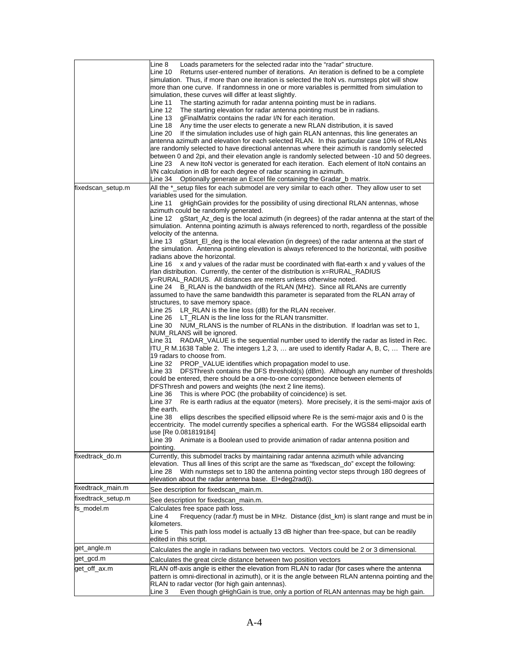|                    | Line 8<br>Loads parameters for the selected radar into the "radar" structure.                                                                                      |
|--------------------|--------------------------------------------------------------------------------------------------------------------------------------------------------------------|
|                    | Line 10<br>Returns user-entered number of iterations. An iteration is defined to be a complete                                                                     |
|                    | simulation. Thus, if more than one iteration is selected the ItoN vs. numsteps plot will show                                                                      |
|                    | more than one curve. If randomness in one or more variables is permitted from simulation to<br>simulation, these curves will differ at least slightly.             |
|                    | The starting azimuth for radar antenna pointing must be in radians.<br>Line 11                                                                                     |
|                    | The starting elevation for radar antenna pointing must be in radians.<br>Line 12                                                                                   |
|                    | Line 13<br>gFinalMatrix contains the radar I/N for each iteration.                                                                                                 |
|                    | Line 18<br>Any time the user elects to generate a new RLAN distribution, it is saved                                                                               |
|                    | Line 20<br>If the simulation includes use of high gain RLAN antennas, this line generates an                                                                       |
|                    | antenna azimuth and elevation for each selected RLAN. In this particular case 10% of RLANs                                                                         |
|                    | are randomly selected to have directional antennas where their azimuth is randomly selected                                                                        |
|                    | between 0 and 2pi, and their elevation angle is randomly selected between -10 and 50 degrees.                                                                      |
|                    | Line 23 A new ItoN vector is generated for each iteration. Each element of ItoN contains an<br>I/N calculation in dB for each degree of radar scanning in azimuth. |
|                    | Line 34  Optionally generate an Excel file containing the Gradar_b matrix.                                                                                         |
| fixedscan_setup.m  | All the *_setup files for each submodel are very similar to each other. They allow user to set                                                                     |
|                    | variables used for the simulation.                                                                                                                                 |
|                    | gHighGain provides for the possibility of using directional RLAN antennas, whose<br>Line 11                                                                        |
|                    | azimuth could be randomly generated.                                                                                                                               |
|                    | gStart_Az_deg is the local azimuth (in degrees) of the radar antenna at the start of the<br>Line 12                                                                |
|                    | simulation. Antenna pointing azimuth is always referenced to north, regardless of the possible                                                                     |
|                    | velocity of the antenna.                                                                                                                                           |
|                    | gStart_El_deg is the local elevation (in degrees) of the radar antenna at the start of<br>Line 13                                                                  |
|                    | the simulation. Antenna pointing elevation is always referenced to the horizontal, with positive<br>radians above the horizontal.                                  |
|                    | Line $16 \times$ and y values of the radar must be coordinated with flat-earth x and y values of the                                                               |
|                    | rlan distribution. Currently, the center of the distribution is x=RURAL_RADIUS                                                                                     |
|                    | y=RURAL RADIUS. All distances are meters unless otherwise noted.                                                                                                   |
|                    | Line 24 B_RLAN is the bandwidth of the RLAN (MHz). Since all RLANs are currently                                                                                   |
|                    | assumed to have the same bandwidth this parameter is separated from the RLAN array of                                                                              |
|                    | structures, to save memory space.                                                                                                                                  |
|                    | Line 25 LR_RLAN is the line loss (dB) for the RLAN receiver.                                                                                                       |
|                    | Line 26 LT_RLAN is the line loss for the RLAN transmitter.                                                                                                         |
|                    | Line 30 NUM_RLANS is the number of RLANs in the distribution. If loadrlan was set to 1,                                                                            |
|                    | NUM_RLANS will be ignored.<br>Line 31 RADAR_VALUE is the sequential number used to identify the radar as listed in Rec.                                            |
|                    | ITU_R M.1638 Table 2. The integers 1,2 3,  are used to identify Radar A, B, C,  There are                                                                          |
|                    | 19 radars to choose from.                                                                                                                                          |
|                    | Line 32 PROP_VALUE identifies which propagation model to use.                                                                                                      |
|                    | DFSThresh contains the DFS threshold(s) (dBm). Although any number of thresholds<br>Line 33                                                                        |
|                    | could be entered, there should be a one-to-one correspondence between elements of                                                                                  |
|                    | DFSThresh and powers and weights (the next 2 line items).                                                                                                          |
|                    | This is where POC (the probability of coincidence) is set.<br>Line 36                                                                                              |
|                    | Re is earth radius at the equator (meters). More precisely, it is the semi-major axis of<br>Line 37                                                                |
|                    | the earth.<br>Line 38<br>ellips describes the specified ellipsoid where Re is the semi-major axis and 0 is the                                                     |
|                    | eccentricity. The model currently specifies a spherical earth. For the WGS84 ellipsoidal earth                                                                     |
|                    | use [Re 0.081819184]                                                                                                                                               |
|                    | Line 39 Animate is a Boolean used to provide animation of radar antenna position and                                                                               |
|                    | pointing.                                                                                                                                                          |
| fixedtrack do.m    | Currently, this submodel tracks by maintaining radar antenna azimuth while advancing                                                                               |
|                    | elevation. Thus all lines of this script are the same as "fixedscan_do" except the following:                                                                      |
|                    | With numsteps set to 180 the antenna pointing vector steps through 180 degrees of<br>Line 28                                                                       |
|                    | elevation about the radar antenna base. El+deg2rad(i).                                                                                                             |
| fixedtrack_main.m  | See description for fixedscan_main.m.                                                                                                                              |
| fixedtrack_setup.m | See description for fixedscan_main.m.                                                                                                                              |
| fs_model.m         | Calculates free space path loss.                                                                                                                                   |
|                    | Frequency (radar.f) must be in MHz. Distance (dist_km) is slant range and must be in<br>Line 4                                                                     |
|                    | kilometers.                                                                                                                                                        |
|                    | Line 5<br>This path loss model is actually 13 dB higher than free-space, but can be readily                                                                        |
|                    | edited in this script.                                                                                                                                             |
| get_angle.m        | Calculates the angle in radians between two vectors. Vectors could be 2 or 3 dimensional.                                                                          |
| get_gcd.m          | Calculates the great circle distance between two position vectors                                                                                                  |
| get_off_ax.m       | RLAN off-axis angle is either the elevation from RLAN to radar (for cases where the antenna                                                                        |
|                    | pattern is omni-directional in azimuth), or it is the angle between RLAN antenna pointing and the                                                                  |
|                    | RLAN to radar vector (for high gain antennas).                                                                                                                     |
|                    | Even though gHighGain is true, only a portion of RLAN antennas may be high gain.<br>Line 3                                                                         |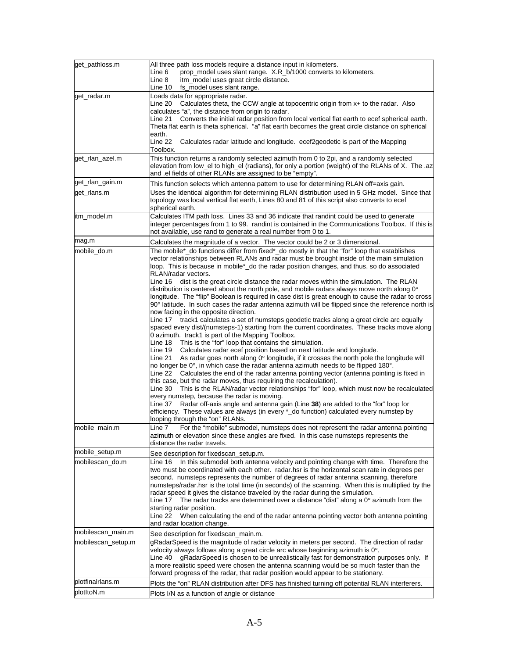| get_pathloss.m     | All three path loss models require a distance input in kilometers.                                                                                                                             |
|--------------------|------------------------------------------------------------------------------------------------------------------------------------------------------------------------------------------------|
|                    | prop_model uses slant range. X.R_b/1000 converts to kilometers.<br>Line 6                                                                                                                      |
|                    | Line 8<br>itm_model uses great circle distance.                                                                                                                                                |
| get_radar.m        | ine 10<br>fs_model uses slant range.<br>Loads data for appropriate radar.                                                                                                                      |
|                    | Line 20 Calculates theta, the CCW angle at topocentric origin from x+ to the radar. Also                                                                                                       |
|                    | calculates "a", the distance from origin to radar.                                                                                                                                             |
|                    | Converts the initial radar position from local vertical flat earth to ecef spherical earth.<br>Line 21                                                                                         |
|                    | Theta flat earth is theta spherical. "a" flat earth becomes the great circle distance on spherical                                                                                             |
|                    | earth.<br>Line 22<br>Calculates radar latitude and longitude. ecef2geodetic is part of the Mapping                                                                                             |
|                    | Toolbox.                                                                                                                                                                                       |
| get_rlan_azel.m    | This function returns a randomly selected azimuth from 0 to 2pi, and a randomly selected                                                                                                       |
|                    | elevation from low_el to high_el (radians), for only a portion (weight) of the RLANs of X. The .az                                                                                             |
|                    | and .el fields of other RLANs are assigned to be "empty".                                                                                                                                      |
| get_rlan_gain.m    | This function selects which antenna pattern to use for determining RLAN off=axis gain.                                                                                                         |
| get_rlans.m        | Uses the identical algorithm for determining RLAN distribution used in 5 GHz model. Since that<br>topology was local vertical flat earth, Lines 80 and 81 of this script also converts to ecef |
|                    | spherical earth.                                                                                                                                                                               |
| itm_model.m        | Calculates ITM path loss. Lines 33 and 36 indicate that randint could be used to generate                                                                                                      |
|                    | integer percentages from 1 to 99. randint is contained in the Communications Toolbox. If this is                                                                                               |
|                    | not available, use rand to generate a real number from 0 to 1.                                                                                                                                 |
| mag.m              | Calculates the magnitude of a vector. The vector could be 2 or 3 dimensional.                                                                                                                  |
| mobile_do.m        | The mobile*_do functions differ from fixed*_do mostly in that the "for" loop that establishes                                                                                                  |
|                    | vector relationships between RLANs and radar must be brought inside of the main simulation<br>loop. This is because in mobile*_do the radar position changes, and thus, so do associated       |
|                    | RLAN/radar vectors.                                                                                                                                                                            |
|                    | Line 16 dist is the great circle distance the radar moves within the simulation. The RLAN                                                                                                      |
|                    | distribution is centered about the north pole, and mobile radars always move north along $0^{\circ}$                                                                                           |
|                    | longitude. The "flip" Boolean is required in case dist is great enough to cause the radar to cross                                                                                             |
|                    | 90° latitude. In such cases the radar antenna azimuth will be flipped since the reference north is<br>now facing in the opposite direction.                                                    |
|                    | Line 17 track1 calculates a set of numsteps geodetic tracks along a great circle arc equally                                                                                                   |
|                    | spaced every dist/(numsteps-1) starting from the current coordinates. These tracks move along                                                                                                  |
|                    | 0 azimuth. track1 is part of the Mapping Toolbox.                                                                                                                                              |
|                    | This is the "for" loop that contains the simulation.<br>Line 18                                                                                                                                |
|                    | Calculates radar ecef position based on next latitude and longitude.<br>Line 19<br>As radar goes north along 0° longitude, if it crosses the north pole the longitude will<br>Line 21          |
|                    | no longer be $0^\circ$ , in which case the radar antenna azimuth needs to be flipped 180 $^\circ$ .                                                                                            |
|                    | Line 22 Calculates the end of the radar antenna pointing vector (antenna pointing is fixed in                                                                                                  |
|                    | this case, but the radar moves, thus requiring the recalculation).                                                                                                                             |
|                    | Line 30 This is the RLAN/radar vector relationships "for" loop, which must now be recalculated                                                                                                 |
|                    | every numstep, because the radar is moving.<br>Radar off-axis angle and antenna gain (Line 38) are added to the "for" loop for<br>Line 37                                                      |
|                    | efficiency. These values are always (in every *_do function) calculated every numstep by                                                                                                       |
|                    | looping through the "on" RLANs.                                                                                                                                                                |
| mobile_main.m      | Line 7<br>For the "mobile" submodel, numsteps does not represent the radar antenna pointing                                                                                                    |
|                    | azimuth or elevation since these angles are fixed. In this case numsteps represents the                                                                                                        |
|                    | distance the radar travels.                                                                                                                                                                    |
| mobile_setup.m     | See description for fixedscan_setup.m.                                                                                                                                                         |
| mobilescan_do.m    | In this submodel both antenna velocity and pointing change with time. Therefore the<br>Line 16                                                                                                 |
|                    | two must be coordinated with each other. radar.hsr is the horizontal scan rate in degrees per<br>second. numsteps represents the number of degrees of radar antenna scanning, therefore        |
|                    | numsteps/radar.hsr is the total time (in seconds) of the scanning. When this is multiplied by the                                                                                              |
|                    | radar speed it gives the distance traveled by the radar during the simulation.                                                                                                                 |
|                    | Line 17 The radar tracks are determined over a distance "dist" along a $0^{\circ}$ azimuth from the                                                                                            |
|                    | starting radar position.                                                                                                                                                                       |
|                    | Line 22  When calculating the end of the radar antenna pointing vector both antenna pointing<br>and radar location change.                                                                     |
| mobilescan_main.m  | See description for fixedscan main.m.                                                                                                                                                          |
| mobilescan_setup.m | gRadarSpeed is the magnitude of radar velocity in meters per second. The direction of radar                                                                                                    |
|                    | velocity always follows along a great circle arc whose beginning azimuth is $0^\circ$ .                                                                                                        |
|                    | gRadarSpeed is chosen to be unrealistically fast for demonstration purposes only. If<br>Line 40                                                                                                |
|                    | a more realistic speed were chosen the antenna scanning would be so much faster than the                                                                                                       |
|                    | forward progress of the radar, that radar position would appear to be stationary.                                                                                                              |
| plotfinalrlans.m   | Plots the "on" RLAN distribution after DFS has finished turning off potential RLAN interferers.                                                                                                |
| plotltoN.m         | Plots I/N as a function of angle or distance                                                                                                                                                   |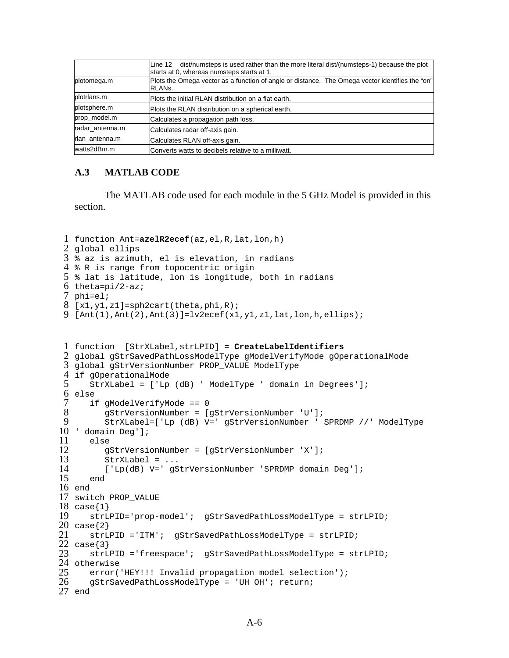|                 | Line 12 dist/numsteps is used rather than the more literal dist/(numsteps-1) because the plot<br>starts at 0, whereas numsteps starts at 1. |
|-----------------|---------------------------------------------------------------------------------------------------------------------------------------------|
| plotomega.m     | Plots the Omega vector as a function of angle or distance. The Omega vector identifies the "on"<br>RLAN <sub>s</sub> .                      |
| plotrlans.m     | Plots the initial RLAN distribution on a flat earth.                                                                                        |
| plotsphere.m    | Plots the RLAN distribution on a spherical earth.                                                                                           |
| prop model.m    | Calculates a propagation path loss.                                                                                                         |
| radar antenna.m | Calculates radar off-axis gain.                                                                                                             |
| rlan_antenna.m  | Calculates RLAN off-axis gain.                                                                                                              |
| watts2dBm.m     | Converts watts to decibels relative to a milliwatt.                                                                                         |

#### **A.3 MATLAB CODE**

 The MATLAB code used for each module in the 5 GHz Model is provided in this section.

```
1 function Ant=azelR2ecef(az,el,R,lat,lon,h)
 2 
global ellips
 3 
% az is azimuth, el is elevation, in radians
 4 
% R is range from topocentric origin
 5 
% lat is latitude, lon is longitude, both in radians
 6 
theta=pi/2-az;
 7 
phi=el;
 8 
[x1,y1,z1]=sph2cart(theta,phi,R);
 9 
[Ant(1),Ant(2),Ant(3)]=lv2ecef(x1,y1,z1,lat,lon,h,ellips);
 1 
function [StrXLabel,strLPID] = CreateLabelIdentifiers
 2 
global gStrSavedPathLossModelType gModelVerifyMode gOperationalMode
 3 
global gStrVersionNumber PROP_VALUE ModelType
 4 
if gOperationalMode
 5 
 6 
else
 7 
 8 
9 
10 
' domain Deg'];
11 
12 
13 
14 
15 
16 
end
17 
switch PROP_VALUE
18 
case{1}
19 
20 
case{2}
21 
22 
case{3}
23 
24 
otherwise
25 
26 
27 
end
       StrXLabel = ['Lp (dB) ' ModelType ' domain in Degrees'];
       if gModelVerifyMode == 0 
          gStrVersionNumber = [gStrVersionNumber 'U'];
          StrXLabel=['Lp (dB) V=' gStrVersionNumber ' SPRDMP //' ModelType 
       else
          gStrVersionNumber = [gStrVersionNumber 'X'];
          StrXLabel = ...
          ['Lp(dB) V=' gStrVersionNumber 'SPRDMP domain Deg'];
       end
       strLPID='prop-model'; gStrSavedPathLossModelType = strLPID;
       strLPID ='ITM'; gStrSavedPathLossModelType = strLPID;
       strLPID ='freespace'; gStrSavedPathLossModelType = strLPID;
      error('HEY!!! Invalid propagation model selection');
       gStrSavedPathLossModelType = 'UH OH'; return;
```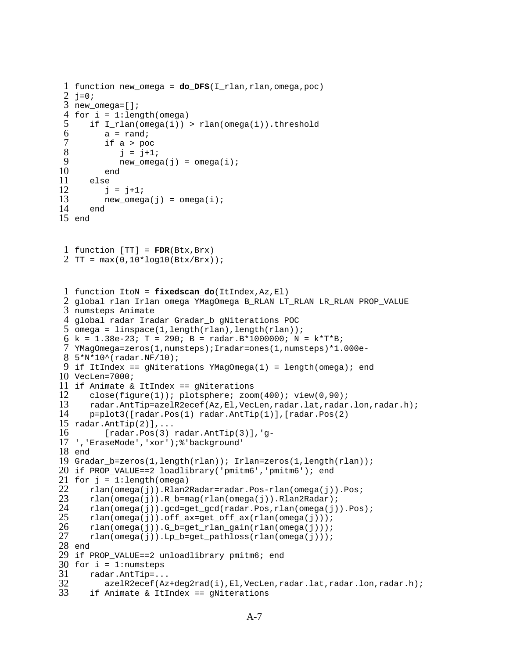```
1 function new_omega = do_DFS(I_rlan,rlan,omega, poc)2 j=0;3 
new_omega=[];
 4 
for i = 1:length(omega)
 5 
 6 
 7 
 8 
 9 
10 
11 
12 
13 
14 
15 
end
 1 
function [TT] = FDR(Btx,Brx)
 2 
TT = max(0,10*log10(Btx/Brx));
 1 
function ItoN = fixedscan_do(ItIndex,Az,El)
 2 
global rlan Irlan omega YMagOmega B_RLAN LT_RLAN LR_RLAN PROP_VALUE 
 3 
numsteps Animate
 4 
global radar Iradar Gradar_b gNiterations POC
 5 
omega = linspace(1,length(rlan),length(rlan));
 6 k = 1.38e-23; T = 290; B = radar.B*1000000; N = k*T*B;
 7 
YMagOmega=zeros(1,numsteps);Iradar=ones(1,numsteps)*1.000e-
 8 
5*N*10^(radar.NF/10);
 9 
if ItIndex == gNiterations YMagOmega(1) = length(omega); end
10 
VecLen=7000;
11 
if Animate & ItIndex == gNiterations
12 
13 
14 
15 
radar.AntTip(2)],...
16 
17 
','EraseMode','xor');%'background'
18 
end
19 
Gradar_b=zeros(1,length(rlan)); Irlan=zeros(1,length(rlan));
20 
if PROP_VALUE==2 loadlibrary('pmitm6','pmitm6'); end
21 for j = 1:length(omega)
22 
23 
24 
25 
26 
27 
28 
end
29 
if PROP_VALUE==2 unloadlibrary pmitm6; end
30 
for i = 1:numsteps
31 
32 
33 
      if I rlan(omega(i)) > rlan(omega(i)).threshold
         a = \text{rand};
          if a > poc 
             j = j+1;new omega(j) = omega(i);
          end
       else
          j = j+1;new\_omega(j) =omega(i); end
       close(figure(1)); plotsphere; zoom(400); view(0,90);
       radar.AntTip=azelR2ecef(Az,El,VecLen,radar.lat,radar.lon,radar.h);
       p=plot3([radar.Pos(1) radar.AntTip(1)],[radar.Pos(2) 
          [radar.Pos(3) radar.AntTip(3)], 'g-
       rlan(omega(j)).Rlan2Radar=radar.Pos-rlan(omega(j)).Pos;
      rlan(\text{omeqa}(j)).R b=mag(rlan(\text{omeqa}(j)).Rlan2Radar);
       rlan(omega(j)).gcd=get_gcd(radar.Pos,rlan(omega(j)).Pos);
       rlan(omega(j)).off_ax=get_off_ax(rlan(omega(j)));
      rlan(omega(j)).G_b = get_rlan_gain(rlan(omega(j)));
       rlan(omega(j)).Lp_b=get_pathloss(rlan(omega(j)));
       radar.AntTip=...
           azelR2ecef(Az+deg2rad(i),El,VecLen,radar.lat,radar.lon,radar.h);
       if Animate & ItIndex == gNiterations
```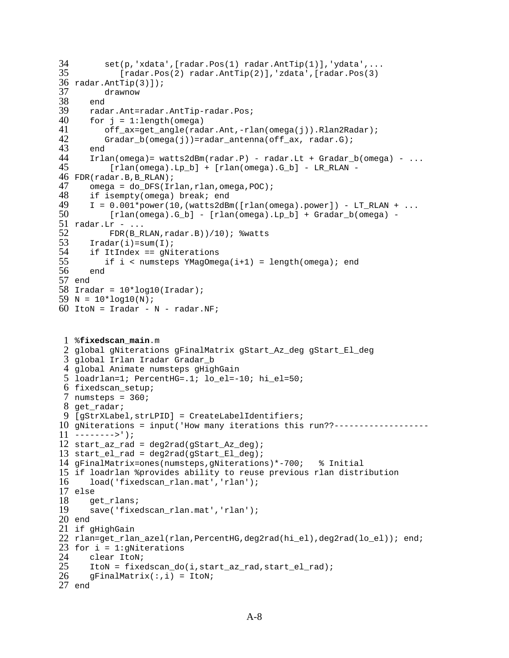```
34 set(p,'xdata',[radar.Pos(1) radar.AntTip(1)],'ydata',...
35 
36 
radar.AntTip(3)]);
37 
38 
39 
40 
41 
42 
43 
44 
45 
46 
FDR(radar.B,B_RLAN);
47 
48 
49 
50 
51 radar.Lr - ...
52 
53 
54 
55 
56 
57 
end
58 
Iradar = 10*log10(Iradar);
59 N = 10 * log10(N);60 
ItoN = Iradar - N - radar.NF;
 1 
%fixedscan_main.m
 2 
global gNiterations gFinalMatrix gStart_Az_deg gStart_El_deg
 3 
global Irlan Iradar Gradar_b
 4 
global Animate numsteps gHighGain
 5 
loadrlan=1; PercentHG=.1; lo_el=-10; hi_el=50;
 6 
fixedscan_setup;
 7 
numsteps = 360;
 8 
get_radar;
 9 
[gStrXLabel,strLPID] = CreateLabelIdentifiers;
10 
gNiterations = input('How many iterations this run??-------------------
11 
-------->');
12 
start_az_rad = deg2rad(gStart_Az_deg);
13 
start_el_rad = deg2rad(gStart_El_deg);
14 
gFinalMatrix=ones(numsteps,gNiterations)*-700; % Initial
15 
if loadrlan %provides ability to reuse previous rlan distribution
16 
17 
else
18 
19 
20 
end
21 
if gHighGain 
22 
rlan=get_rlan_azel(rlan,PercentHG,deg2rad(hi_el),deg2rad(lo_el)); end;
23 
for i = 1:gNiterations
24 
25 
26 
27 
end
             [radar.Pos(2) radar.AntTip(2)],'zdata',[radar.Pos(3)
          drawnow
       end
       radar.Ant=radar.AntTip-radar.Pos;
      for j = 1: length (omega)
          off_ax=get_angle(radar.Ant,-rlan(omega(j)).Rlan2Radar);
         Gradar_b(omega(j))=radar_antenna(off_ax, radar.G);
       end
      Irlan(omega) = watts2dBm(radar.P) - radar.Lt + Gradar_b(omega) - ... [rlan(omega).Lp_b] + [rlan(omega).G_b] - LR_RLAN - 
      omega = do_DFS(Irlan, rlan, omega, POC);
       if isempty(omega) break; end
      I = 0.001*power(10, (watts2dBm([rlan(omegaa).power]) - LT_RLAN + ... [rlan(omega).G_b] - [rlan(omega).Lp_b] + Gradar_b(omega) - 
           FDR(B_RLAN,radar.B))/10); %watts
      Iradar(i)=sum(T;i) if ItIndex == gNiterations
          if i < numsteps YMagOmega(i+1) = length(omega); end
       end
      load('fixedscan_rlan.mat','rlan');
       get_rlans;
       save('fixedscan_rlan.mat','rlan');
       clear ItoN;
       ItoN = fixedscan_do(i,start_az_rad,start_el_rad); 
      gFinalMatrix;,i) = ItoN;
```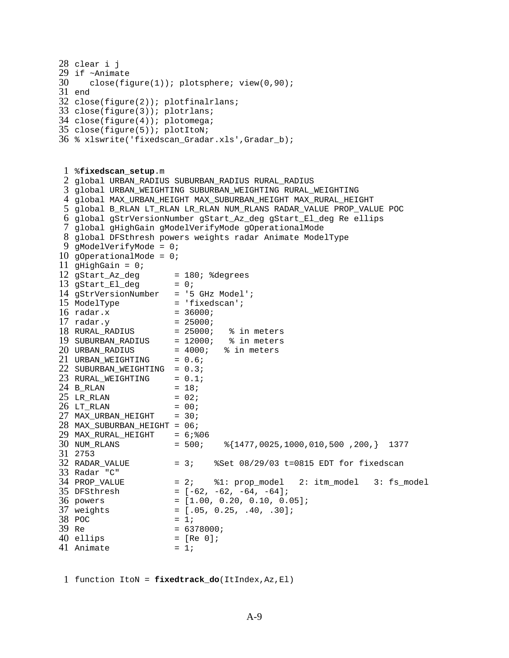```
28 clear i j
29 
if ~Animate
30 
31 
end
32 
close(figure(2)); plotfinalrlans;
33 
close(figure(3)); plotrlans;
34 
close(figure(4)); plotomega;
35 
close(figure(5)); plotItoN;
36 
% xlswrite('fixedscan_Gradar.xls',Gradar_b);
 1 
%fixedscan_setup.m
 2 
global URBAN_RADIUS SUBURBAN_RADIUS RURAL_RADIUS
 3 
global URBAN_WEIGHTING SUBURBAN_WEIGHTING RURAL_WEIGHTING
 4 
global MAX_URBAN_HEIGHT MAX_SUBURBAN_HEIGHT MAX_RURAL_HEIGHT
 5 
global B_RLAN LT_RLAN LR_RLAN NUM_RLANS RADAR_VALUE PROP_VALUE POC
 6 
global gStrVersionNumber gStart_Az_deg gStart_El_deg Re ellips
 7 
global gHighGain gModelVerifyMode gOperationalMode
 8 
global DFSthresh powers weights radar Animate ModelType
 9 
gModelVerifyMode = 0; 
10 
gOperationalMode = 0; 
11 
gHighGain = 0; 
12 gStart_Az_deg
13 gStart_El_deg = 0;14 
gStrVersionNumber = '5 GHz Model';
15 ModelType = 'fixedscan';
16 radar.x
17 
radar.y = 25000;
18 RURAL RADIUS
19 
20 
21 URBAN_WEIGHTING = 0.6;
22 SUBURBAN_WEIGHTING = 0.3;
23 RURAL_WEIGHTING = 0.1;
24 B_RLAN = 18;
25 LR_RLAN = 02;
26 LT_RLAN = 00;
27 MAX_URBAN_HEIGHT = 30;
28 
MAX_SUBURBAN_HEIGHT = 06;
29 
MAX_RURAL_HEIGHT = 6;%06
30 NUM RLANS
31 
2753 
32 RADAR VALUE
33 
Radar "C" 
34 PROP_VALUE
35 DFSthresh
36 powers
37 weights
38 POC
39 Re
40 ellips
41 Animate = 1;
       close(figure(1)); plotsphere; view(0,90);
                     = 180; %degrees
                     = 36000;= 25000; % in meters
   SUBURBAN_RADIUS = 12000; % in meters
   URBAN_RADIUS = 4000; % in meters
                      = 500; \frac{1477}{0025},1000,010,500,200,} 1377
                     = 3; %Set 08/29/03 t=0815 EDT for fixedscan
                      = 2; \textdegree\textdegree 1: \textdegree prop model 2: itm_model 3: fs_model
                    = [-62, -62, -64, -64];
                     = [1.00, 0.20, 0.10, 0.05];
                     = [.05, 0.25, .40, .30];= 1;= 6378000;= [Re 0];
```
1 function ItoN = **fixedtrack\_do**(ItIndex,Az,El)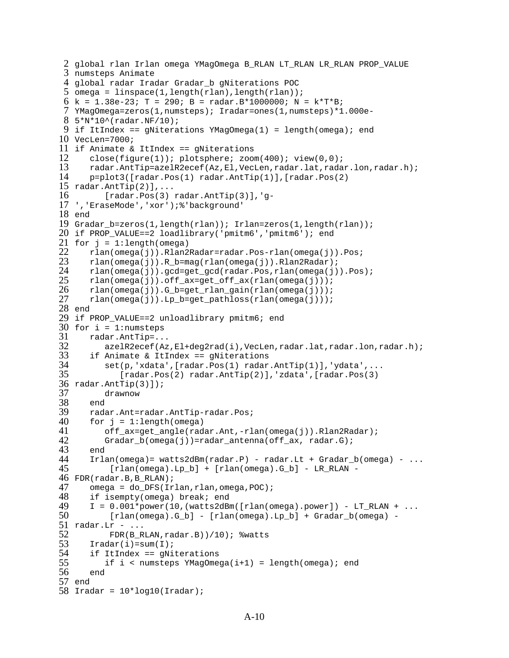```
2 
global rlan Irlan omega YMagOmega B_RLAN LT_RLAN LR_RLAN PROP_VALUE 
 3 
numsteps Animate
 4 
global radar Iradar Gradar_b gNiterations POC
 5 
omega = linspace(1,length(rlan),length(rlan));
 6 k = 1.38e-23; T = 290; B = radar.B*1000000; N = k*T*B;
 7 
YMagOmega=zeros(1,numsteps); Iradar=ones(1,numsteps)*1.000e-
 8 
5*N*10^(radar.NF/10);
 9 
if ItIndex == gNiterations YMagOmega(1) = length(omega); end
10 
VecLen=7000;
11 
if Animate & ItIndex == gNiterations
12 
13 
14 
15 
radar.AntTip(2)],...
16 
17 
','EraseMode','xor');%'background'
18 
end
19 
Gradar_b=zeros(1,length(rlan)); Irlan=zeros(1,length(rlan));
20 
if PROP_VALUE==2 loadlibrary('pmitm6','pmitm6'); end
21 for j = 1:length(omega)
22 
23 
24 
25 
26 
27 
28 
end
29 
if PROP_VALUE==2 unloadlibrary pmitm6; end
30 
for i = 1:numsteps
31 
32 
33 
34 
35 
36 
radar.AntTip(3)]);
37 
38 
39 
40 
41 
42 
43 
44 
45 
46 
FDR(radar.B,B_RLAN);
47 
48 
49 
50 
51 radar.Lr - ...
52 
53 
54 
55 
56 
57 
end
58 
Iradar = 10*log10(Iradar);
      close(figure(1)); plotsphere; zoom(400); view(0,0);
       radar.AntTip=azelR2ecef(Az,El,VecLen,radar.lat,radar.lon,radar.h);
       p=plot3([radar.Pos(1) radar.AntTip(1)],[radar.Pos(2) 
          [radar.Pos(3) radar.AntTip(3)],'g-
       rlan(omega(j)).Rlan2Radar=radar.Pos-rlan(omega(j)).Pos;
       rlan(omega(j)).R_b=mag(rlan(omega(j)).Rlan2Radar);
       rlan(omega(j)).gcd=get_gcd(radar.Pos,rlan(omega(j)).Pos);
       rlan(omega(j)).off_ax=get_off_ax(rlan(omega(j)));
       rlan(omega(j)).G_b=get_rlan_gain(rlan(omega(j)));
       rlan(omega(j)).Lp_b=get_pathloss(rlan(omega(j)));
       radar.AntTip=...
          azelR2ecef(Az,El+deg2rad(i),VecLen,radar.lat,radar.lon,radar.h);
       if Animate & ItIndex == gNiterations
          set(p,'xdata',[radar.Pos(1) radar.AntTip(1)],'ydata',...
              [radar.Pos(2) radar.AntTip(2)],'zdata',[radar.Pos(3) 
          drawnow
       end
       radar.Ant=radar.AntTip-radar.Pos;
      for j = 1: length (omega)
          off_ax=get_angle(radar.Ant,-rlan(omega(j)).Rlan2Radar);
          Gradar_b(omega(j))=radar_antenna(off_ax, radar.G);
       end
      Irlan(omega) = watts2dBm(radar.P) - radar.Lt + Gradar_b(omega_0) - ... [rlan(omega).Lp_b] + [rlan(omega).G_b] - LR_RLAN - 
      omega = do_DFS(Irlan, rlan, omega, POC);
       if isempty(omega) break; end
      I = 0.001*power(10, (watts2dBm([rlan(omegaa).power]) - LT_RLAN + ... [rlan(omega).G_b] - [rlan(omega).Lp_b] + Gradar_b(omega) - 
           FDR(B_RLAN,radar.B))/10); %watts
      Iradar(i)=sum(1); if ItIndex == gNiterations
         if i < numsteps YMagOmega(i+1) = length(omega); end
       end
```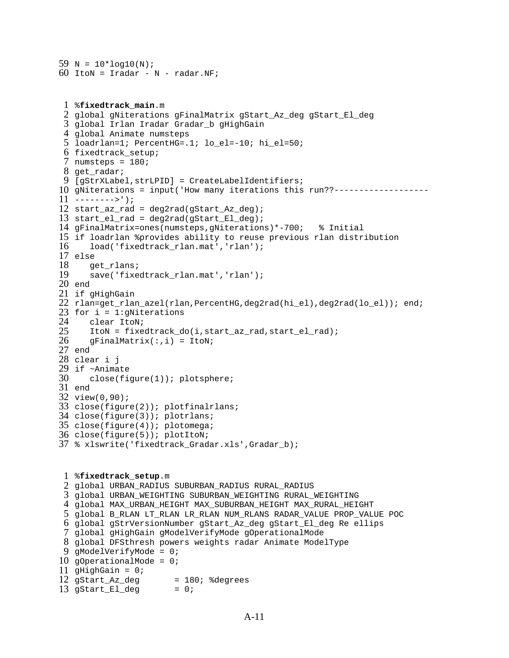```
59 N = 10*log10(N);60 
ItoN = Iradar - N - radar.NF;
```

```
1 
%fixedtrack_main.m
 2 
global gNiterations gFinalMatrix gStart_Az_deg gStart_El_deg
 3 
global Irlan Iradar Gradar_b gHighGain
 4 
global Animate numsteps
 5 
loadrlan=1; PercentHG=.1; lo_el=-10; hi_el=50;
 6 
fixedtrack_setup;
 7 
numsteps = 180;
 8 
get_radar;
 9 
[gStrXLabel,strLPID] = CreateLabelIdentifiers;
10 
gNiterations = input('How many iterations this run??-------------------
11 
-------->');
12 
start_az_rad = deg2rad(gStart_Az_deg);
13 
start_el_rad = deg2rad(gStart_El_deg);
14 
gFinalMatrix=ones(numsteps,gNiterations)*-700; % Initial
15 
if loadrlan %provides ability to reuse previous rlan distribution
16 
17 
else
18 
19 
20 
end
21 
if gHighGain 
22 
rlan=get_rlan_azel(rlan,PercentHG,deg2rad(hi_el),deg2rad(lo_el)); end;
23 
for i = 1:gNiterations
24 
25 
26 
27 
end
28 
clear i j
29 
if ~Animate
30 
31 
end 
32 
view(0,90);
33 
close(figure(2)); plotfinalrlans;
34 
close(figure(3)); plotrlans;
35 
close(figure(4)); plotomega;
36 
close(figure(5)); plotItoN;
37 
% xlswrite('fixedtrack_Gradar.xls',Gradar_b);
 1 
%fixedtrack_setup.m
 2 
global URBAN_RADIUS SUBURBAN_RADIUS RURAL_RADIUS
 3 
global URBAN_WEIGHTING SUBURBAN_WEIGHTING RURAL_WEIGHTING
 4 
global MAX_URBAN_HEIGHT MAX_SUBURBAN_HEIGHT MAX_RURAL_HEIGHT
 5 
global B_RLAN LT_RLAN LR_RLAN NUM_RLANS RADAR_VALUE PROP_VALUE POC
       load('fixedtrack_rlan.mat','rlan'); 
       get_rlans;
       save('fixedtrack_rlan.mat','rlan');
       clear ItoN;
       ItoN = fixedtrack_do(i,start_az_rad,start_el_rad); 
       gFinalMatrix(:,i) = ItoN;
       close(figure(1)); plotsphere;
```

```
6 
global gStrVersionNumber gStart_Az_deg gStart_El_deg Re ellips
```

```
7 
global gHighGain gModelVerifyMode gOperationalMode
```

```
8 
global DFSthresh powers weights radar Animate ModelType
```

```
9 
gModelVerifyMode = 0;
```

```
10 
gOperationalMode = 0;
```

```
11 
gHighGain = 0;
```

```
12 gStart_Az_deg = 180; %degrees
13 gStart_El_deg = 0;
```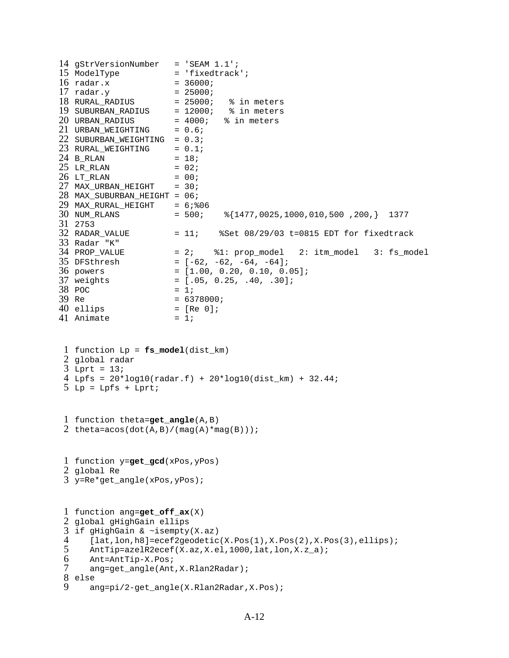```
14 gStrVersionNumber = 'SEAM 1.1';
15 ModelType
16 radar.x
17 radar.y
18 RURAL RADIUS
19 SUBURBAN RADIUS
20 URBAN RADIUS
21 URBAN_WEIGHTING = 0.6;
22 SUBURBAN_WEIGHTING = 0.3;
23 RURAL_WEIGHTING = 0.1;
24 B_RLAN = 18;
25 LR_RLAN = 02;
26 LT_RLAN = 00;
27 MAX_URBAN_HEIGHT = 30;
28 
MAX_SUBURBAN_HEIGHT = 06;
29 
MAX_RURAL_HEIGHT = 6;%06
30 NUM_RLANS
31 
2753 
32 RADAR_VALUE
33 
Radar "K"
34 PROP VALUE
35 DFSthresh
36 powers
37 
38 \text{ POC} = 1;39 Re
40 ellips
41 Animate = 1;
 1 
function Lp = fs_model(dist_km)
 2 
global radar
 3 
Lprt = 13;
 4 
Lpfs = 20*log10(radar.f) + 20*log10(dist_km) + 32.44;
 5 Lp = Lpfs + Lprt;
 1 
function theta=get_angle(A,B)
 2 theta=acos(dot(A,B)/(mag(A)*mag(B)));
 1 
function y=get_gcd(xPos,yPos)
 2 
global Re
 3 
y=Re*get_angle(xPos,yPos);
 1 
function ang=get_off_ax(X)
 2 
global gHighGain ellips
 3 
if gHighGain & ~isempty(X.az)
 4 
 5 
 6 
 7 
 8 
else
 9 
                   = 'fixedtrack';
                     = 36000;= 25000;= 25000; % in meters
                    = 12000; % in meters
                    = 4000; % in meters
                      = 500; \quad \frac{1477}{0025}, 1000, 010, 500, 200, 1377
                = 11; %Set 08/29/03 t=0815 EDT for fixedtrack
                    = 2; \$1: prop_model 2: itm_model 3: fs_model
                    = [-62, -62, -64, -64];= [1.00, 0.20, 0.10, 0.05];
                     = [.05, 0.25, .40, .30];= 6378000;= [Re 0];
      [lat,lon,h8]=ecef2geodetic(X.Pos(1),X.Pos(2),X.Pos(3),ellips);
      AntTip=azelR2ecef(X.az,X.el,1000,lat,lon,X.z_a);
      Ant=AntTip-X.Pos;
      ang=get_angle(Ant,X.Rlan2Radar);
     ang=pi/2-get_angle(X.Rlan2Radar,X.Pos);
```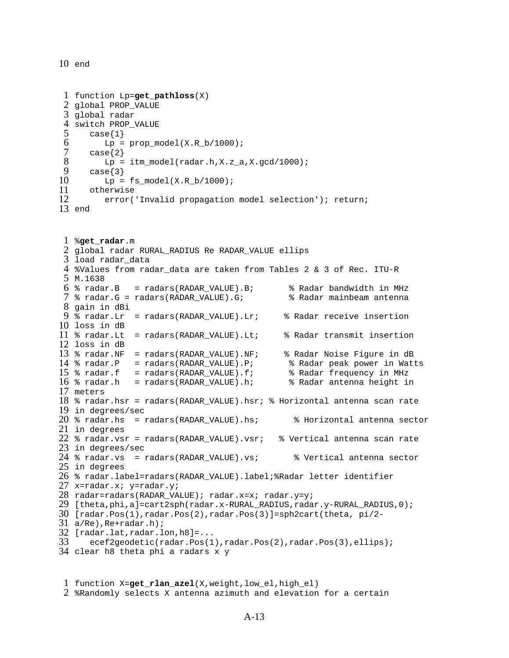end

```
1 
function Lp=get_pathloss(X)
 2 
global PROP_VALUE
 3 
global radar
 4 
switch PROP_VALUE
5 
6 
7 
8 
9 
10 
11 
12 
13 
end 
 1 
%get_radar.m
 2 
global radar RURAL_RADIUS Re RADAR_VALUE ellips
 3 
load radar_data
 4 
%Values from radar_data are taken from Tables 2 & 3 of Rec. ITU-R 
 5 
M.1638
 6 
% radar.B = radars(RADAR_VALUE).B; % Radar bandwidth in MHz
 7 
% radar.G = radars(RADAR_VALUE).G; % Radar mainbeam antenna 
 8 
gain in dBi
 9 
% radar.Lr = radars(RADAR_VALUE).Lr; % Radar receive insertion 
10 
loss in dB
11 
% radar.Lt = radars(RADAR_VALUE).Lt; % Radar transmit insertion 
12 
loss in dB
13 
% radar.NF = radars(RADAR_VALUE).NF; % Radar Noise Figure in dB
14 
15 
16 
% radar.h = radars(RADAR_VALUE).h; % Radar antenna height in 
17 
meters
18 
% radar.hsr = radars(RADAR_VALUE).hsr; % Horizontal antenna scan rate 
19 
in degrees/sec
20 
% radar.hs = radars(RADAR_VALUE).hs; % Horizontal antenna sector 
21 
in degrees
22 
% radar.vsr = radars(RADAR_VALUE).vsr; % Vertical antenna scan rate 
23 
in degrees/sec
24 
% radar.vs = radars(RADAR_VALUE).vs; % Vertical antenna sector 
25 
in degrees
26 
% radar.label=radars(RADAR_VALUE).label;%Radar letter identifier
27 
x=radar.x; y=radar.y;
28 
radar=radars(RADAR_VALUE); radar.x=x; radar.y=y;
29 
[theta,phi,a]=cart2sph(radar.x-RURAL_RADIUS,radar.y-RURAL_RADIUS,0);
30 
[radar.Pos(1),radar.Pos(2),radar.Pos(3)]=sph2cart(theta, pi/2-
31 
a/Re),Re+radar.h);
32 
[radar.lat,radar.lon,h8]=...
33 
34 
clear h8 theta phi a radars x y
      case{1}
         Lp = prop_model(X.R_b/1000); case{2}
         Lp = itm model(radar.h,X.z a,X.gcd/1000);
      case{3}Lp = fs_model(X.R_b/1000); otherwise
          error('Invalid propagation model selection'); return;
   % radar.P = radars(RADAR_VALUE).P; % Radar peak power in Watts
   % radar.f = radars(RADAR_VALUE).f; % Radar frequency in MHz
       ecef2geodetic(radar.Pos(1),radar.Pos(2),radar.Pos(3),ellips);
```

```
1 
function X=get_rlan_azel(X,weight,low_el,high_el)
2 
%Randomly selects X antenna azimuth and elevation for a certain
```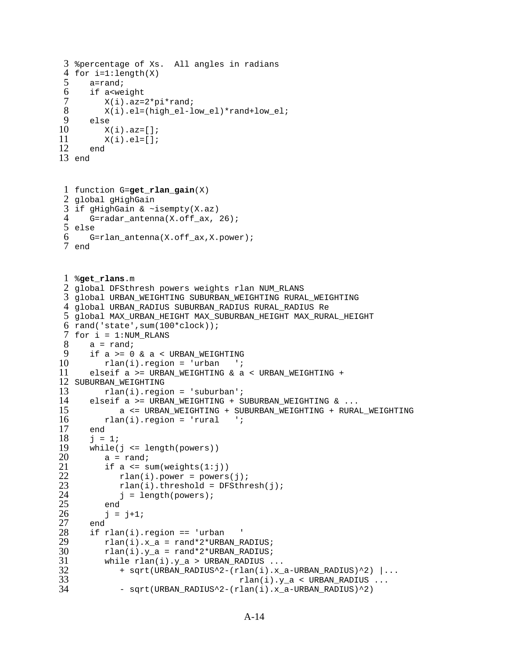```
3 %percentage of Xs. All angles in radians
 4 
for i=1:length(X)
 5 
 6 
 7 
 8 
 9 
10 
11 
12 
13 
end
 1 
function G=get_rlan_gain(X)
 2 
global gHighGain
 3 
if gHighGain & ~isempty(X.az)
 4 
 5 
else
 6 
 7 
end
 1 
%get_rlans.m
 2 
global DFSthresh powers weights rlan NUM_RLANS
 3 
global URBAN_WEIGHTING SUBURBAN_WEIGHTING RURAL_WEIGHTING
 4 
global URBAN_RADIUS SUBURBAN_RADIUS RURAL_RADIUS Re
 5 
global MAX_URBAN_HEIGHT MAX_SUBURBAN_HEIGHT MAX_RURAL_HEIGHT
 6 
rand('state',sum(100*clock));
 7 
for i = 1:NUM_RLANS
8 
9 
10 
11 
12 
SUBURBAN_WEIGHTING
13 
14 
15 
16 
17 
18 
19 
20 
21 
22 
23 
24 
25 
26 
27 
28 
29 
30 
31 
32 
33 
34 
       a=rand;
       if a<weight
          X(i).az=2*pi*rand;X(i).el=(high el-low el)*rand+low el;
       else
         X(i).az=[];
         X(i).el=[];
       end
       G=radar_antenna(X.off_ax, 26);
       G=rlan_antenna(X.off_ax,X.power);
      a = \text{rand}; if a >= 0 & a < URBAN_WEIGHTING
          rlan(i). region = 'urban ';
      elseif a >= URBAN_WEIGHTING & a < URBAN_WEIGHTING +
           rlan(i).region = 'suburban';
       elseif a >= URBAN_WEIGHTING + SUBURBAN_WEIGHTING & ...
             a <= URBAN_WEIGHTING + SUBURBAN_WEIGHTING + RURAL_WEIGHTING \ln(i). region = 'rural ';
         rlan(i).region = 'rural
       end
      j = 1; while(j <= length(powers))
          a = rand;
          if a \leq sum(weights(1:j))rlan(i). power = powers(j);
             rlan(i).threshold = DFSthresh(j);
             j = length(powers); end
          j = j+1; end
       if rlan(i).region == 'urban '
          rlan(i).x_a = rand*2*URBAN_RADIUS;rlan(i).y_a = rand*2*URBAN_RADIUS;while rlan(i).y_a > URBAN_RADIUS... + sqrt(URBAN_RADIUS^2-(rlan(i).x_a-URBAN_RADIUS)^2) |...
                                        rlan(i).y_a < URBAN_RADIUS ...
              - sqrt(URBAN_RADIUS^2-(rlan(i).x_a-URBAN_RADIUS)^2)
```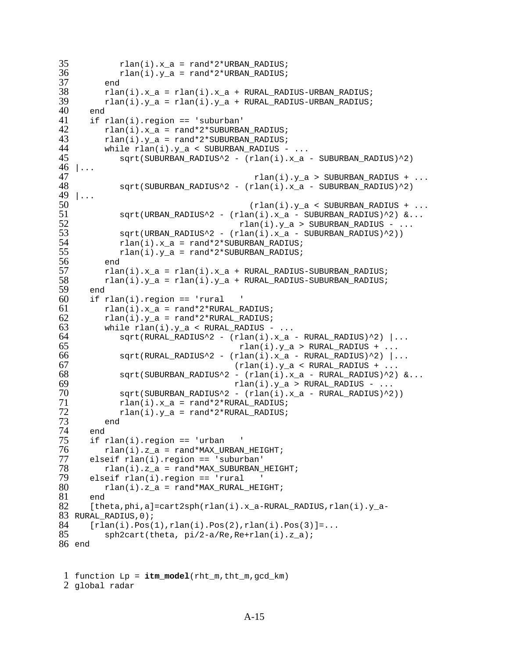```
35 rlan(i).x_a = rand*2*URBAN_RADIUS;
36 
37 
38 
39 
40 
41 
42 
43 
44 
45 
46 | ...
47 
48 
49 
|...
50 
51 
52 
53 
54 
55 
56 
57 
58 
59 
60 
61 
62 
63 
64 
65 
66 
67 
68 
69 
70 
71 
72 
73 
74 
75 
76 
77 
78 
79 
80 
81 
82 
83 
RURAL_RADIUS,0);
84 
85 
86 
end
            rlan(i).y_a = rand*2*URBAN_RADIUS; end
         rlan(i).x_a = rlan(i).x_a + RURAL_RADIUS-URBAN_RADIUS;rlan(i).y_a = rlan(i).y_a + RURAL_RADIUS-URBAN_RADIUS; end
       if rlan(i).region == 'suburban'
         rlan(i).x_a = rand*2*SUBURBAN_RADIUS;rlan(i).y_a = rand*2*SUBURBAN_RADIUS;while rlan(i).y_a < SUBURBAN_RADIUS - ...sqrt(SUBURBAN_RADIUS^2 - (rlan(i).x_a - SUBURBAN_RADIUS)^2)
                                         rlan(i).y_a > SUBURBAN_RADIUS + ...sqrt(SUBURBAN_RADIUS^2 - (rlan(i).x_a - SUBURBAN_RADIUS)^2)(rlan(i).y_a < SUBURBAN_RADIUS + ...sqrt(URBAN_RADIUS^2 - (rlan(i).x_a - SUBURBAN_RADIUS)^2) \&...rlan(i).y_a > SUBURBAN_RADIUS - ...sqrt(URBAN_RADIUS^2 - (rlan(i).x_a - SUBURBAN_RADIUS)^2))rlan(i).x_a = rand*2*SUBURBAN_RADIUS;rlan(i).y a = rand*2*SUBURBAN RADIUS;
          end
         rlan(i).x_a = rlan(i).x_a + RURAL_RADIUS-SUBURBAN_RADIUS;rlan(i).y_a = rlan(i).y_a + RURAL_RADIUS-SUBURBAN_RADIUS; end
      if rlan(i).region == 'rural
         rlan(i).x = \text{rand*2*RURAL RADIUS};rlan(i).y_a = rand*2*RURAL_RADIUS;while rlan(i) . y_a < RURAL_RADIUS - ...sqrt(RURAL_RADIUS^2 - (rlan(i).x_a - RURAL_RADIUS)^2) ...
                                     rlan(i).y_a > RURAL_RADIUS + ...sqrt(RURAL_RADIUS^2 - (rlan(i).x_a - RURAL_RADIUS)^2) ...
                                    (rlan(i).y_a < RURAL_RADIUS + ...sqrt(SUBURBAN_RADIUS^2 - (rlan(i).x_a - RURAL_RADIUS)^2) &...
                                    rlan(i).y_a > RURAL_RADIUS - ... sqrt(SUBURBAN_RADIUS^2 - (rlan(i).x_a - RURAL_RADIUS)^2))
            rlan(i).x a = rand*2*RURAL RADIUS;
            rlan(i).y_a = rand*2*RURAL_RADIUS; end
       end
      if rlan(i).region == 'urban
         rlan(i).z_a = rand*MAX_URBAN_HEIGHT; elseif rlan(i).region == 'suburban'
         rlan(i).z a = rand*MAX SUBURBAN HEIGHT;
       elseif rlan(i).region == 'rural '
         rlan(i).z_a = rand*MAX_RURAL_HEIGHT; end
      [theta,phi,a]=cart2sph(rlan(i).x_a-RURAL_RADIUS,rlan(i).y_a-
      [rlan(i).Pos(1),rlan(i).Pos(2),rlan(i).Pos(3)]=... sph2cart(theta, pi/2-a/Re,Re+rlan(i).z_a);
```

```
1 
function Lp = itm_model(rht_m,tht_m,gcd_km)
2 
global radar
```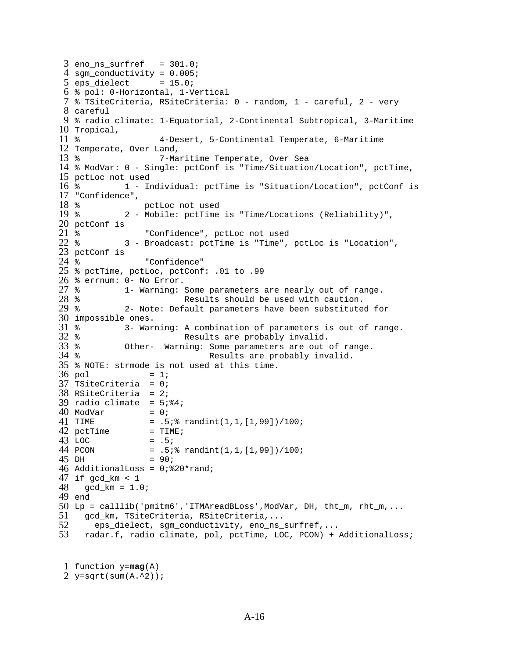```
3 eno_ns_surfref = 301.0;
 4 
sgm_conductivity = 0.005;
 5 eps_dielect = 15.0;
 6 
% pol: 0-Horizontal, 1-Vertical
 7 
% TSiteCriteria, RSiteCriteria: 0 - random, 1 - careful, 2 - very 
 8 
careful
 9 
% radio_climate: 1-Equatorial, 2-Continental Subtropical, 3-Maritime 
10 
Tropical,
11 
12 
Temperate, Over Land,
13 \times14 
% ModVar: 0 - Single: pctConf is "Time/Situation/Location", pctTime, 
15 
pctLoc not used
16*17 
"Confidence", 
18 
19*20 
pctConf is 
21 %
22 \div23 
pctConf is 
24 \; %
25 
% pctTime, pctLoc, pctConf: .01 to .99
26 
% errnum: 0- No Error.
27 *28*29 %
30 
impossible ones.
31 \text{ }32 %
33 
34 %
35 
% NOTE: strmode is not used at this time.
36 pol
37 
TSiteCriteria = 0;
38 
RSiteCriteria = 2;
39 radio_climate = 5:84;
40 ModVar = 0;
41 TIME
42 pctTime = TIME;
43 LOC
44 PCON
45 DH
46 
AdditionalLoss = 0;%20*rand;
47 
if gcd_km < 1
48 
49 
end
50 
Lp = calllib('pmitm6','ITMAreadBLoss',ModVar, DH, tht_m, rht_m,...
51 
52 
53 
                    % 4-Desert, 5-Continental Temperate, 6-Maritime 
                    7-Maritime Temperate, Over Sea
             % 1 - Individual: pctTime is "Situation/Location", pctConf is 
                 pctLoc not used
             % 2 - Mobile: pctTime is "Time/Locations (Reliability)", 
                  "Confidence", pctLoc not used
             % 3 - Broadcast: pctTime is "Time", pctLoc is "Location", 
                 "Confidence"
             1- Warning: Some parameters are nearly out of range.
                          Results should be used with caution.
             2- Note: Default parameters have been substituted for
             3- Warning: A combination of parameters is out of range.
                          Results are probably invalid.
             Other- Warning: Some parameters are out of range.
                               Results are probably invalid.
                  = 1;= .5; % randint(1,1,[1,99])/100;
                  = .5;= .5; * randint(1,1,[1,99])/100;
                  = 90; gcd_km = 1.0;
     gcd_km, TSiteCriteria, RSiteCriteria,...
        eps_dielect, sgm_conductivity, eno_ns_surfref,...
      radar.f, radio_climate, pol, pctTime, LOC, PCON) + AdditionalLoss;
```

```
1 
function y=mag(A)
2 
y=sqrt(sum(A.^2));
```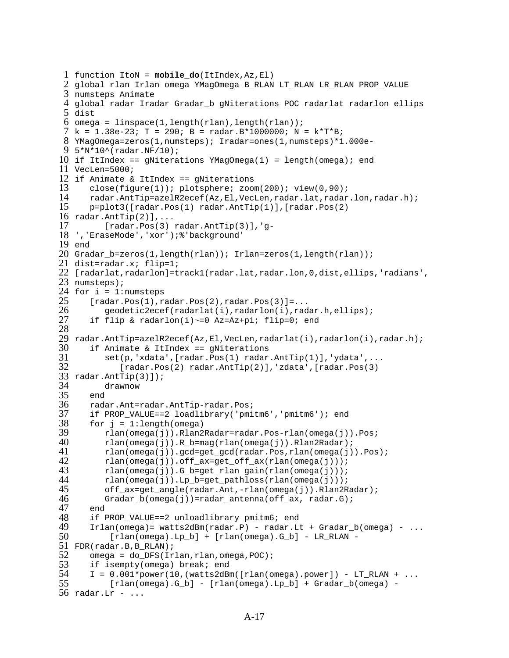```
1 function ItoN = mobile_do(ItIndex,Az,El)
 2 
global rlan Irlan omega YMagOmega B_RLAN LT_RLAN LR_RLAN PROP_VALUE 
 3 
numsteps Animate
 4 
global radar Iradar Gradar_b gNiterations POC radarlat radarlon ellips 
 5 
dist 
 6 
omega = linspace(1,length(rlan),length(rlan));
 7 k = 1.38e-23; T = 290; B = radar.B*1000000; N = k*T*B;8 
YMagOmega=zeros(1,numsteps); Iradar=ones(1,numsteps)*1.000e-
 9 
5*N*10^(radar.NF/10);
10 
if ItIndex == gNiterations YMagOmega(1) = length(omega); end
11 
VecLen=5000;
12 
if Animate & ItIndex == gNiterations
13 
14 
15 
16 
radar.AntTip(2)],...
17 
18 
','EraseMode','xor');%'background'
19 
end
20 
Gradar_b=zeros(1,length(rlan)); Irlan=zeros(1,length(rlan));
21 
dist=radar.x; flip=1;
22 
[radarlat,radarlon]=track1(radar.lat,radar.lon,0,dist,ellips,'radians',
23 
numsteps);
24 
for i = 1:numsteps
25 
26 
27 
28 
29 
radar.AntTip=azelR2ecef(Az,El,VecLen,radarlat(i),radarlon(i),radar.h);
30 
31 
32 
33 
radar.AntTip(3)]);
34 
35 
36 
37 
38 
39 
40 
41 
42 
43 
44 
45 
46 
47 
48 
49 
50 
51 
FDR(radar.B,B_RLAN);
52 
53 
54 
55 
56 
radar.Lr - ...
       close(figure(1)); plotsphere; zoom(200); view(0,90);
       radar.AntTip=azelR2ecef(Az,El,VecLen,radar.lat,radar.lon,radar.h);
       p=plot3([radar.Pos(1) radar.AntTip(1)],[radar.Pos(2) 
         [radar.Pos(3) radar.AntTip(3)], 'q-
      [radar.Pos(1),radar.Pos(2),radar.Pos(3)] = ... geodetic2ecef(radarlat(i),radarlon(i),radar.h,ellips);
       if flip & radarlon(i)~=0 Az=Az+pi; flip=0; end
       if Animate & ItIndex == gNiterations
          set(p,'xdata',[radar.Pos(1) radar.AntTip(1)],'ydata',...
              [radar.Pos(2) radar.AntTip(2)],'zdata',[radar.Pos(3) 
          drawnow
       end
       radar.Ant=radar.AntTip-radar.Pos;
       if PROP_VALUE==2 loadlibrary('pmitm6','pmitm6'); end
      for j = 1: length (omega)
          rlan(omega(j)).Rlan2Radar=radar.Pos-rlan(omega(j)).Pos;
          rlan(omega(j)).R_b=mag(rlan(omega(j)).Rlan2Radar);
          rlan(omega(j)).gcd=get_gcd(radar.Pos,rlan(omega(j)).Pos);
          rlan(omega(j)).off_ax=get_off_ax(rlan(omega(j)));
          rlan(omega(j)).G_b=get_rlan_gain(rlan(omega(j)));
          rlan(omega(j)).Lp_b=get_pathloss(rlan(omega(j)));
          off_ax=get_angle(radar.Ant,-rlan(omega(j)).Rlan2Radar);
         Gradar_b(omega(j))=radar_antenna(off_ax, radar.G);
       end
      if PROP VALUE==2 unloadlibrary pmitm6; end
      Irlan(omega) = watts2dBm(radar.P) - radar.Lt + Gradar_b(omega) - ...[rlan(\omega)] - Lp_b] + [rlan(\omega)] - Lp_c - LR_RLAN -
      omega = do_DFS(Irlan, rlan, omega, POC);
       if isempty(omega) break; end
      I = 0.001*power(10, (watts2dBm([rlan(omega, power])) - LT RLAN + ... [rlan(omega).G_b] - [rlan(omega).Lp_b] + Gradar_b(omega) -
```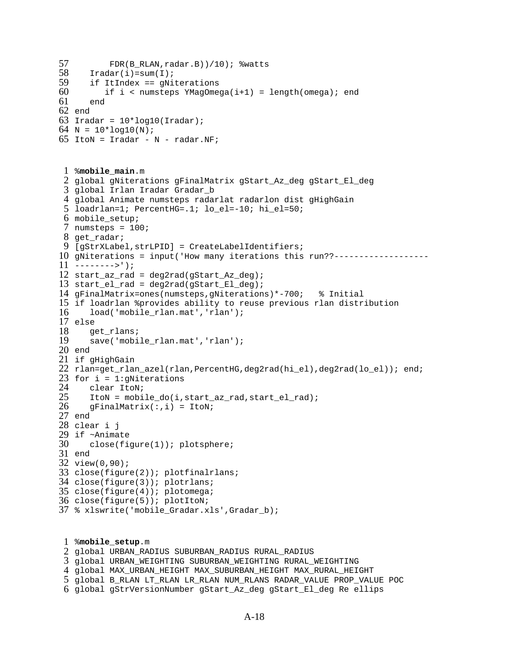```
57 FDR(B RLAN,radar.B))/10); %watts
58 
59 
60 
61 
62 
end
63 
Iradar = 10*log10(Iradar);
64 
N = 10*log10(N); 
65 
ItoN = Iradar - N - radar.NF;
 1 
%mobile_main.m
 2 
global gNiterations gFinalMatrix gStart_Az_deg gStart_El_deg
 3 
global Irlan Iradar Gradar_b
 4 
global Animate numsteps radarlat radarlon dist gHighGain
 5 
loadrlan=1; PercentHG=.1; lo_el=-10; hi_el=50;
 6 
mobile_setup;
 7 
numsteps = 100;
 8 
get_radar;
 9 
[gStrXLabel,strLPID] = CreateLabelIdentifiers;
10 
gNiterations = input('How many iterations this run??-------------------
11 
-------->');
12 
start_az_rad = deg2rad(gStart_Az_deg);
13 
start_el_rad = deg2rad(gStart_El_deg);
14 
gFinalMatrix=ones(numsteps,gNiterations)*-700; % Initial
15 
if loadrlan %provides ability to reuse previous rlan distribution
16 
17 
else
18 
19 
20 
end
21 
if gHighGain 
22 
rlan=get_rlan_azel(rlan,PercentHG,deg2rad(hi_el),deg2rad(lo_el)); end;
23 
for i = 1:gNiterations
24 
25 
26 
27 
end
28 
clear i j
29 
if ~Animate
30 
31 
end 
32 
view(0,90);
33 
close(figure(2)); plotfinalrlans;
34 
close(figure(3)); plotrlans;
35 
close(figure(4)); plotomega;
36 
close(figure(5)); plotItoN;
37 
% xlswrite('mobile_Gradar.xls',Gradar_b);
 1 
%mobile_setup.m
 2 
global URBAN_RADIUS SUBURBAN_RADIUS RURAL_RADIUS
 3 
global URBAN_WEIGHTING SUBURBAN_WEIGHTING RURAL_WEIGHTING
 4 
global MAX_URBAN_HEIGHT MAX_SUBURBAN_HEIGHT MAX_RURAL_HEIGHT
      Iradar(i)=sum(T;i) if ItIndex == gNiterations
         if i < numsteps YMagOmega(i+1) = length(omega); end
       end
      load('mobile_rlan.mat','rlan');
       get_rlans;
      save('mobile_rlan.mat','rlan');
       clear ItoN;
       ItoN = mobile_do(i,start_az_rad,start_el_rad); 
      gFinalMatrix(:,i) = ItoN; close(figure(1)); plotsphere;
```
- global B\_RLAN LT\_RLAN LR\_RLAN NUM\_RLANS RADAR\_VALUE PROP\_VALUE POC
- global gStrVersionNumber gStart\_Az\_deg gStart\_El\_deg Re ellips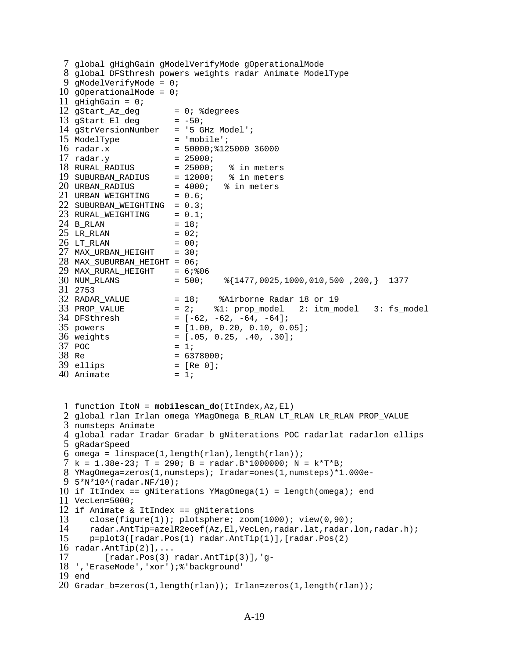```
7 global gHighGain gModelVerifyMode gOperationalMode
 8 
global DFSthresh powers weights radar Animate ModelType
 9 
gModelVerifyMode = 0; 
10 
gOperationalMode = 0; 
11 
gHighGain = 0; 
12 gStart_Az_deg = 0; %degrees
13 gStart_El_deg = -50;
14 
gStrVersionNumber = '5 GHz Model';
15 ModelType = 'mobile';
16 radar.x
17 radar.y
18 RURAL_RADIUS = 25000; % in meters
19 SUBURBAN_RADIUS
20 URBAN_RADIUS = 4000; \frac{1}{8} in meters
21 URBAN_WEIGHTING = 0.6;
22 SUBURBAN_WEIGHTING = 0.3;
23 RURAL_WEIGHTING = 0.1;
24 B_RLAN = 18;
25 LR_RLAN = 02;
26 LT_RLAN = 00;
27 MAX_URBAN_HEIGHT = 30;
28 
MAX_SUBURBAN_HEIGHT = 06;
29 
MAX_RURAL_HEIGHT = 6;%06
30 NUM_RLANS
31 
2753 
32 RADAR VALUE
33 PROP VALUE
34 DFSthresh
35 powers
36 weights
37 POC
38 Re
39 ellips
40 Animate = 1;
 1 
function ItoN = mobilescan_do(ItIndex,Az,El)
 2 
global rlan Irlan omega YMagOmega B_RLAN LT_RLAN LR_RLAN PROP_VALUE 
 3 
numsteps Animate
 4 
global radar Iradar Gradar_b gNiterations POC radarlat radarlon ellips 
 5 
gRadarSpeed
 6 
omega = linspace(1,length(rlan),length(rlan));
 7 
k = 1.38e-23; T = 290; B = radar.B*1000000; N = k*T*B;
 8 
YMagOmega=zeros(1,numsteps); Iradar=ones(1,numsteps)*1.000e-
 9 
5*N*10^(radar.NF/10);
10 
if ItIndex == gNiterations YMagOmega(1) = length(omega); end
11 
VecLen=5000;
12 
if Animate & ItIndex == gNiterations
13 
14 
15 
16 
radar.AntTip(2)],...
17 
18 
','EraseMode','xor');%'background'
19 
end
20 
Gradar_b=zeros(1,length(rlan)); Irlan=zeros(1,length(rlan));
                      = 50000; 2125000; 36000= 25000;<br>= 25000;
                    = 12000; % in meters<br>= 4000; % in meters
                      = 500; \{1477,0025,1000,010,500,200,\} 1377
                     = 18; %Airborne Radar 18 or 19
                      = 2; \$1: prop model 2: itm model 3: fs model
                     = [-62, -62, -64, -64];= [1.00, 0.20, 0.10, 0.05];
                     = [.05, 0.25, .40, .30];= 1;= 6378000;= [Re 0];
      close(fique(1)); plotsphere; zoom(1000); view(0,90);
       radar.AntTip=azelR2ecef(Az,El,VecLen,radar.lat,radar.lon,radar.h);
      p=plot3([radar.Pos(1) radar.AntTip(1)],[radar.Pos(2) 
          [radar.Pos(3) radar.AntTip(3)],'g-
```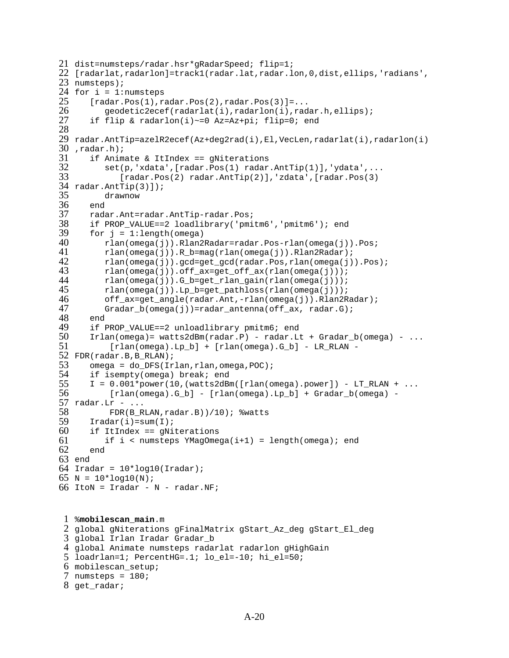```
21 dist=numsteps/radar.hsr*gRadarSpeed; flip=1;
22 
[radarlat,radarlon]=track1(radar.lat,radar.lon,0,dist,ellips,'radians',
23 
numsteps);
24 
for i = 1:numsteps
25 
26 
27 
28 
29 
30 
,radar.h);
31 
32 
33 
34 
radar.AntTip(3)]);
35 
36 
37 
38 
39 
40 
41 
42 
43 
44 
45 
46 
47 
48 
49 
50 
51 
52 
FDR(radar.B,B_RLAN);
53 
54 
55 
56 
57 
radar.Lr - ...
58 
59 
60 
61 
62 
63 
end
64 
Iradar = 10*log10(Iradar);
65 N = 10*log10(N);66 
ItoN = Iradar - N - radar.NF;
 1 
%mobilescan_main.m
 2 
global gNiterations gFinalMatrix gStart_Az_deg gStart_El_deg
 3 
global Irlan Iradar Gradar_b
 4 
global Animate numsteps radarlat radarlon gHighGain
      [radar.Pos(1),radar.Pos(2),radar.Pos(3)] = ... geodetic2ecef(radarlat(i),radarlon(i),radar.h,ellips);
       if flip & radarlon(i)~=0 Az=Az+pi; flip=0; end
   radar.AntTip=azelR2ecef(Az+deg2rad(i),El,VecLen,radarlat(i),radarlon(i)
       if Animate & ItIndex == gNiterations
          set(p,'xdata',[radar.Pos(1) radar.AntTip(1)],'ydata',...
              [radar.Pos(2) radar.AntTip(2)],'zdata',[radar.Pos(3) 
          drawnow
       end
       radar.Ant=radar.AntTip-radar.Pos;
       if PROP_VALUE==2 loadlibrary('pmitm6','pmitm6'); end
      for j = 1: length (omega)
          rlan(omega(j)).Rlan2Radar=radar.Pos-rlan(omega(j)).Pos;
          rlan(omega(j)).R_b=mag(rlan(omega(j)).Rlan2Radar);
          rlan(omega(j)).gcd=get_gcd(radar.Pos,rlan(omega(j)).Pos);
          rlan(omega(j)).off_ax=get_off_ax(rlan(omega(j)));
          rlan(omega(j)).G_b=get_rlan_gain(rlan(omega(j)));
          rlan(omega(j)).Lp_b=get_pathloss(rlan(omega(j)));
          off_ax=get_angle(radar.Ant,-rlan(omega(j)).Rlan2Radar);
         Gradar_b(omega(j))=radar_antenna(off_ax, radar.G);
       end
       if PROP_VALUE==2 unloadlibrary pmitm6; end
      Irlan(\omega) = watts2dBrm(\nu) - radar.Lt + Gradar_b(\omega) - ...[rlan(omega).Lp_b] + [rlan(omega).G_b] - LR_RLAN -omega = do_DFS(Irlan, rlan, omega, POC);
       if isempty(omega) break; end
      I = 0.001*power(10, (watts2dBm([rlan(omegaa).power]) - LT_RLAN + ... [rlan(omega).G_b] - [rlan(omega).Lp_b] + Gradar_b(omega) - 
          FDR(B RLAN,radar.B))/10); %watts
      Iradar(i)=sum(i);
       if ItIndex == gNiterations
         if i < numsteps YMagOmega(i+1) = length(omega); end
       end
```

```
5 
loadrlan=1; PercentHG=.1; lo_el=-10; hi_el=50;
```

```
6 
mobilescan_setup;
```

```
7 
numsteps = 180;
8 
get_radar;
```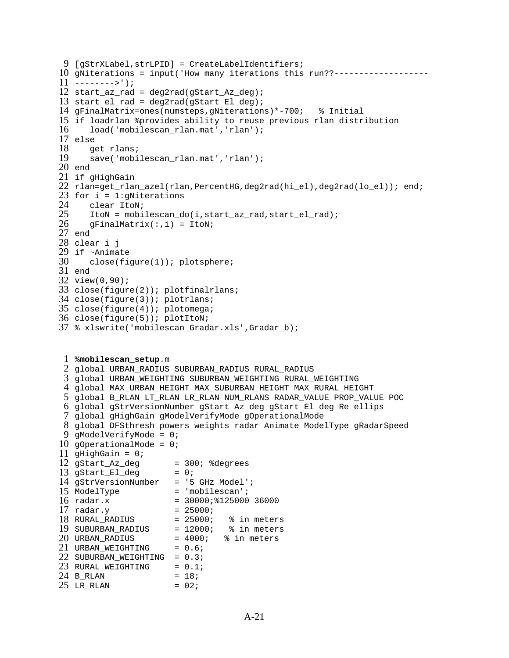```
9 [gStrXLabel,strLPID] = CreateLabelIdentifiers;
10 
gNiterations = input('How many iterations this run??-------------------
11 
-------->');
12 
start_az_rad = deg2rad(gStart_Az_deg);
13 
start_el_rad = deg2rad(gStart_El_deg);
14 
gFinalMatrix=ones(numsteps,gNiterations)*-700; % Initial
15 
if loadrlan %provides ability to reuse previous rlan distribution
16 
17 
else
18 
19 
20 
end
21 
if gHighGain 
22 
rlan=get_rlan_azel(rlan,PercentHG,deg2rad(hi_el),deg2rad(lo_el)); end;
23 
for i = 1:gNiterations
24 
25 
26 
27 
end
28 
clear i j
29 
if ~Animate
30 
31 
end 
32 
view(0,90);
33 
close(figure(2)); plotfinalrlans;
34 
close(figure(3)); plotrlans;
35 
close(figure(4)); plotomega;
36 
close(figure(5)); plotItoN;
37 
% xlswrite('mobilescan_Gradar.xls',Gradar_b);
 1 
%mobilescan_setup.m
 2 
global URBAN_RADIUS SUBURBAN_RADIUS RURAL_RADIUS
 3 
global URBAN_WEIGHTING SUBURBAN_WEIGHTING RURAL_WEIGHTING
 4 
global MAX_URBAN_HEIGHT MAX_SUBURBAN_HEIGHT MAX_RURAL_HEIGHT
 5 
global B_RLAN LT_RLAN LR_RLAN NUM_RLANS RADAR_VALUE PROP_VALUE POC
 6 
global gStrVersionNumber gStart_Az_deg gStart_El_deg Re ellips
 7 
global gHighGain gModelVerifyMode gOperationalMode
 8 
global DFSthresh powers weights radar Animate ModelType gRadarSpeed
 9 
gModelVerifyMode = 0; 
10 
gOperationalMode = 0; 
11 
gHighGain = 0; 
12 gStart_Az_deg
13 gStart_El_deg = 0;
14 
gStrVersionNumber = '5 GHz Model';
15 ModelType = 'mobilescan';
16 radar.x
17 radar.y
18 
19 
20 URBAN_RADIUS
21 URBAN_WEIGHTING = 0.6;
22 SUBURBAN_WEIGHTING = 0.3;
23 RURAL_WEIGHTING = 0.1;
24 B_RLAN = 18;
25 LR_RLAN = 02;
       load('mobilescan_rlan.mat','rlan'); 
      get_rlans;
      save('mobilescan_rlan.mat','rlan');
       clear ItoN;
       ItoN = mobilescan_do(i,start_az_rad,start_el_rad); 
      gFinalMatrix(:,i) = ItoN; close(figure(1)); plotsphere;
                     = 300; %degrees<br>= 0;
                     = 30000;%125000 36000
   radar.y = 25000iRURAL_RADIUS = 25000; % in meters
   SUBURBAN_RADIUS = 12000; % in meters
   URBAN_RADIUS = 4000; % in meters
```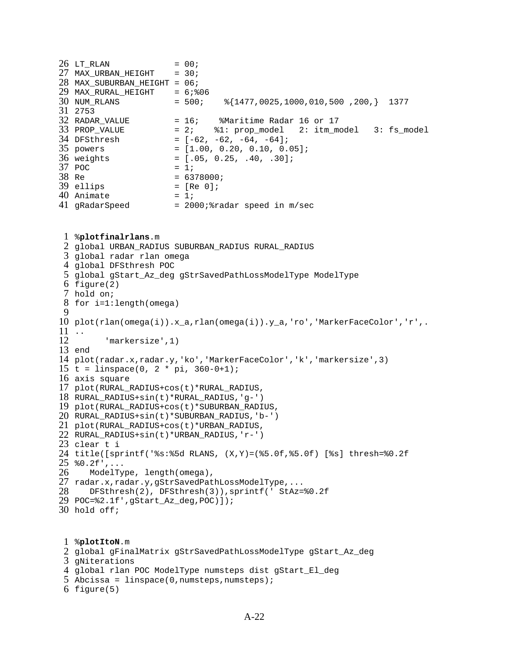| $26$ LT_RLAN                 | $= 00;$                                                 |
|------------------------------|---------------------------------------------------------|
| $27$ MAX_URBAN_HEIGHT = 30;  |                                                         |
| 28 MAX_SUBURBAN_HEIGHT = 06; |                                                         |
| 29 MAX_RURAL_HEIGHT          | $= 6;$ 806                                              |
| 30 NUM_RLANS                 | $= 500$ ; $\frac{1477}{6025}$ ,1000,010,500 ,200,} 1377 |
| 31 2753                      |                                                         |
| 32 RADAR VALUE               | = 16; %Maritime Radar 16 or 17                          |
| 33 PROP_VALUE                | = 2; %1: prop_model 2: itm_model 3: fs_model            |
| 34 DFSthresh                 | $= [-62, -62, -64, -64];$                               |
| 35 powers                    | $= [1.00, 0.20, 0.10, 0.05]$                            |
| 36 weights                   | $= [.05, 0.25, .40, .30];$                              |
| $37$ POC                     | $= 1i$                                                  |
| 38 Re                        | $= 6378000;$                                            |
| 39 ellips                    | $= [Re 0];$                                             |
| 40 Animate                   | $= 1i$                                                  |
| 41 gRadarSpeed               | $= 2000 \div \text{radar}$ speed in $m/sec$             |

```
1 
%plotfinalrlans.m
 2 
global URBAN_RADIUS SUBURBAN_RADIUS RURAL_RADIUS
 3 
global radar rlan omega
 4 
global DFSthresh POC
 5 
global gStart_Az_deg gStrSavedPathLossModelType ModelType
 6 
figure(2)
 7 
hold on;
 8 
for i=1:length(omega)
 9 
10 
plot(rlan(omega(i)).x_a,rlan(omega(i)).y_a,'ro','MarkerFaceColor','r',.
11 
..
12 
13 
end
14 
plot(radar.x,radar.y,'ko','MarkerFaceColor','k','markersize',3)
15 
t = linspace(0, 2 * pi, 360-0+1);
16 
axis square
17 
plot(RURAL_RADIUS+cos(t)*RURAL_RADIUS, 
18 
RURAL_RADIUS+sin(t)*RURAL_RADIUS,'g-')
19 
plot(RURAL_RADIUS+cos(t)*SUBURBAN_RADIUS, 
20 
RURAL_RADIUS+sin(t)*SUBURBAN_RADIUS,'b-')
21 
plot(RURAL_RADIUS+cos(t)*URBAN_RADIUS, 
22 
RURAL_RADIUS+sin(t)*URBAN_RADIUS,'r-')
23 
clear t i
24 
title([sprintf('%s:%5d RLANS, (X,Y)=(%5.0f,%5.0f) [%s] thresh=%0.2f 
25 
%0.2f',...
26 
27 
radar.x,radar.y,gStrSavedPathLossModelType,...
28 
29 
POC=%2.1f',gStart_Az_deg,POC)]);
30 
hold off;
           'markersize',1)
       ModelType, length(omega), 
       DFSthresh(2), DFSthresh(3)),sprintf(' StAz=%0.2f
```
 %**plotItoN**.m global gFinalMatrix gStrSavedPathLossModelType gStart\_Az\_deg gNiterations global rlan POC ModelType numsteps dist gStart\_El\_deg Abcissa = linspace(0,numsteps,numsteps); figure(5)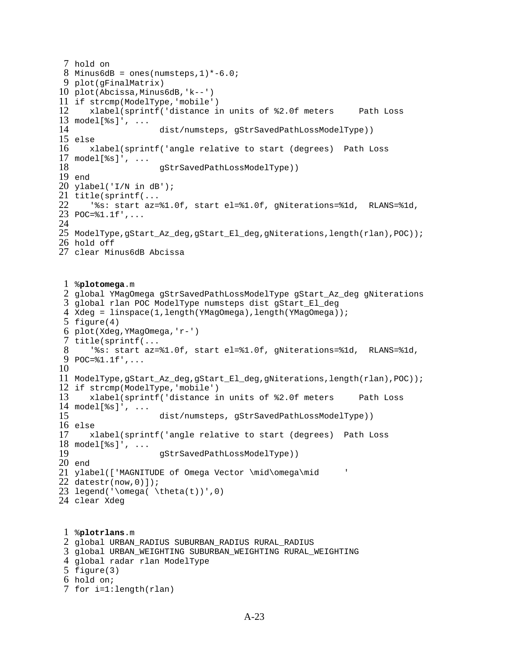```
7 hold on
 8 Minus6dB = ones(numsteps, 1)*-6.0;
 9 
plot(gFinalMatrix)
10 
plot(Abcissa,Minus6dB,'k--')
11 
if strcmp(ModelType,'mobile')
12 
13 
model[%s]', ...
14 
15 
else
16 
17 
model[%s]', ...
18 
19 
end
20 
ylabel('I/N in dB');
21 
title(sprintf(...
22 
23 
POC=%1.1f',...
24 
25 
ModelType,gStart_Az_deg,gStart_El_deg,gNiterations,length(rlan),POC));
26 
hold off
27 
clear Minus6dB Abcissa
 1 
%plotomega.m
 2 
global YMagOmega gStrSavedPathLossModelType gStart_Az_deg gNiterations
 3 
global rlan POC ModelType numsteps dist gStart_El_deg
 4 
Xdeg = linspace(1,length(YMagOmega),length(YMagOmega));
 5 
figure(4)
 6 
plot(Xdeg,YMagOmega,'r-')
 7 
title(sprintf(...
8 
 9 
POC=%1.1f',...
10 
11 
ModelType,gStart_Az_deg,gStart_El_deg,gNiterations,length(rlan),POC));
12 
if strcmp(ModelType,'mobile')
13 
14 
model[%s]', ...
15 
16 
else
17 
18 
model[%s]', ...
19 
20 
end
21 
ylabel(['MAGNITUDE of Omega Vector \mid\omega\mid ' 
22 
datestr(now,0)]);
23 legend('\omega( \theta(t))',0)
24 
clear Xdeg
 1 
%plotrlans.m
 2 
global URBAN_RADIUS SUBURBAN_RADIUS RURAL_RADIUS
 3 
global URBAN_WEIGHTING SUBURBAN_WEIGHTING RURAL_WEIGHTING
 4 
global radar rlan ModelType
 5 
figure(3)
 6 
hold on;
 7 
for i=1:length(rlan)
       xlabel(sprintf('distance in units of %2.0f meters Path Loss 
                     dist/numsteps, gStrSavedPathLossModelType))
       xlabel(sprintf('angle relative to start (degrees) Path Loss 
                     gStrSavedPathLossModelType))
       '%s: start az=%1.0f, start el=%1.0f, gNiterations=%1d, RLANS=%1d, 
       '%s: start az=%1.0f, start el=%1.0f, gNiterations=%1d, RLANS=%1d, 
       xlabel(sprintf('distance in units of %2.0f meters Path Loss 
                      dist/numsteps, gStrSavedPathLossModelType))
       xlabel(sprintf('angle relative to start (degrees) Path Loss 
                     gStrSavedPathLossModelType))
```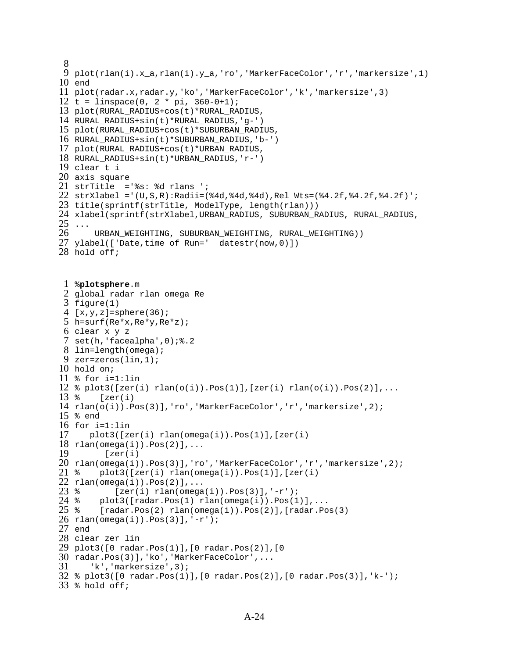```
8 
 9 
10 
end
11 
plot(radar.x,radar.y,'ko','MarkerFaceColor','k','markersize',3)
12 
t = linspace(0, 2 * pi, 360-0+1);
13 
plot(RURAL_RADIUS+cos(t)*RURAL_RADIUS, 
14 
RURAL_RADIUS+sin(t)*RURAL_RADIUS,'g-')
15 
plot(RURAL_RADIUS+cos(t)*SUBURBAN_RADIUS, 
16 
RURAL_RADIUS+sin(t)*SUBURBAN_RADIUS,'b-')
17 
plot(RURAL_RADIUS+cos(t)*URBAN_RADIUS, 
18 
RURAL_RADIUS+sin(t)*URBAN_RADIUS,'r-')
19 
clear t i
20 
axis square
21 
strTitle ='%s: %d rlans ';
22 
strXlabel ='(U,S,R):Radii=(%4d,%4d,%4d),Rel Wts=(%4.2f,%4.2f,%4.2f)';
23 
title(sprintf(strTitle, ModelType, length(rlan)))
24 
xlabel(sprintf(strXlabel,URBAN_RADIUS, SUBURBAN_RADIUS, RURAL_RADIUS, 
25 \ldots26 
27 
ylabel(['Date,time of Run=' datestr(now,0)])
28 
hold off;
 1 
%plotsphere.m
 2 
global radar rlan omega Re
 3 
figure(1)
 4 
[x,y,z]=sphere(36);
 5 
h=surf(Re*x,Re*y,Re*z);
 6 
clear x y z
 7 
set(h,'facealpha',0);%.2
 8 
lin=length(omega);
 9 
zer=zeros(lin,1);
10 
hold on;
11 
% for i=1:lin
12 
% plot3([zer(i) rlan(o(i)).Pos(1)],[zer(i) rlan(o(i)).Pos(2)],...
13*14 
rlan(o(i)).Pos(3)],'ro','MarkerFaceColor','r','markersize',2);
15 
% end
16 
for i=1:lin
17 
18 
rlan(omega(i)).Pos(2)],...
19 
   plot(rlan(i).x_a,rlan(i).y_a,'ro','MarkerFaceColor','r','markersize',1)
        URBAN_WEIGHTING, SUBURBAN_WEIGHTING, RURAL_WEIGHTING))
        [zer(i)] plot3([zer(i) rlan(omega(i)).Pos(1)],[zer(i) 
          [zer(i)
```

```
20 
rlan(omega(i)).Pos(3)],'ro','MarkerFaceColor','r','markersize',2);
21 \; *22 
rlan(omega(i)).Pos(2)],...
23 \text{ } %
        plot3([zer(i) rlan(omega(i)).Pos(1)],[zer(i)
```

```
24 \approx25 %
26 
rlan(omega(i)).Pos(3)],'-r');
           [zer(i) rlan(omeqa(i)).Pos(3)], ' -r');
        plot3([radar.Pos(1) rlan(omega(i)).Pos(1)],...
        [radar.Pos(2) rlan(omega(i)).Pos(2)], [radar.Pos(3)]
```

```
27 
end
```

```
28 
clear zer lin
29 
plot3([0 radar.Pos(1)],[0 radar.Pos(2)],[0
```

```
30 
radar.Pos(3)],'ko','MarkerFaceColor',...
31 
32 
% plot3([0 radar.Pos(1)],[0 radar.Pos(2)],[0 radar.Pos(3)],'k-');
33 
% hold off;
       'k','markersize',3);
```

```
A-24
```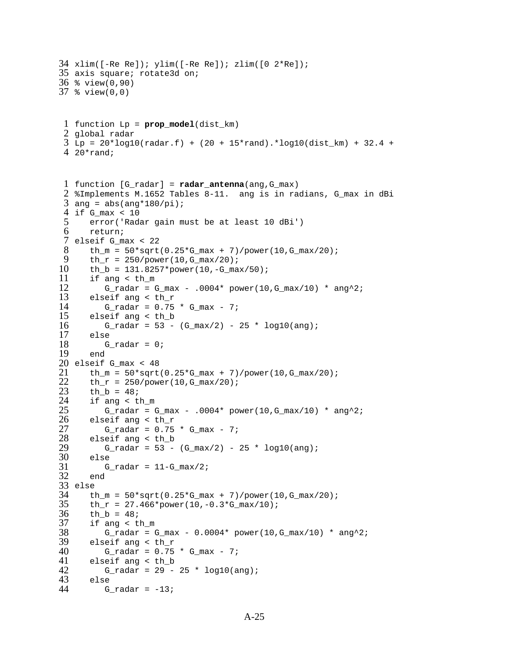```
34 xlim([-Re Re]); ylim([-Re Re]); zlim([0 2*Re]);
35 
axis square; rotate3d on;
36 
% view(0,90)
37 
% view(0,0)
 1 
function Lp = prop_model(dist_km)
 2 
global radar
 3 
Lp = 20*log10(radar.f) + (20 + 15*rand).*log10(dist_km) + 32.4 + 
 4 
20*rand;
 1 
function [G_radar] = radar_antenna(ang,G_max)
 2 
%Implements M.1652 Tables 8-11. ang is in radians, G_max in dBi
 3 ang = abs(ang*180/pi);
 4 
if G_max < 10
 5 
 6 
 7 
elseif G_max < 22
 8 
 9 
10 
11 
12 
13 
14 
15 
16 
17 
18 
19 
20 
elseif G_max < 48
21 
22 
23 
24 
25 
26 
27 
28 
29 
30 
31 
32 
33 
else
34 
35 
36 
37 
38 
39 
40 
41 
42 
43 
44 
       error('Radar gain must be at least 10 dBi')
       return;
      th_m = 50*sqrt(0.25*G_max + 7)/power(10,G_max/20);th_r = 250/power(10, G_max/20);th_b = 131.8257*power(10,-G_max/50);
       if ang < th_m
         G_radar = G_{max} - .0004* power(10, G_{max}/10) * ang^2;
       elseif ang < th_r
         G radar = 0.75 * G max - 7;
       elseif ang < th_b
         G_radar = 53 - (G_{max}/2) - 25 * log10(ang); else
          G_radar = 0; end
      th_m = 50*sqrt(0.25*G_max + 7)/power(10,G_max/20);th_r = 250/power(10, G_max/20);th_b = 48; if ang < th_m
          G_radar = G_{max} - .0004* power(10, G_{max}/10) * ang^2;
       elseif ang < th_r
          G_radar = 0.75 * G_max - 7;
       elseif ang < th_b
         G_radar = 53 - (G_{max}/2) - 25 * log10(ang); else
          G radar = 11-G max/2;
       end
       th m = 50*sqrt(0.25*G max + 7)/power(10,G max/20);th_r = 27.466*power(10,-0.3*G_max/10);th_b = 48; if ang < th_m
          G_radar = G_max - 0.0004* power(10, G_max/10) * ang^2;
       elseif ang < th_r
          G_radar = 0.75 * G_max - 7;
       elseif ang < th_b
         G_radar = 29 - 25 * log10(ang); else
         G_radar = -13;
```